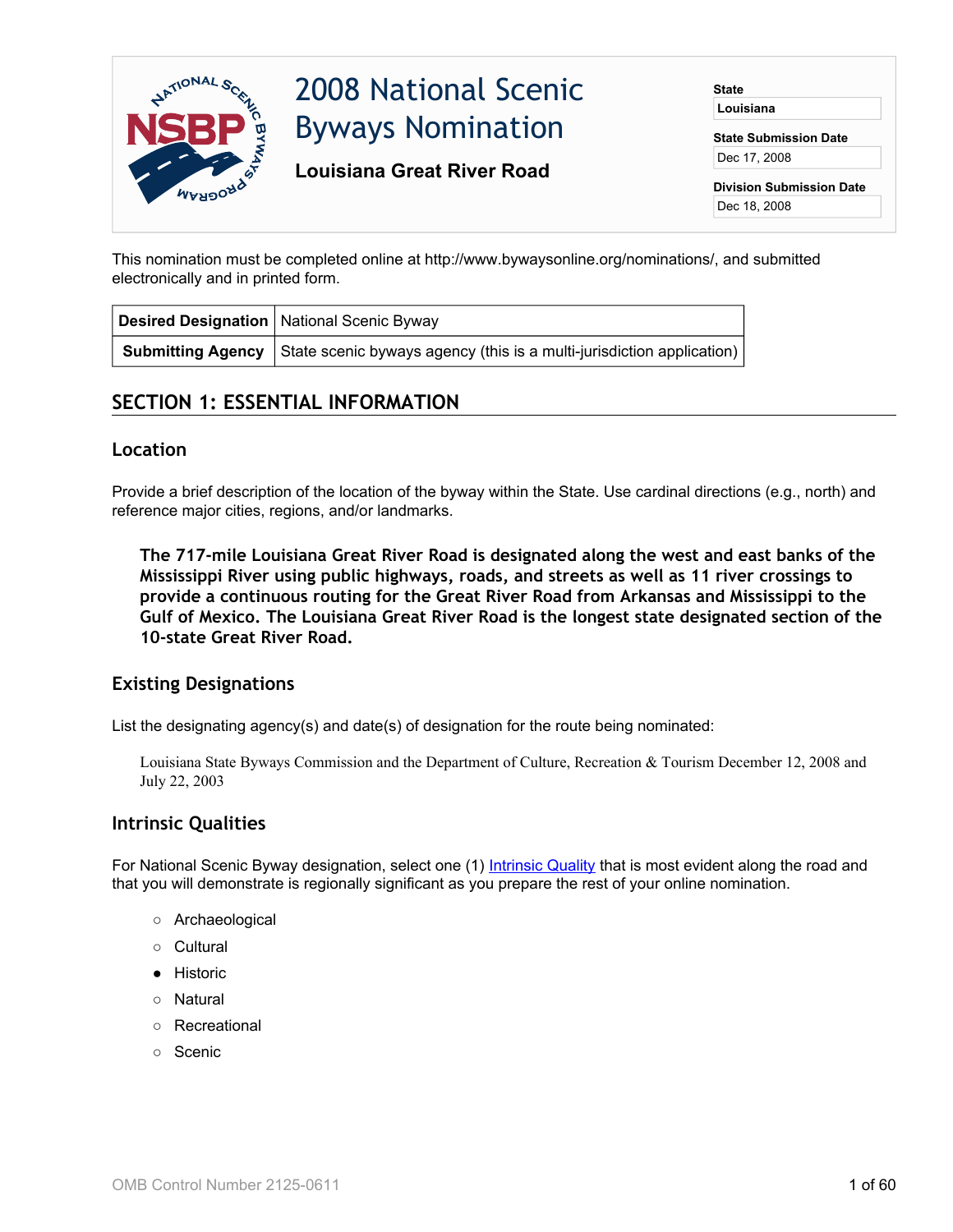

This nomination must be completed online at http://www.bywaysonline.org/nominations/, and submitted electronically and in printed form.

| Desired Designation   National Scenic Byway                                                    |
|------------------------------------------------------------------------------------------------|
| <b>Submitting Agency</b> State scenic byways agency (this is a multi-jurisdiction application) |

# **SECTION 1: ESSENTIAL INFORMATION**

#### **Location**

Provide a brief description of the location of the byway within the State. Use cardinal directions (e.g., north) and reference major cities, regions, and/or landmarks.

**The 717-mile Louisiana Great River Road is designated along the west and east banks of the Mississippi River using public highways, roads, and streets as well as 11 river crossings to provide a continuous routing for the Great River Road from Arkansas and Mississippi to the Gulf of Mexico. The Louisiana Great River Road is the longest state designated section of the 10-state Great River Road.**

## **Existing Designations**

List the designating agency(s) and date(s) of designation for the route being nominated:

Louisiana State Byways Commission and the Department of Culture, Recreation & Tourism December 12, 2008 and July 22, 2003

## **Intrinsic Qualities**

For National Scenic Byway designation, select one (1) [Intrinsic Quality](http://www.bywaysonline.org/nominations/application/guide/guide_definitions#iq) that is most evident along the road and that you will demonstrate is regionally significant as you prepare the rest of your online nomination.

- Archaeological
- Cultural
- Historic
- Natural
- Recreational
- Scenic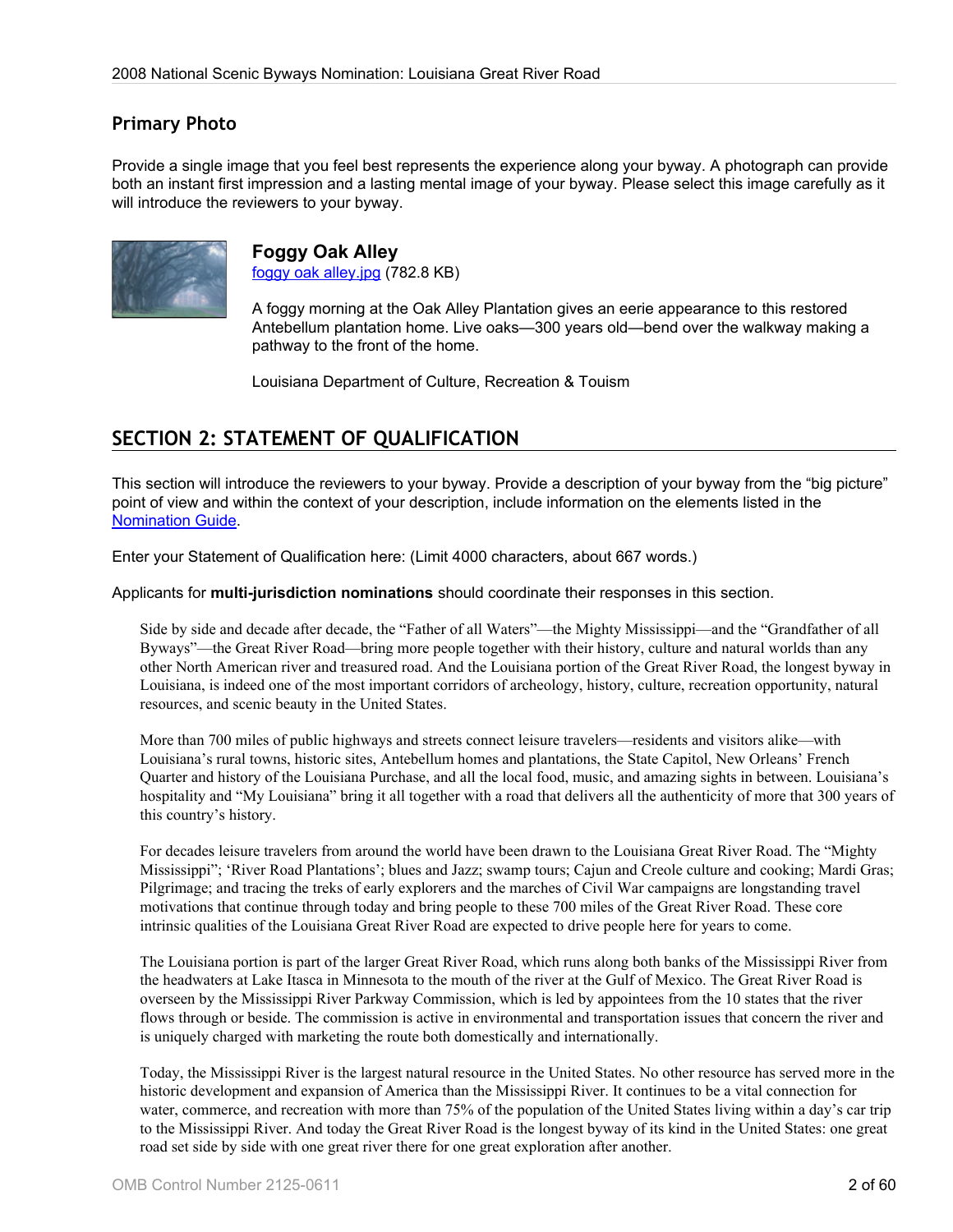## **Primary Photo**

Provide a single image that you feel best represents the experience along your byway. A photograph can provide both an instant first impression and a lasting mental image of your byway. Please select this image carefully as it will introduce the reviewers to your byway.



**Foggy Oak Alley** [foggy oak alley.jpg](http://www.bywaysonline.org/nominations/application/attachments/2331_ymt0al0wyc.jpg) (782.8 KB)

A foggy morning at the Oak Alley Plantation gives an eerie appearance to this restored Antebellum plantation home. Live oaks—300 years old—bend over the walkway making a pathway to the front of the home.

Louisiana Department of Culture, Recreation & Touism

# **SECTION 2: STATEMENT OF QUALIFICATION**

This section will introduce the reviewers to your byway. Provide a description of your byway from the "big picture" point of view and within the context of your description, include information on the elements listed in the [Nomination Guide](http://www.bywaysonline.org/nominations/application/guide/guide_qualification).

Enter your Statement of Qualification here: (Limit 4000 characters, about 667 words.)

Applicants for **multi-jurisdiction nominations** should coordinate their responses in this section.

Side by side and decade after decade, the "Father of all Waters"—the Mighty Mississippi—and the "Grandfather of all Byways"—the Great River Road—bring more people together with their history, culture and natural worlds than any other North American river and treasured road. And the Louisiana portion of the Great River Road, the longest byway in Louisiana, is indeed one of the most important corridors of archeology, history, culture, recreation opportunity, natural resources, and scenic beauty in the United States.

More than 700 miles of public highways and streets connect leisure travelers—residents and visitors alike—with Louisiana's rural towns, historic sites, Antebellum homes and plantations, the State Capitol, New Orleans' French Quarter and history of the Louisiana Purchase, and all the local food, music, and amazing sights in between. Louisiana's hospitality and "My Louisiana" bring it all together with a road that delivers all the authenticity of more that 300 years of this country's history.

For decades leisure travelers from around the world have been drawn to the Louisiana Great River Road. The "Mighty Mississippi"; 'River Road Plantations'; blues and Jazz; swamp tours; Cajun and Creole culture and cooking; Mardi Gras; Pilgrimage; and tracing the treks of early explorers and the marches of Civil War campaigns are longstanding travel motivations that continue through today and bring people to these 700 miles of the Great River Road. These core intrinsic qualities of the Louisiana Great River Road are expected to drive people here for years to come.

The Louisiana portion is part of the larger Great River Road, which runs along both banks of the Mississippi River from the headwaters at Lake Itasca in Minnesota to the mouth of the river at the Gulf of Mexico. The Great River Road is overseen by the Mississippi River Parkway Commission, which is led by appointees from the 10 states that the river flows through or beside. The commission is active in environmental and transportation issues that concern the river and is uniquely charged with marketing the route both domestically and internationally.

Today, the Mississippi River is the largest natural resource in the United States. No other resource has served more in the historic development and expansion of America than the Mississippi River. It continues to be a vital connection for water, commerce, and recreation with more than 75% of the population of the United States living within a day's car trip to the Mississippi River. And today the Great River Road is the longest byway of its kind in the United States: one great road set side by side with one great river there for one great exploration after another.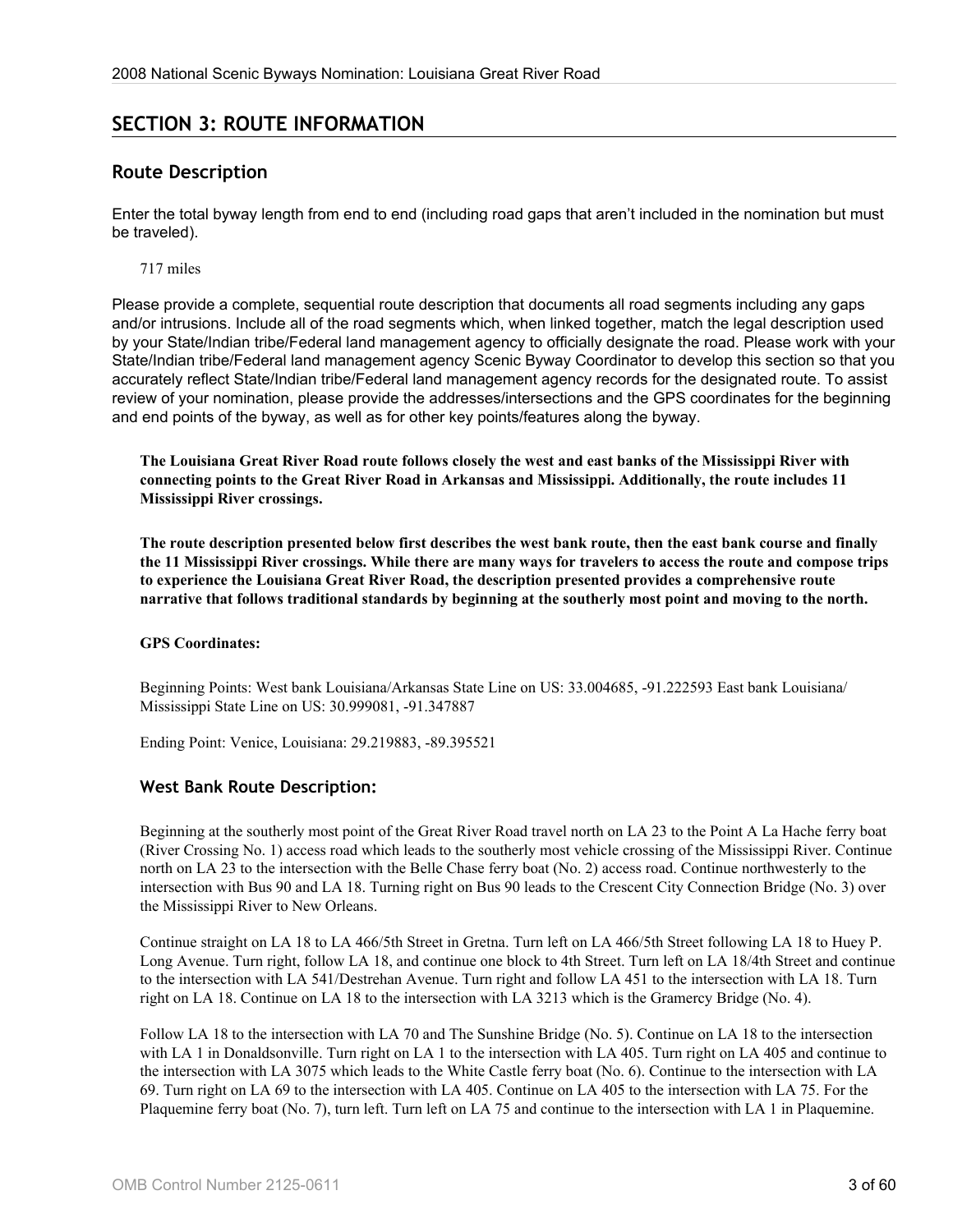# **SECTION 3: ROUTE INFORMATION**

## **Route Description**

Enter the total byway length from end to end (including road gaps that aren't included in the nomination but must be traveled).

717 miles

Please provide a complete, sequential route description that documents all road segments including any gaps and/or intrusions. Include all of the road segments which, when linked together, match the legal description used by your State/Indian tribe/Federal land management agency to officially designate the road. Please work with your State/Indian tribe/Federal land management agency Scenic Byway Coordinator to develop this section so that you accurately reflect State/Indian tribe/Federal land management agency records for the designated route. To assist review of your nomination, please provide the addresses/intersections and the GPS coordinates for the beginning and end points of the byway, as well as for other key points/features along the byway.

**The Louisiana Great River Road route follows closely the west and east banks of the Mississippi River with connecting points to the Great River Road in Arkansas and Mississippi. Additionally, the route includes 11 Mississippi River crossings.**

**The route description presented below first describes the west bank route, then the east bank course and finally the 11 Mississippi River crossings. While there are many ways for travelers to access the route and compose trips to experience the Louisiana Great River Road, the description presented provides a comprehensive route narrative that follows traditional standards by beginning at the southerly most point and moving to the north.**

#### **GPS Coordinates:**

Beginning Points: West bank Louisiana/Arkansas State Line on US: 33.004685, -91.222593 East bank Louisiana/ Mississippi State Line on US: 30.999081, -91.347887

Ending Point: Venice, Louisiana: 29.219883, -89.395521

## **West Bank Route Description:**

Beginning at the southerly most point of the Great River Road travel north on LA 23 to the Point A La Hache ferry boat (River Crossing No. 1) access road which leads to the southerly most vehicle crossing of the Mississippi River. Continue north on LA 23 to the intersection with the Belle Chase ferry boat (No. 2) access road. Continue northwesterly to the intersection with Bus 90 and LA 18. Turning right on Bus 90 leads to the Crescent City Connection Bridge (No. 3) over the Mississippi River to New Orleans.

Continue straight on LA 18 to LA 466/5th Street in Gretna. Turn left on LA 466/5th Street following LA 18 to Huey P. Long Avenue. Turn right, follow LA 18, and continue one block to 4th Street. Turn left on LA 18/4th Street and continue to the intersection with LA 541/Destrehan Avenue. Turn right and follow LA 451 to the intersection with LA 18. Turn right on LA 18. Continue on LA 18 to the intersection with LA 3213 which is the Gramercy Bridge (No. 4).

Follow LA 18 to the intersection with LA 70 and The Sunshine Bridge (No. 5). Continue on LA 18 to the intersection with LA 1 in Donaldsonville. Turn right on LA 1 to the intersection with LA 405. Turn right on LA 405 and continue to the intersection with LA 3075 which leads to the White Castle ferry boat (No. 6). Continue to the intersection with LA 69. Turn right on LA 69 to the intersection with LA 405. Continue on LA 405 to the intersection with LA 75. For the Plaquemine ferry boat (No. 7), turn left. Turn left on LA 75 and continue to the intersection with LA 1 in Plaquemine.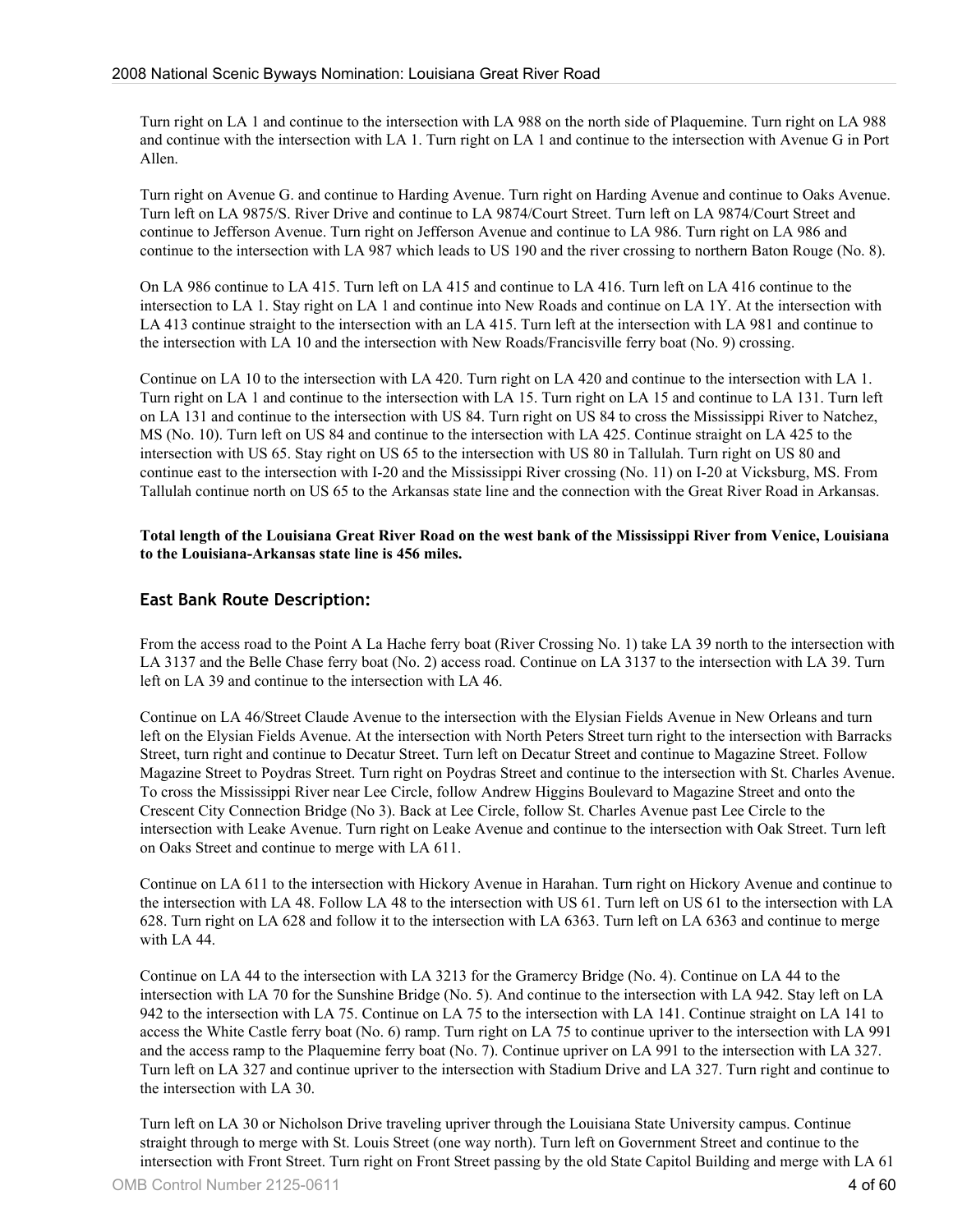Turn right on LA 1 and continue to the intersection with LA 988 on the north side of Plaquemine. Turn right on LA 988 and continue with the intersection with LA 1. Turn right on LA 1 and continue to the intersection with Avenue G in Port Allen.

Turn right on Avenue G. and continue to Harding Avenue. Turn right on Harding Avenue and continue to Oaks Avenue. Turn left on LA 9875/S. River Drive and continue to LA 9874/Court Street. Turn left on LA 9874/Court Street and continue to Jefferson Avenue. Turn right on Jefferson Avenue and continue to LA 986. Turn right on LA 986 and continue to the intersection with LA 987 which leads to US 190 and the river crossing to northern Baton Rouge (No. 8).

On LA 986 continue to LA 415. Turn left on LA 415 and continue to LA 416. Turn left on LA 416 continue to the intersection to LA 1. Stay right on LA 1 and continue into New Roads and continue on LA 1Y. At the intersection with LA 413 continue straight to the intersection with an LA 415. Turn left at the intersection with LA 981 and continue to the intersection with LA 10 and the intersection with New Roads/Francisville ferry boat (No. 9) crossing.

Continue on LA 10 to the intersection with LA 420. Turn right on LA 420 and continue to the intersection with LA 1. Turn right on LA 1 and continue to the intersection with LA 15. Turn right on LA 15 and continue to LA 131. Turn left on LA 131 and continue to the intersection with US 84. Turn right on US 84 to cross the Mississippi River to Natchez, MS (No. 10). Turn left on US 84 and continue to the intersection with LA 425. Continue straight on LA 425 to the intersection with US 65. Stay right on US 65 to the intersection with US 80 in Tallulah. Turn right on US 80 and continue east to the intersection with I-20 and the Mississippi River crossing (No. 11) on I-20 at Vicksburg, MS. From Tallulah continue north on US 65 to the Arkansas state line and the connection with the Great River Road in Arkansas.

**Total length of the Louisiana Great River Road on the west bank of the Mississippi River from Venice, Louisiana to the Louisiana-Arkansas state line is 456 miles.**

#### **East Bank Route Description:**

From the access road to the Point A La Hache ferry boat (River Crossing No. 1) take LA 39 north to the intersection with LA 3137 and the Belle Chase ferry boat (No. 2) access road. Continue on LA 3137 to the intersection with LA 39. Turn left on LA 39 and continue to the intersection with LA 46.

Continue on LA 46/Street Claude Avenue to the intersection with the Elysian Fields Avenue in New Orleans and turn left on the Elysian Fields Avenue. At the intersection with North Peters Street turn right to the intersection with Barracks Street, turn right and continue to Decatur Street. Turn left on Decatur Street and continue to Magazine Street. Follow Magazine Street to Poydras Street. Turn right on Poydras Street and continue to the intersection with St. Charles Avenue. To cross the Mississippi River near Lee Circle, follow Andrew Higgins Boulevard to Magazine Street and onto the Crescent City Connection Bridge (No 3). Back at Lee Circle, follow St. Charles Avenue past Lee Circle to the intersection with Leake Avenue. Turn right on Leake Avenue and continue to the intersection with Oak Street. Turn left on Oaks Street and continue to merge with LA 611.

Continue on LA 611 to the intersection with Hickory Avenue in Harahan. Turn right on Hickory Avenue and continue to the intersection with LA 48. Follow LA 48 to the intersection with US 61. Turn left on US 61 to the intersection with LA 628. Turn right on LA 628 and follow it to the intersection with LA 6363. Turn left on LA 6363 and continue to merge with LA 44.

Continue on LA 44 to the intersection with LA 3213 for the Gramercy Bridge (No. 4). Continue on LA 44 to the intersection with LA 70 for the Sunshine Bridge (No. 5). And continue to the intersection with LA 942. Stay left on LA 942 to the intersection with LA 75. Continue on LA 75 to the intersection with LA 141. Continue straight on LA 141 to access the White Castle ferry boat (No. 6) ramp. Turn right on LA 75 to continue upriver to the intersection with LA 991 and the access ramp to the Plaquemine ferry boat (No. 7). Continue upriver on LA 991 to the intersection with LA 327. Turn left on LA 327 and continue upriver to the intersection with Stadium Drive and LA 327. Turn right and continue to the intersection with LA 30.

Turn left on LA 30 or Nicholson Drive traveling upriver through the Louisiana State University campus. Continue straight through to merge with St. Louis Street (one way north). Turn left on Government Street and continue to the intersection with Front Street. Turn right on Front Street passing by the old State Capitol Building and merge with LA 61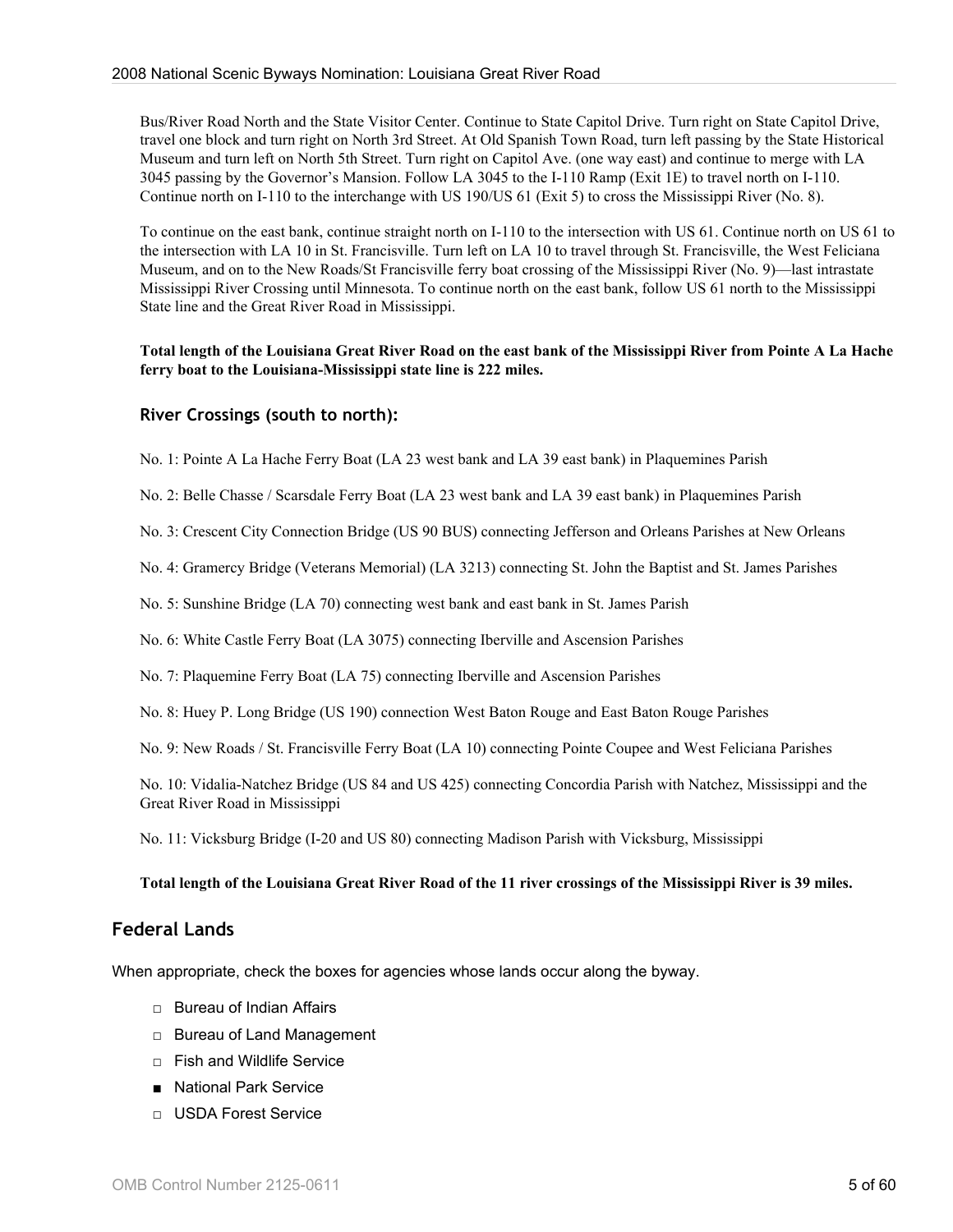Bus/River Road North and the State Visitor Center. Continue to State Capitol Drive. Turn right on State Capitol Drive, travel one block and turn right on North 3rd Street. At Old Spanish Town Road, turn left passing by the State Historical Museum and turn left on North 5th Street. Turn right on Capitol Ave. (one way east) and continue to merge with LA 3045 passing by the Governor's Mansion. Follow LA 3045 to the I-110 Ramp (Exit 1E) to travel north on I-110. Continue north on I-110 to the interchange with US 190/US 61 (Exit 5) to cross the Mississippi River (No. 8).

To continue on the east bank, continue straight north on I-110 to the intersection with US 61. Continue north on US 61 to the intersection with LA 10 in St. Francisville. Turn left on LA 10 to travel through St. Francisville, the West Feliciana Museum, and on to the New Roads/St Francisville ferry boat crossing of the Mississippi River (No. 9)—last intrastate Mississippi River Crossing until Minnesota. To continue north on the east bank, follow US 61 north to the Mississippi State line and the Great River Road in Mississippi.

**Total length of the Louisiana Great River Road on the east bank of the Mississippi River from Pointe A La Hache ferry boat to the Louisiana-Mississippi state line is 222 miles.**

#### **River Crossings (south to north):**

No. 1: Pointe A La Hache Ferry Boat (LA 23 west bank and LA 39 east bank) in Plaquemines Parish

No. 2: Belle Chasse / Scarsdale Ferry Boat (LA 23 west bank and LA 39 east bank) in Plaquemines Parish

No. 3: Crescent City Connection Bridge (US 90 BUS) connecting Jefferson and Orleans Parishes at New Orleans

No. 4: Gramercy Bridge (Veterans Memorial) (LA 3213) connecting St. John the Baptist and St. James Parishes

No. 5: Sunshine Bridge (LA 70) connecting west bank and east bank in St. James Parish

No. 6: White Castle Ferry Boat (LA 3075) connecting Iberville and Ascension Parishes

No. 7: Plaquemine Ferry Boat (LA 75) connecting Iberville and Ascension Parishes

No. 8: Huey P. Long Bridge (US 190) connection West Baton Rouge and East Baton Rouge Parishes

No. 9: New Roads / St. Francisville Ferry Boat (LA 10) connecting Pointe Coupee and West Feliciana Parishes

No. 10: Vidalia-Natchez Bridge (US 84 and US 425) connecting Concordia Parish with Natchez, Mississippi and the Great River Road in Mississippi

No. 11: Vicksburg Bridge (I-20 and US 80) connecting Madison Parish with Vicksburg, Mississippi

#### **Total length of the Louisiana Great River Road of the 11 river crossings of the Mississippi River is 39 miles.**

#### **Federal Lands**

When appropriate, check the boxes for agencies whose lands occur along the byway.

- □ Bureau of Indian Affairs
- □ Bureau of Land Management
- □ Fish and Wildlife Service
- National Park Service
- □ USDA Forest Service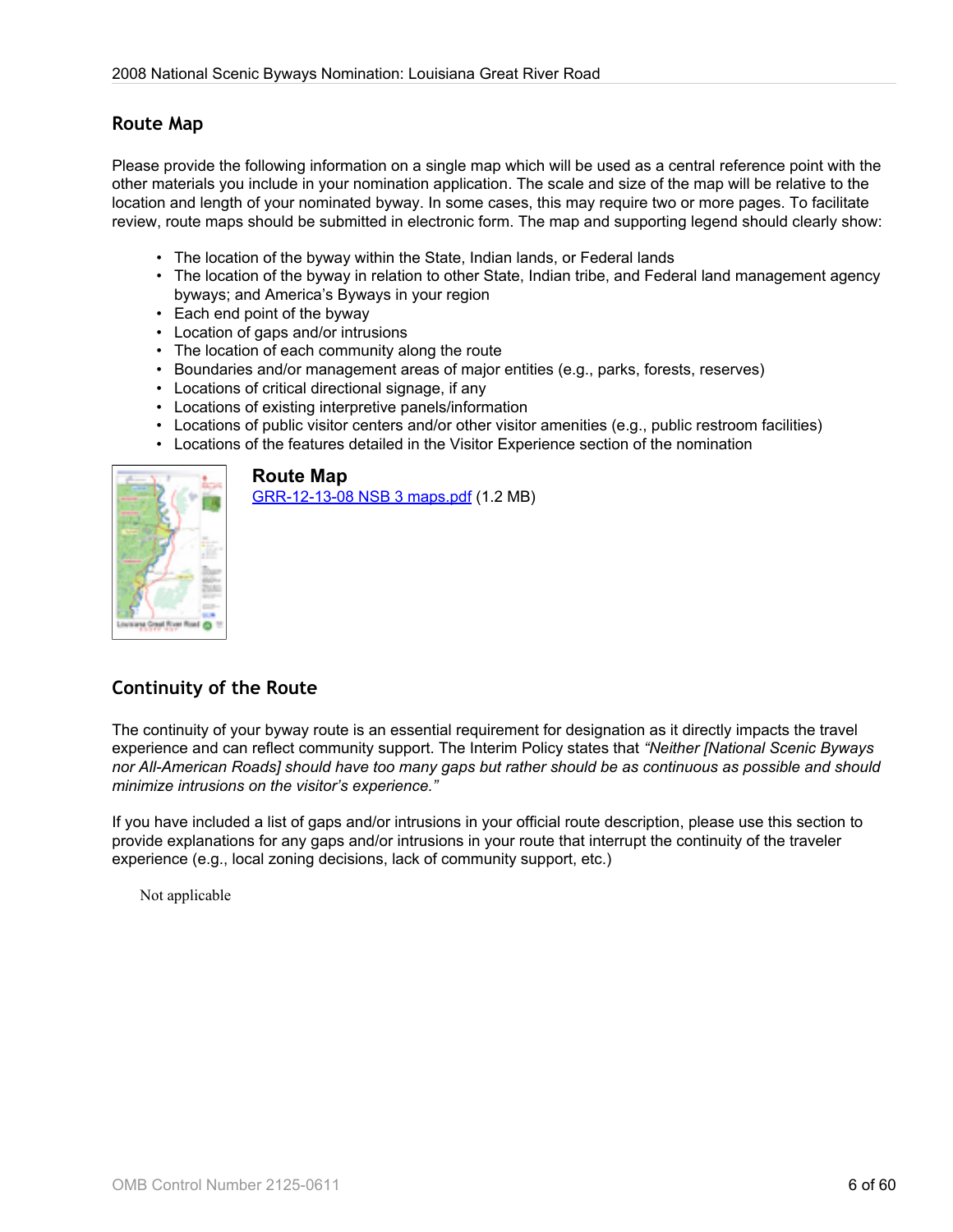## **Route Map**

Please provide the following information on a single map which will be used as a central reference point with the other materials you include in your nomination application. The scale and size of the map will be relative to the location and length of your nominated byway. In some cases, this may require two or more pages. To facilitate review, route maps should be submitted in electronic form. The map and supporting legend should clearly show:

- The location of the byway within the State, Indian lands, or Federal lands
- The location of the byway in relation to other State, Indian tribe, and Federal land management agency byways; and America's Byways in your region
- Each end point of the byway
- Location of gaps and/or intrusions
- The location of each community along the route
- Boundaries and/or management areas of major entities (e.g., parks, forests, reserves)
- Locations of critical directional signage, if any
- Locations of existing interpretive panels/information
- Locations of public visitor centers and/or other visitor amenities (e.g., public restroom facilities)
- Locations of the features detailed in the Visitor Experience section of the nomination



#### **Route Map**

[GRR-12-13-08 NSB 3 maps.pdf](http://www.bywaysonline.org/nominations/application/attachments/2186_4v8ttgw34z.pdf) (1.2 MB)

# **Continuity of the Route**

The continuity of your byway route is an essential requirement for designation as it directly impacts the travel experience and can reflect community support. The Interim Policy states that *"Neither [National Scenic Byways nor All-American Roads] should have too many gaps but rather should be as continuous as possible and should minimize intrusions on the visitor's experience."*

If you have included a list of gaps and/or intrusions in your official route description, please use this section to provide explanations for any gaps and/or intrusions in your route that interrupt the continuity of the traveler experience (e.g., local zoning decisions, lack of community support, etc.)

Not applicable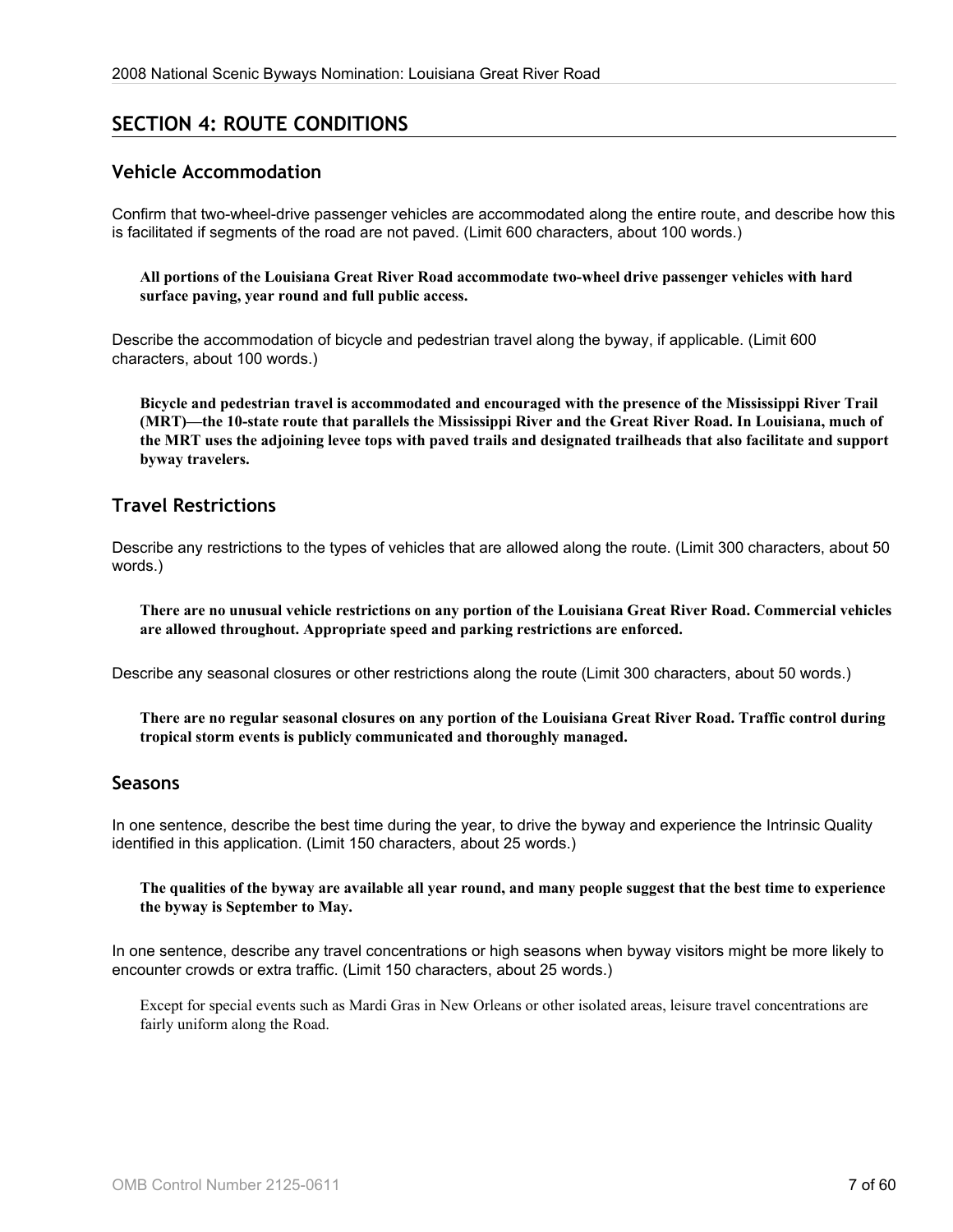# **SECTION 4: ROUTE CONDITIONS**

## **Vehicle Accommodation**

Confirm that two-wheel-drive passenger vehicles are accommodated along the entire route, and describe how this is facilitated if segments of the road are not paved. (Limit 600 characters, about 100 words.)

**All portions of the Louisiana Great River Road accommodate two-wheel drive passenger vehicles with hard surface paving, year round and full public access.**

Describe the accommodation of bicycle and pedestrian travel along the byway, if applicable. (Limit 600 characters, about 100 words.)

**Bicycle and pedestrian travel is accommodated and encouraged with the presence of the Mississippi River Trail (MRT)—the 10-state route that parallels the Mississippi River and the Great River Road. In Louisiana, much of the MRT uses the adjoining levee tops with paved trails and designated trailheads that also facilitate and support byway travelers.**

## **Travel Restrictions**

Describe any restrictions to the types of vehicles that are allowed along the route. (Limit 300 characters, about 50 words.)

**There are no unusual vehicle restrictions on any portion of the Louisiana Great River Road. Commercial vehicles are allowed throughout. Appropriate speed and parking restrictions are enforced.**

Describe any seasonal closures or other restrictions along the route (Limit 300 characters, about 50 words.)

**There are no regular seasonal closures on any portion of the Louisiana Great River Road. Traffic control during tropical storm events is publicly communicated and thoroughly managed.**

#### **Seasons**

In one sentence, describe the best time during the year, to drive the byway and experience the Intrinsic Quality identified in this application. (Limit 150 characters, about 25 words.)

**The qualities of the byway are available all year round, and many people suggest that the best time to experience the byway is September to May.**

In one sentence, describe any travel concentrations or high seasons when byway visitors might be more likely to encounter crowds or extra traffic. (Limit 150 characters, about 25 words.)

Except for special events such as Mardi Gras in New Orleans or other isolated areas, leisure travel concentrations are fairly uniform along the Road.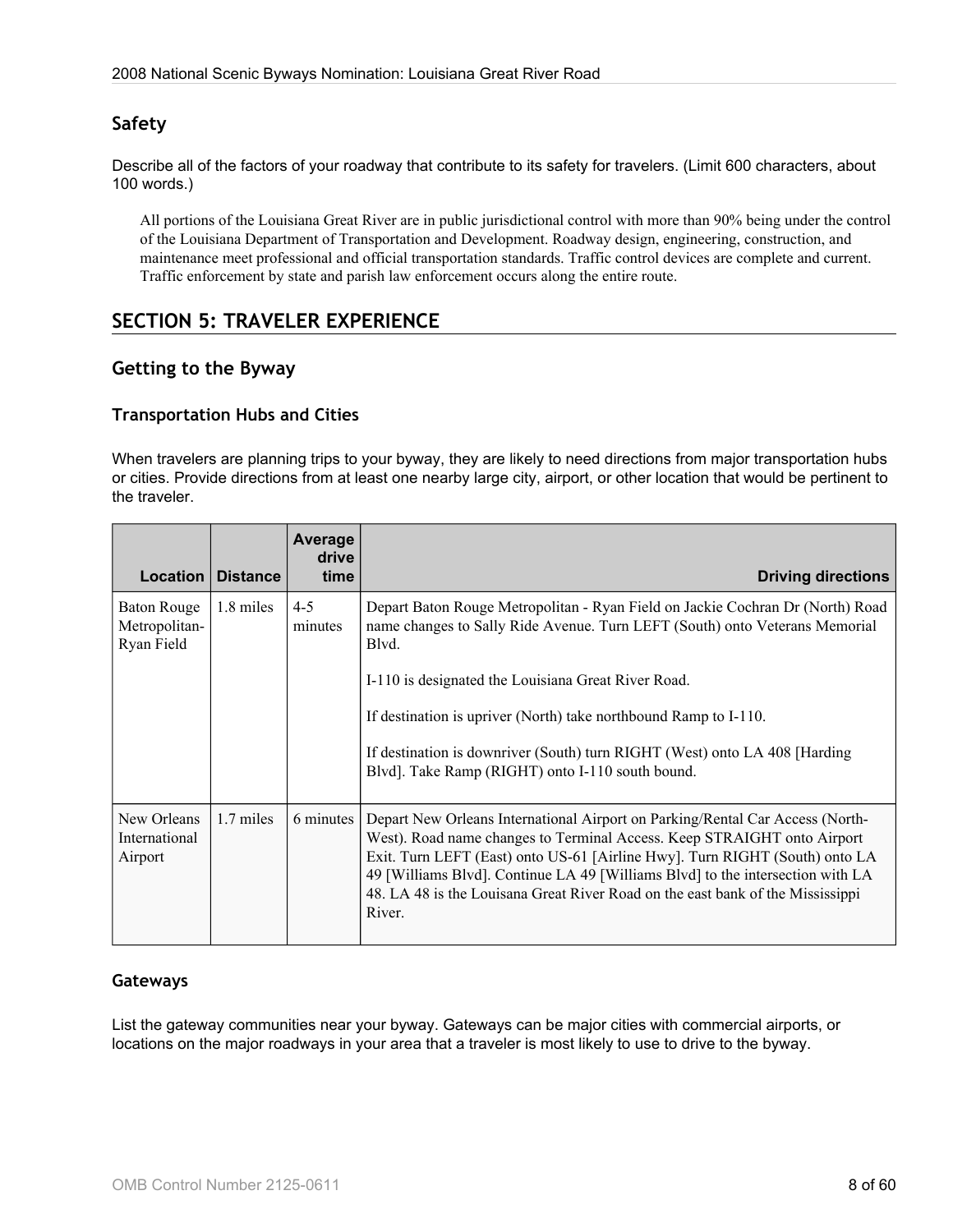# **Safety**

Describe all of the factors of your roadway that contribute to its safety for travelers. (Limit 600 characters, about 100 words.)

All portions of the Louisiana Great River are in public jurisdictional control with more than 90% being under the control of the Louisiana Department of Transportation and Development. Roadway design, engineering, construction, and maintenance meet professional and official transportation standards. Traffic control devices are complete and current. Traffic enforcement by state and parish law enforcement occurs along the entire route.

# **SECTION 5: TRAVELER EXPERIENCE**

## **Getting to the Byway**

#### **Transportation Hubs and Cities**

When travelers are planning trips to your byway, they are likely to need directions from major transportation hubs or cities. Provide directions from at least one nearby large city, airport, or other location that would be pertinent to the traveler.

| Location                                   | <b>Distance</b> | Average<br>drive<br>time | <b>Driving directions</b>                                                                                                                                                                                                                                                                                                                                                                                             |
|--------------------------------------------|-----------------|--------------------------|-----------------------------------------------------------------------------------------------------------------------------------------------------------------------------------------------------------------------------------------------------------------------------------------------------------------------------------------------------------------------------------------------------------------------|
| Baton Rouge<br>Metropolitan-<br>Ryan Field | 1.8 miles       | $4 - 5$<br>minutes       | Depart Baton Rouge Metropolitan - Ryan Field on Jackie Cochran Dr (North) Road<br>name changes to Sally Ride Avenue. Turn LEFT (South) onto Veterans Memorial<br>Blvd.                                                                                                                                                                                                                                                |
|                                            |                 |                          | I-110 is designated the Louisiana Great River Road.                                                                                                                                                                                                                                                                                                                                                                   |
|                                            |                 |                          | If destination is upriver (North) take northbound Ramp to I-110.                                                                                                                                                                                                                                                                                                                                                      |
|                                            |                 |                          | If destination is downriver (South) turn RIGHT (West) onto LA 408 [Harding<br>Blvd]. Take Ramp (RIGHT) onto I-110 south bound.                                                                                                                                                                                                                                                                                        |
| New Orleans<br>International<br>Airport    | 1.7 miles       | 6 minutes                | Depart New Orleans International Airport on Parking/Rental Car Access (North-<br>West). Road name changes to Terminal Access. Keep STRAIGHT onto Airport<br>Exit. Turn LEFT (East) onto US-61 [Airline Hwy]. Turn RIGHT (South) onto LA<br>49 [Williams Blvd]. Continue LA 49 [Williams Blvd] to the intersection with LA<br>48. LA 48 is the Louisana Great River Road on the east bank of the Mississippi<br>River. |

#### **Gateways**

List the gateway communities near your byway. Gateways can be major cities with commercial airports, or locations on the major roadways in your area that a traveler is most likely to use to drive to the byway.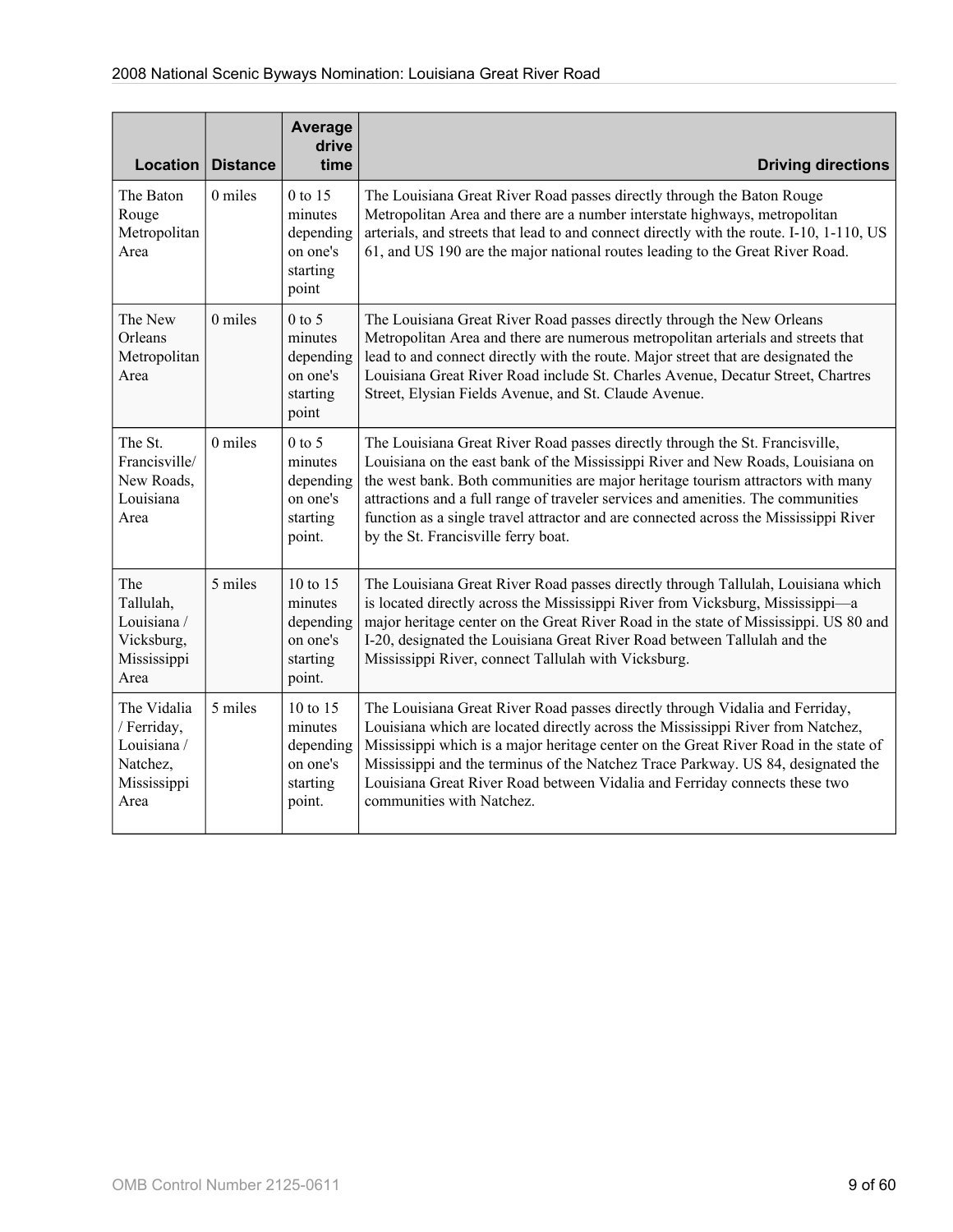|                                                                              |                 | Average<br>drive                                                   |                                                                                                                                                                                                                                                                                                                                                                                                                                                                       |
|------------------------------------------------------------------------------|-----------------|--------------------------------------------------------------------|-----------------------------------------------------------------------------------------------------------------------------------------------------------------------------------------------------------------------------------------------------------------------------------------------------------------------------------------------------------------------------------------------------------------------------------------------------------------------|
| Location $ $                                                                 | <b>Distance</b> | time                                                               | <b>Driving directions</b>                                                                                                                                                                                                                                                                                                                                                                                                                                             |
| The Baton<br>Rouge<br>Metropolitan<br>Area                                   | 0 miles         | 0 to 15<br>minutes<br>depending<br>on one's<br>starting<br>point   | The Louisiana Great River Road passes directly through the Baton Rouge<br>Metropolitan Area and there are a number interstate highways, metropolitan<br>arterials, and streets that lead to and connect directly with the route. I-10, 1-110, US<br>61, and US 190 are the major national routes leading to the Great River Road.                                                                                                                                     |
| The New<br>Orleans<br>Metropolitan<br>Area                                   | 0 miles         | $0$ to 5<br>minutes<br>depending<br>on one's<br>starting<br>point  | The Louisiana Great River Road passes directly through the New Orleans<br>Metropolitan Area and there are numerous metropolitan arterials and streets that<br>lead to and connect directly with the route. Major street that are designated the<br>Louisiana Great River Road include St. Charles Avenue, Decatur Street, Chartres<br>Street, Elysian Fields Avenue, and St. Claude Avenue.                                                                           |
| The St.<br>Francisville/<br>New Roads,<br>Louisiana<br>Area                  | 0 miles         | $0$ to 5<br>minutes<br>depending<br>on one's<br>starting<br>point. | The Louisiana Great River Road passes directly through the St. Francisville,<br>Louisiana on the east bank of the Mississippi River and New Roads, Louisiana on<br>the west bank. Both communities are major heritage tourism attractors with many<br>attractions and a full range of traveler services and amenities. The communities<br>function as a single travel attractor and are connected across the Mississippi River<br>by the St. Francisville ferry boat. |
| The<br>Tallulah,<br>Louisiana /<br>Vicksburg,<br>Mississippi<br>Area         | 5 miles         | 10 to 15<br>minutes<br>depending<br>on one's<br>starting<br>point. | The Louisiana Great River Road passes directly through Tallulah, Louisiana which<br>is located directly across the Mississippi River from Vicksburg, Mississippi-a<br>major heritage center on the Great River Road in the state of Mississippi. US 80 and<br>I-20, designated the Louisiana Great River Road between Tallulah and the<br>Mississippi River, connect Tallulah with Vicksburg.                                                                         |
| The Vidalia<br>/ Ferriday,<br>Louisiana /<br>Natchez,<br>Mississippi<br>Area | 5 miles         | 10 to 15<br>minutes<br>depending<br>on one's<br>starting<br>point. | The Louisiana Great River Road passes directly through Vidalia and Ferriday,<br>Louisiana which are located directly across the Mississippi River from Natchez,<br>Mississippi which is a major heritage center on the Great River Road in the state of<br>Mississippi and the terminus of the Natchez Trace Parkway. US 84, designated the<br>Louisiana Great River Road between Vidalia and Ferriday connects these two<br>communities with Natchez.                |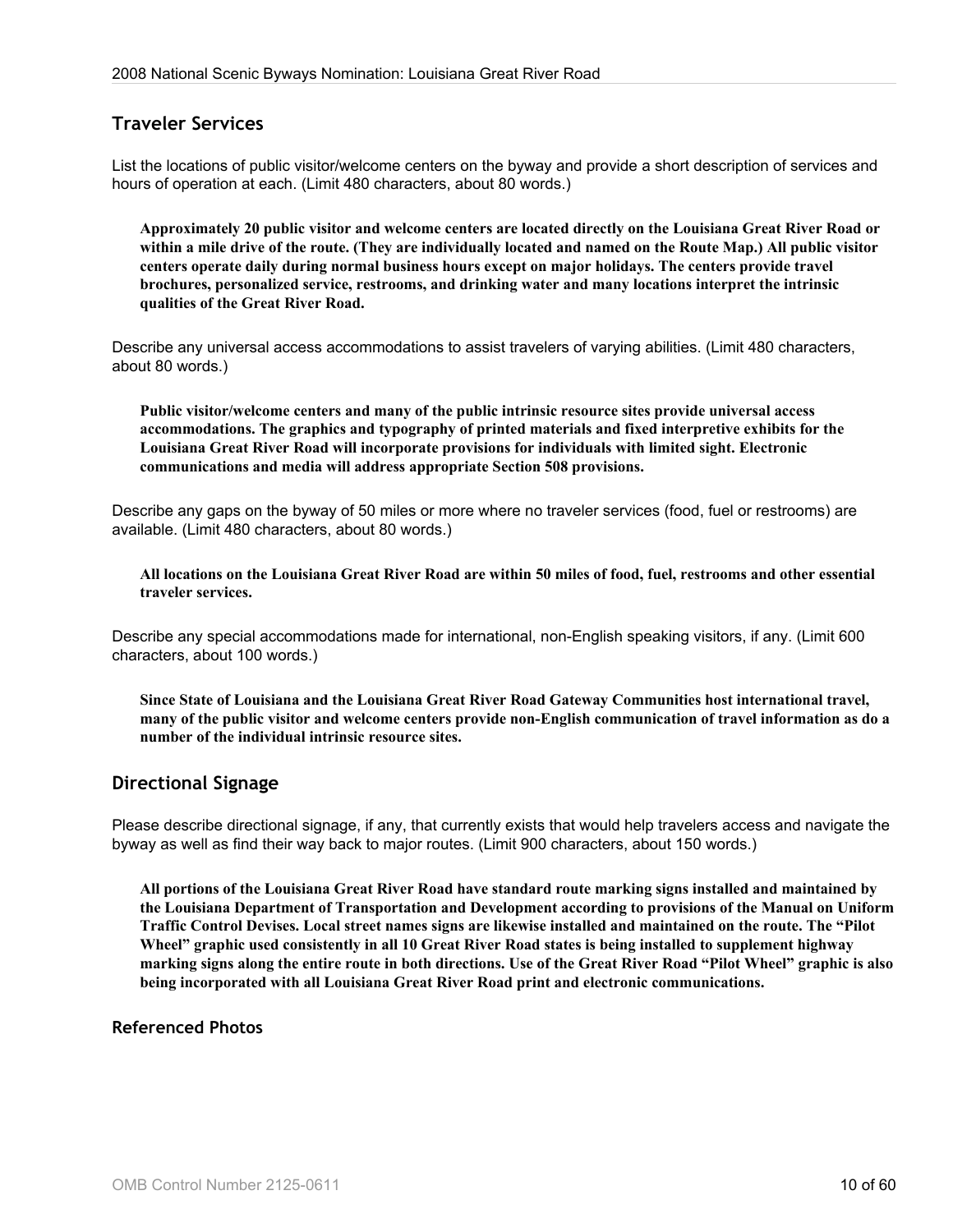# **Traveler Services**

List the locations of public visitor/welcome centers on the byway and provide a short description of services and hours of operation at each. (Limit 480 characters, about 80 words.)

**Approximately 20 public visitor and welcome centers are located directly on the Louisiana Great River Road or within a mile drive of the route. (They are individually located and named on the Route Map.) All public visitor centers operate daily during normal business hours except on major holidays. The centers provide travel brochures, personalized service, restrooms, and drinking water and many locations interpret the intrinsic qualities of the Great River Road.**

Describe any universal access accommodations to assist travelers of varying abilities. (Limit 480 characters, about 80 words.)

**Public visitor/welcome centers and many of the public intrinsic resource sites provide universal access accommodations. The graphics and typography of printed materials and fixed interpretive exhibits for the Louisiana Great River Road will incorporate provisions for individuals with limited sight. Electronic communications and media will address appropriate Section 508 provisions.**

Describe any gaps on the byway of 50 miles or more where no traveler services (food, fuel or restrooms) are available. (Limit 480 characters, about 80 words.)

**All locations on the Louisiana Great River Road are within 50 miles of food, fuel, restrooms and other essential traveler services.**

Describe any special accommodations made for international, non-English speaking visitors, if any. (Limit 600 characters, about 100 words.)

**Since State of Louisiana and the Louisiana Great River Road Gateway Communities host international travel, many of the public visitor and welcome centers provide non-English communication of travel information as do a number of the individual intrinsic resource sites.**

## **Directional Signage**

Please describe directional signage, if any, that currently exists that would help travelers access and navigate the byway as well as find their way back to major routes. (Limit 900 characters, about 150 words.)

**All portions of the Louisiana Great River Road have standard route marking signs installed and maintained by the Louisiana Department of Transportation and Development according to provisions of the Manual on Uniform Traffic Control Devises. Local street names signs are likewise installed and maintained on the route. The "Pilot Wheel" graphic used consistently in all 10 Great River Road states is being installed to supplement highway marking signs along the entire route in both directions. Use of the Great River Road "Pilot Wheel" graphic is also being incorporated with all Louisiana Great River Road print and electronic communications.**

#### **Referenced Photos**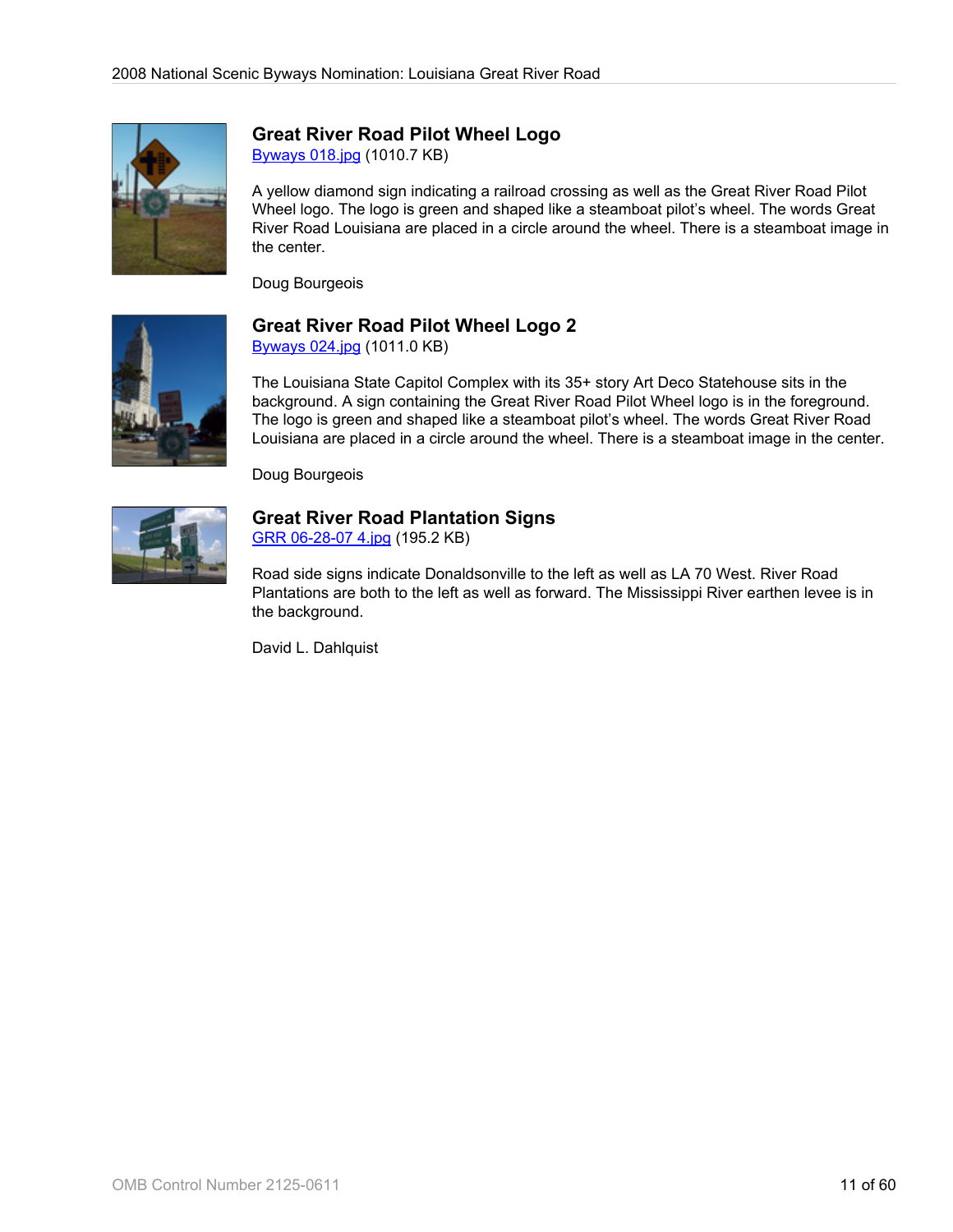

## **Great River Road Pilot Wheel Logo**

[Byways 018.jpg](http://www.bywaysonline.org/nominations/application/attachments/2259_jl8x2yawkm.jpg) (1010.7 KB)

A yellow diamond sign indicating a railroad crossing as well as the Great River Road Pilot Wheel logo. The logo is green and shaped like a steamboat pilot's wheel. The words Great River Road Louisiana are placed in a circle around the wheel. There is a steamboat image in the center.

Doug Bourgeois



# **Great River Road Pilot Wheel Logo 2**

[Byways 024.jpg](http://www.bywaysonline.org/nominations/application/attachments/2260_1wf255lsxw.jpg) (1011.0 KB)

The Louisiana State Capitol Complex with its 35+ story Art Deco Statehouse sits in the background. A sign containing the Great River Road Pilot Wheel logo is in the foreground. The logo is green and shaped like a steamboat pilot's wheel. The words Great River Road Louisiana are placed in a circle around the wheel. There is a steamboat image in the center.

Doug Bourgeois



# **Great River Road Plantation Signs**

[GRR 06-28-07 4.jpg](http://www.bywaysonline.org/nominations/application/attachments/2261_efub39cg9m.jpg) (195.2 KB)

Road side signs indicate Donaldsonville to the left as well as LA 70 West. River Road Plantations are both to the left as well as forward. The Mississippi River earthen levee is in the background.

David L. Dahlquist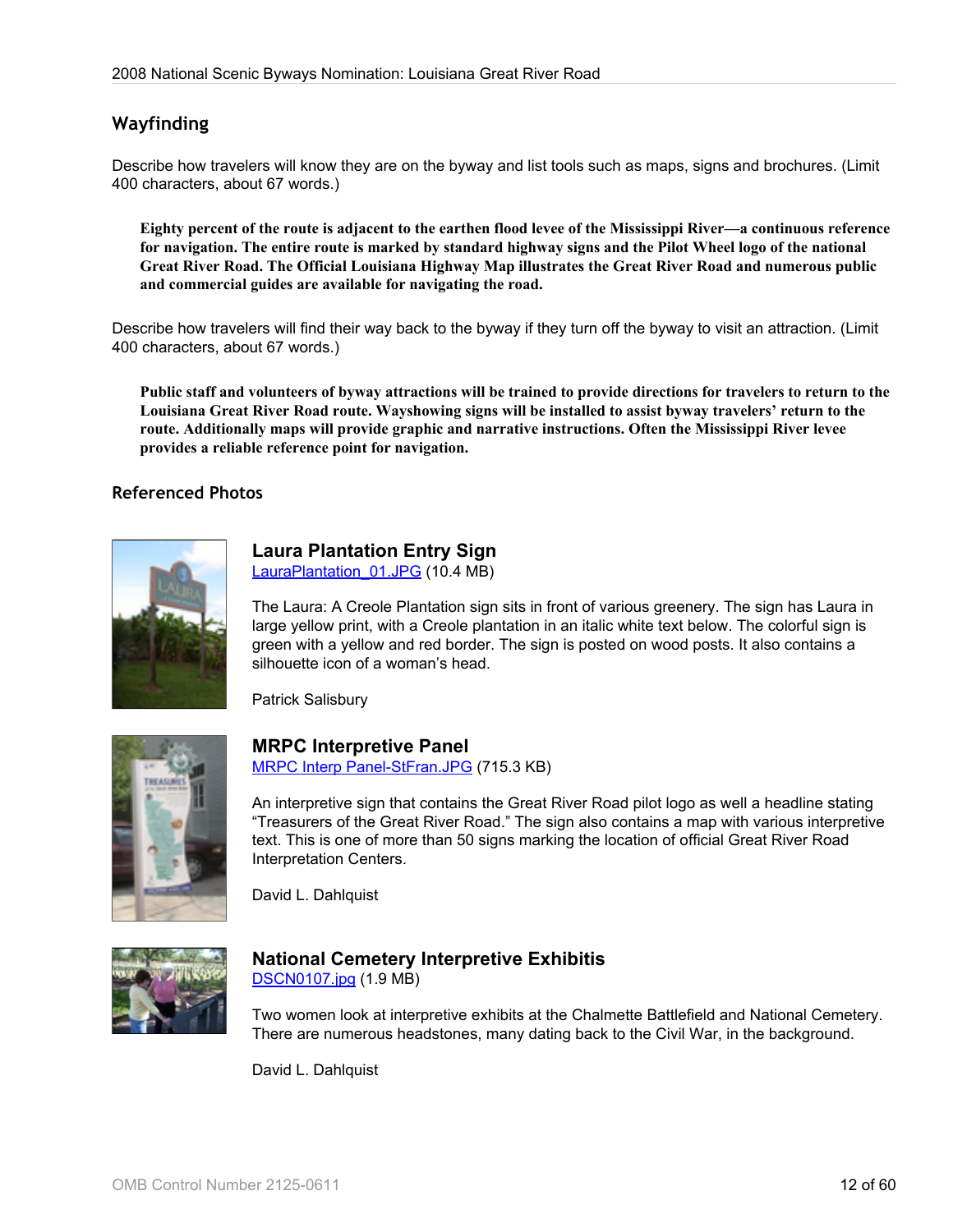# **Wayfinding**

Describe how travelers will know they are on the byway and list tools such as maps, signs and brochures. (Limit 400 characters, about 67 words.)

**Eighty percent of the route is adjacent to the earthen flood levee of the Mississippi River—a continuous reference for navigation. The entire route is marked by standard highway signs and the Pilot Wheel logo of the national Great River Road. The Official Louisiana Highway Map illustrates the Great River Road and numerous public and commercial guides are available for navigating the road.**

Describe how travelers will find their way back to the byway if they turn off the byway to visit an attraction. (Limit 400 characters, about 67 words.)

**Public staff and volunteers of byway attractions will be trained to provide directions for travelers to return to the Louisiana Great River Road route. Wayshowing signs will be installed to assist byway travelers' return to the route. Additionally maps will provide graphic and narrative instructions. Often the Mississippi River levee provides a reliable reference point for navigation.**

#### **Referenced Photos**



# **Laura Plantation Entry Sign**

LauraPlantation 01.JPG (10.4 MB)

The Laura: A Creole Plantation sign sits in front of various greenery. The sign has Laura in large yellow print, with a Creole plantation in an italic white text below. The colorful sign is green with a yellow and red border. The sign is posted on wood posts. It also contains a silhouette icon of a woman's head.

Patrick Salisbury



#### **MRPC Interpretive Panel**

[MRPC Interp Panel-StFran.JPG](http://www.bywaysonline.org/nominations/application/attachments/2263_djmiccmg78.JPG) (715.3 KB)

An interpretive sign that contains the Great River Road pilot logo as well a headline stating "Treasurers of the Great River Road." The sign also contains a map with various interpretive text. This is one of more than 50 signs marking the location of official Great River Road Interpretation Centers.

David L. Dahlquist



## **National Cemetery Interpretive Exhibitis**

[DSCN0107.jpg](http://www.bywaysonline.org/nominations/application/attachments/2264_s9surbfny4.jpg) (1.9 MB)

Two women look at interpretive exhibits at the Chalmette Battlefield and National Cemetery. There are numerous headstones, many dating back to the Civil War, in the background.

David L. Dahlquist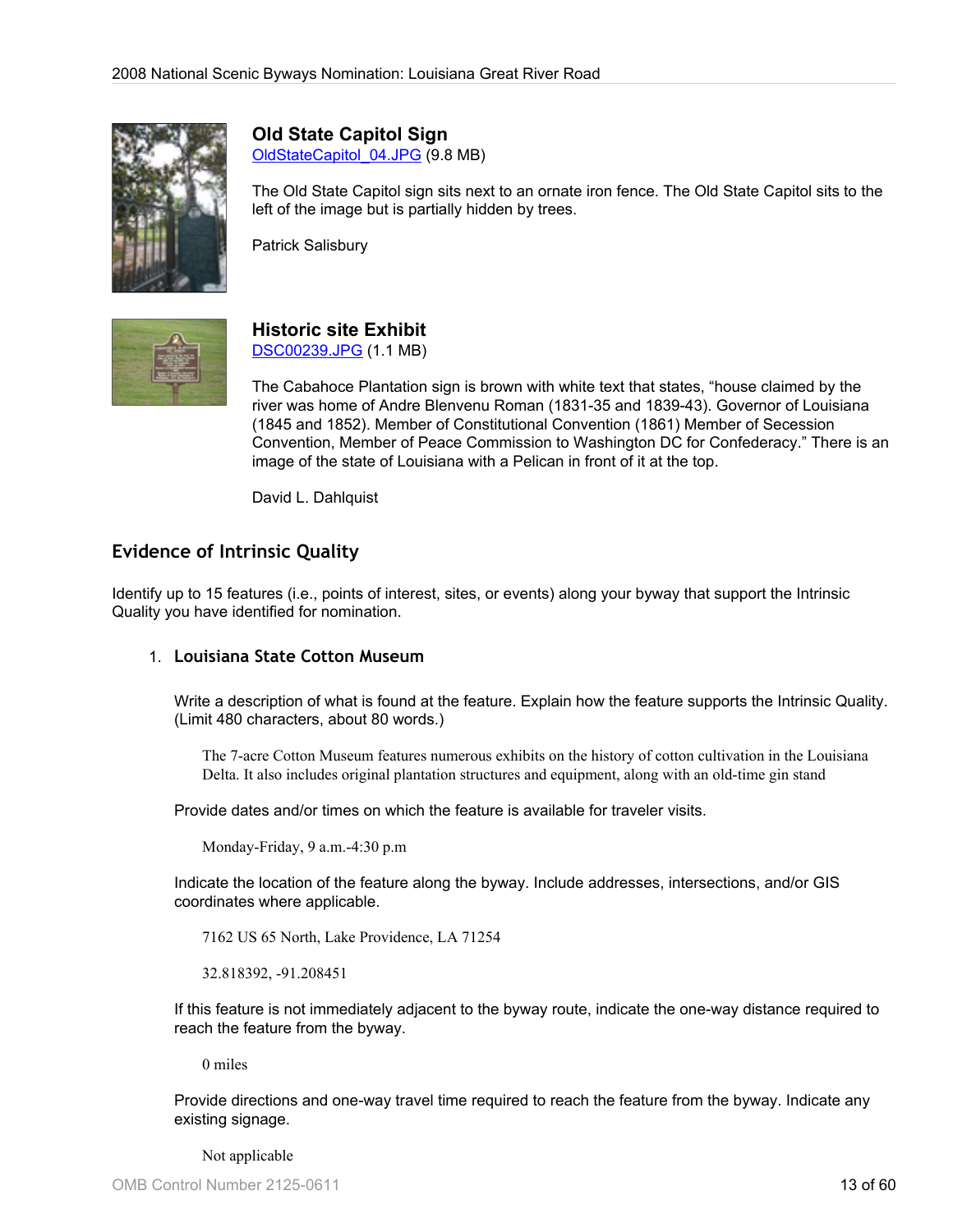

**Old State Capitol Sign**

[OldStateCapitol\\_04.JPG](http://www.bywaysonline.org/nominations/application/attachments/2265_h34o2qzzqa.JPG) (9.8 MB)

The Old State Capitol sign sits next to an ornate iron fence. The Old State Capitol sits to the left of the image but is partially hidden by trees.

Patrick Salisbury



#### **Historic site Exhibit** [DSC00239.JPG](http://www.bywaysonline.org/nominations/application/attachments/2266_jq9u1k18sj.JPG) (1.1 MB)

The Cabahoce Plantation sign is brown with white text that states, "house claimed by the river was home of Andre Blenvenu Roman (1831-35 and 1839-43). Governor of Louisiana (1845 and 1852). Member of Constitutional Convention (1861) Member of Secession Convention, Member of Peace Commission to Washington DC for Confederacy." There is an image of the state of Louisiana with a Pelican in front of it at the top.

David L. Dahlquist

# **Evidence of Intrinsic Quality**

Identify up to 15 features (i.e., points of interest, sites, or events) along your byway that support the Intrinsic Quality you have identified for nomination.

## 1. **Louisiana State Cotton Museum**

Write a description of what is found at the feature. Explain how the feature supports the Intrinsic Quality. (Limit 480 characters, about 80 words.)

The 7-acre Cotton Museum features numerous exhibits on the history of cotton cultivation in the Louisiana Delta. It also includes original plantation structures and equipment, along with an old-time gin stand

Provide dates and/or times on which the feature is available for traveler visits.

Monday-Friday, 9 a.m.-4:30 p.m

Indicate the location of the feature along the byway. Include addresses, intersections, and/or GIS coordinates where applicable.

7162 US 65 North, Lake Providence, LA 71254

32.818392, -91.208451

If this feature is not immediately adjacent to the byway route, indicate the one-way distance required to reach the feature from the byway.

0 miles

Provide directions and one-way travel time required to reach the feature from the byway. Indicate any existing signage.

Not applicable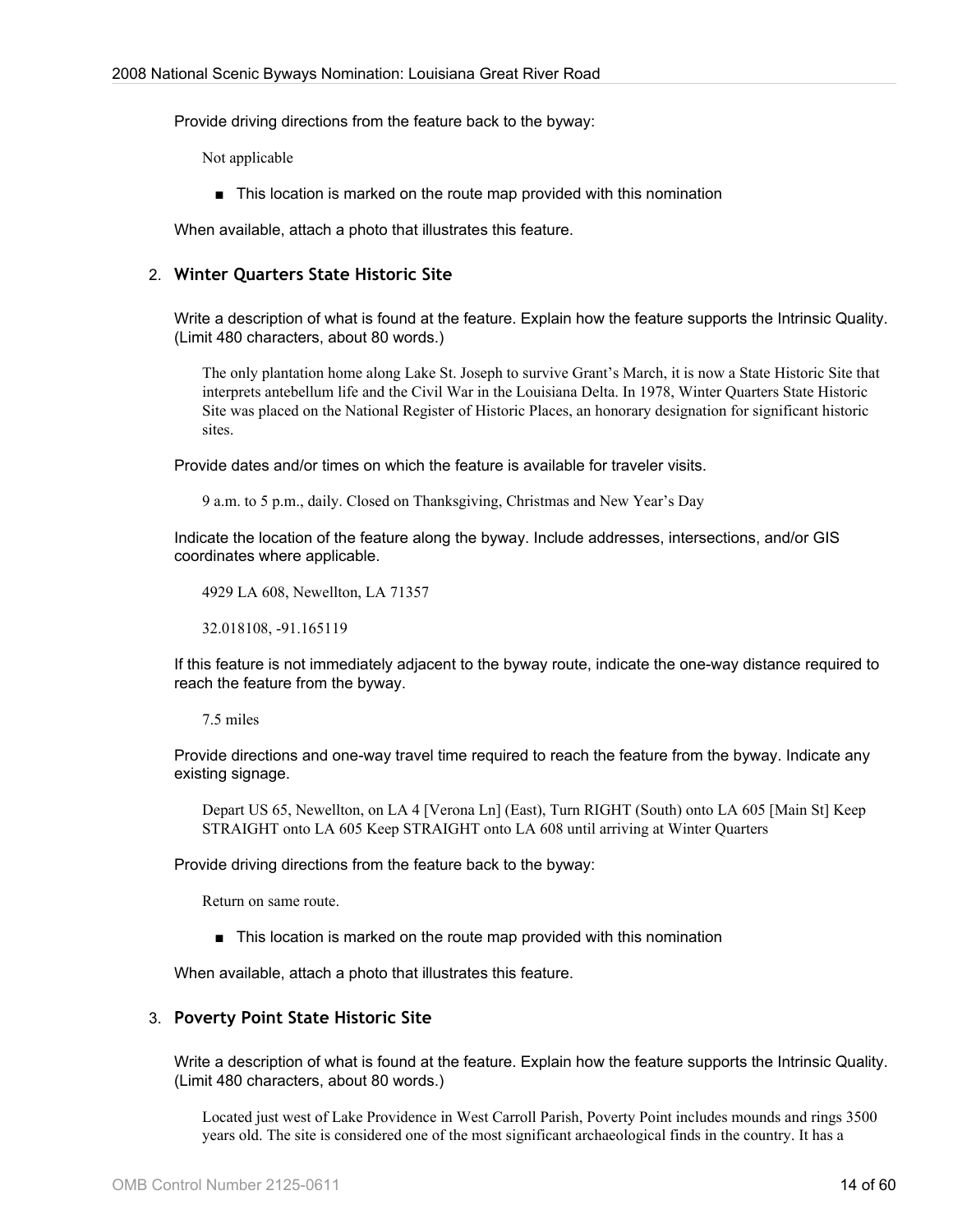Provide driving directions from the feature back to the byway:

Not applicable

■ This location is marked on the route map provided with this nomination

When available, attach a photo that illustrates this feature.

#### 2. **Winter Quarters State Historic Site**

Write a description of what is found at the feature. Explain how the feature supports the Intrinsic Quality. (Limit 480 characters, about 80 words.)

The only plantation home along Lake St. Joseph to survive Grant's March, it is now a State Historic Site that interprets antebellum life and the Civil War in the Louisiana Delta. In 1978, Winter Quarters State Historic Site was placed on the National Register of Historic Places, an honorary designation for significant historic sites.

Provide dates and/or times on which the feature is available for traveler visits.

9 a.m. to 5 p.m., daily. Closed on Thanksgiving, Christmas and New Year's Day

Indicate the location of the feature along the byway. Include addresses, intersections, and/or GIS coordinates where applicable.

4929 LA 608, Newellton, LA 71357

32.018108, -91.165119

If this feature is not immediately adjacent to the byway route, indicate the one-way distance required to reach the feature from the byway.

#### 7.5 miles

Provide directions and one-way travel time required to reach the feature from the byway. Indicate any existing signage.

Depart US 65, Newellton, on LA 4 [Verona Ln] (East), Turn RIGHT (South) onto LA 605 [Main St] Keep STRAIGHT onto LA 605 Keep STRAIGHT onto LA 608 until arriving at Winter Quarters

Provide driving directions from the feature back to the byway:

Return on same route.

■ This location is marked on the route map provided with this nomination

When available, attach a photo that illustrates this feature.

#### 3. **Poverty Point State Historic Site**

Write a description of what is found at the feature. Explain how the feature supports the Intrinsic Quality. (Limit 480 characters, about 80 words.)

Located just west of Lake Providence in West Carroll Parish, Poverty Point includes mounds and rings 3500 years old. The site is considered one of the most significant archaeological finds in the country. It has a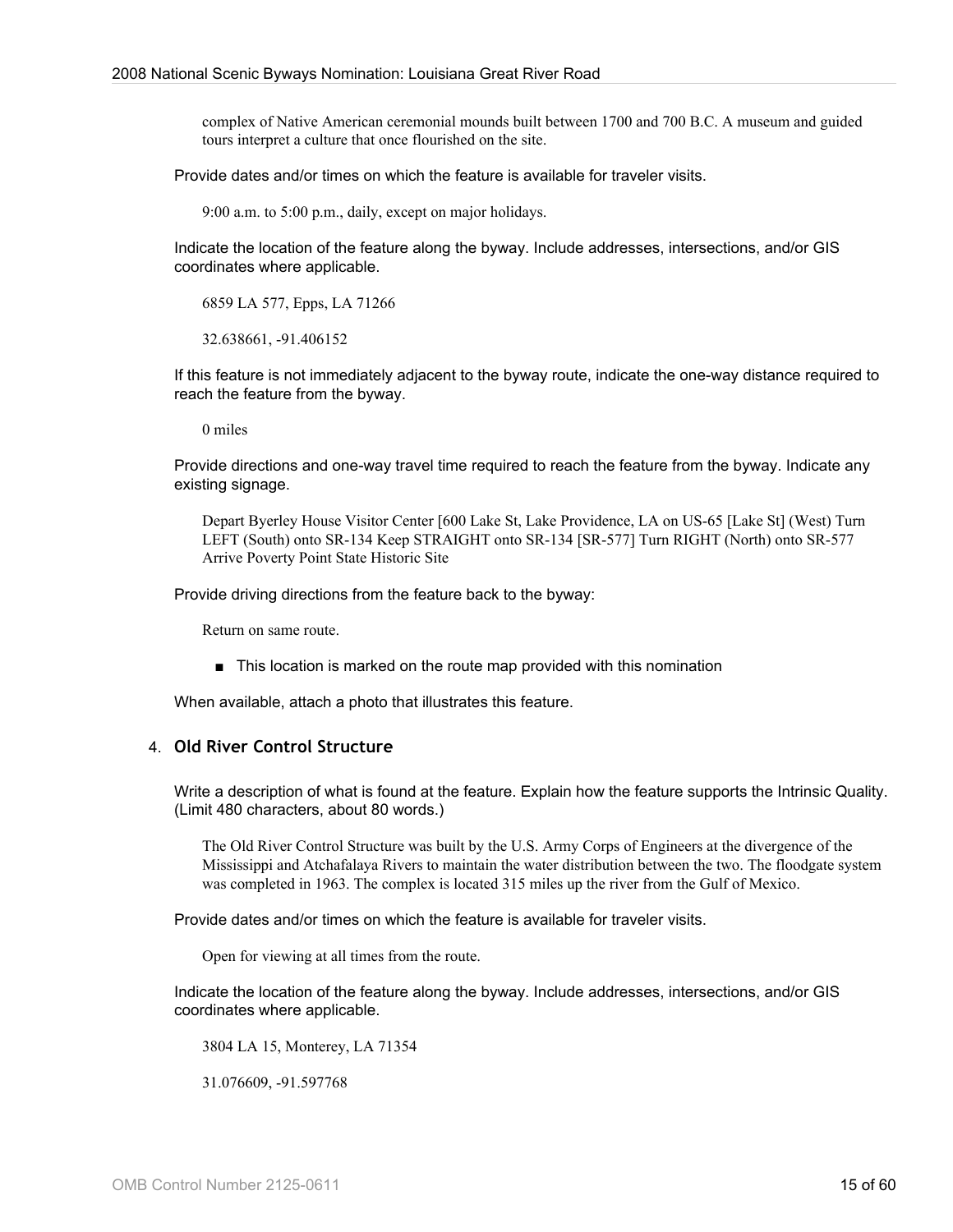complex of Native American ceremonial mounds built between 1700 and 700 B.C. A museum and guided tours interpret a culture that once flourished on the site.

Provide dates and/or times on which the feature is available for traveler visits.

9:00 a.m. to 5:00 p.m., daily, except on major holidays.

Indicate the location of the feature along the byway. Include addresses, intersections, and/or GIS coordinates where applicable.

6859 LA 577, Epps, LA 71266

32.638661, -91.406152

If this feature is not immediately adjacent to the byway route, indicate the one-way distance required to reach the feature from the byway.

0 miles

Provide directions and one-way travel time required to reach the feature from the byway. Indicate any existing signage.

Depart Byerley House Visitor Center [600 Lake St, Lake Providence, LA on US-65 [Lake St] (West) Turn LEFT (South) onto SR-134 Keep STRAIGHT onto SR-134 [SR-577] Turn RIGHT (North) onto SR-577 Arrive Poverty Point State Historic Site

Provide driving directions from the feature back to the byway:

Return on same route.

■ This location is marked on the route map provided with this nomination

When available, attach a photo that illustrates this feature.

#### 4. **Old River Control Structure**

Write a description of what is found at the feature. Explain how the feature supports the Intrinsic Quality. (Limit 480 characters, about 80 words.)

The Old River Control Structure was built by the U.S. Army Corps of Engineers at the divergence of the Mississippi and Atchafalaya Rivers to maintain the water distribution between the two. The floodgate system was completed in 1963. The complex is located 315 miles up the river from the Gulf of Mexico.

Provide dates and/or times on which the feature is available for traveler visits.

Open for viewing at all times from the route.

Indicate the location of the feature along the byway. Include addresses, intersections, and/or GIS coordinates where applicable.

3804 LA 15, Monterey, LA 71354

31.076609, -91.597768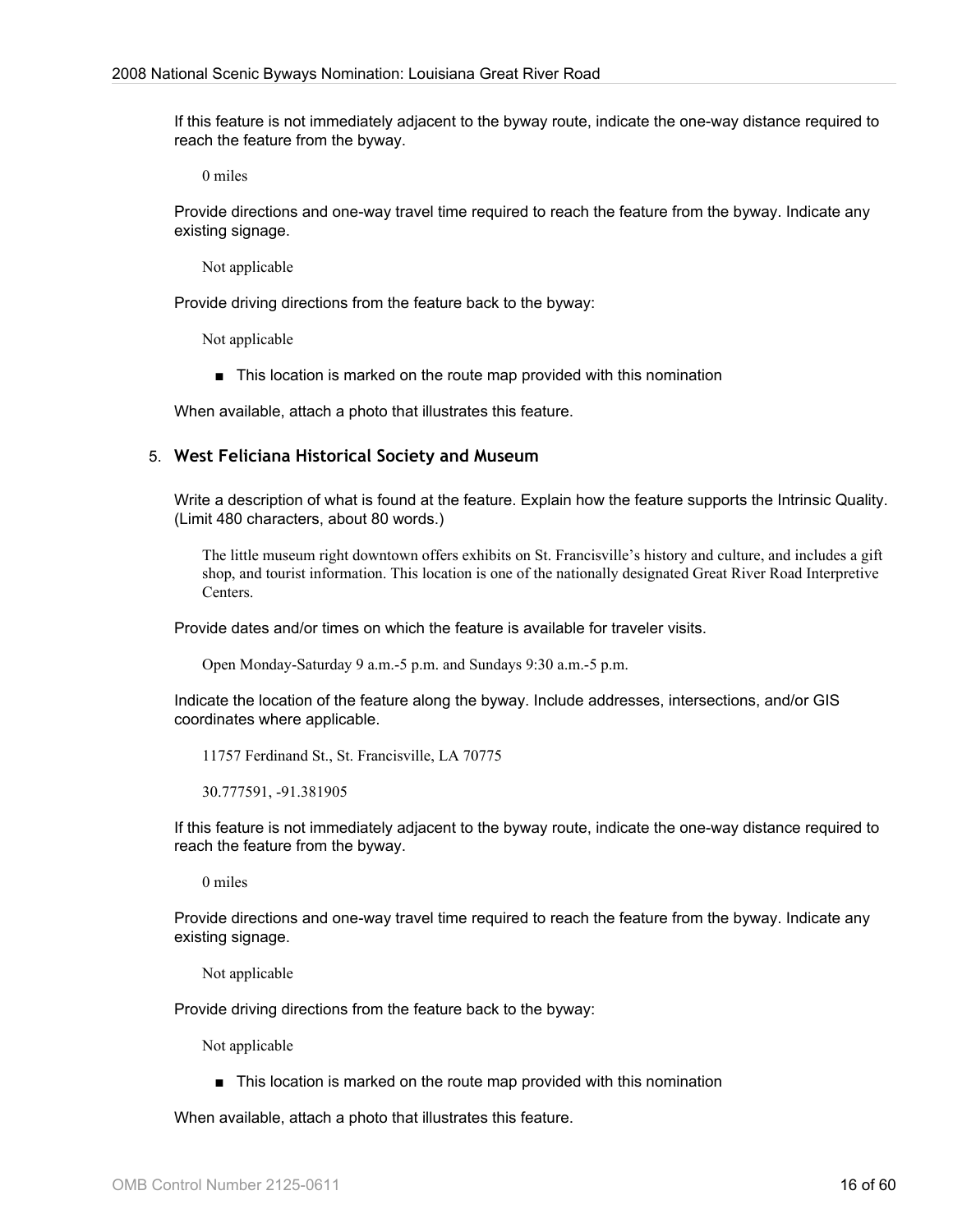If this feature is not immediately adjacent to the byway route, indicate the one-way distance required to reach the feature from the byway.

0 miles

Provide directions and one-way travel time required to reach the feature from the byway. Indicate any existing signage.

Not applicable

Provide driving directions from the feature back to the byway:

Not applicable

■ This location is marked on the route map provided with this nomination

When available, attach a photo that illustrates this feature.

#### 5. **West Feliciana Historical Society and Museum**

Write a description of what is found at the feature. Explain how the feature supports the Intrinsic Quality. (Limit 480 characters, about 80 words.)

The little museum right downtown offers exhibits on St. Francisville's history and culture, and includes a gift shop, and tourist information. This location is one of the nationally designated Great River Road Interpretive Centers.

Provide dates and/or times on which the feature is available for traveler visits.

Open Monday-Saturday 9 a.m.-5 p.m. and Sundays 9:30 a.m.-5 p.m.

Indicate the location of the feature along the byway. Include addresses, intersections, and/or GIS coordinates where applicable.

11757 Ferdinand St., St. Francisville, LA 70775

30.777591, -91.381905

If this feature is not immediately adjacent to the byway route, indicate the one-way distance required to reach the feature from the byway.

0 miles

Provide directions and one-way travel time required to reach the feature from the byway. Indicate any existing signage.

Not applicable

Provide driving directions from the feature back to the byway:

Not applicable

■ This location is marked on the route map provided with this nomination

When available, attach a photo that illustrates this feature.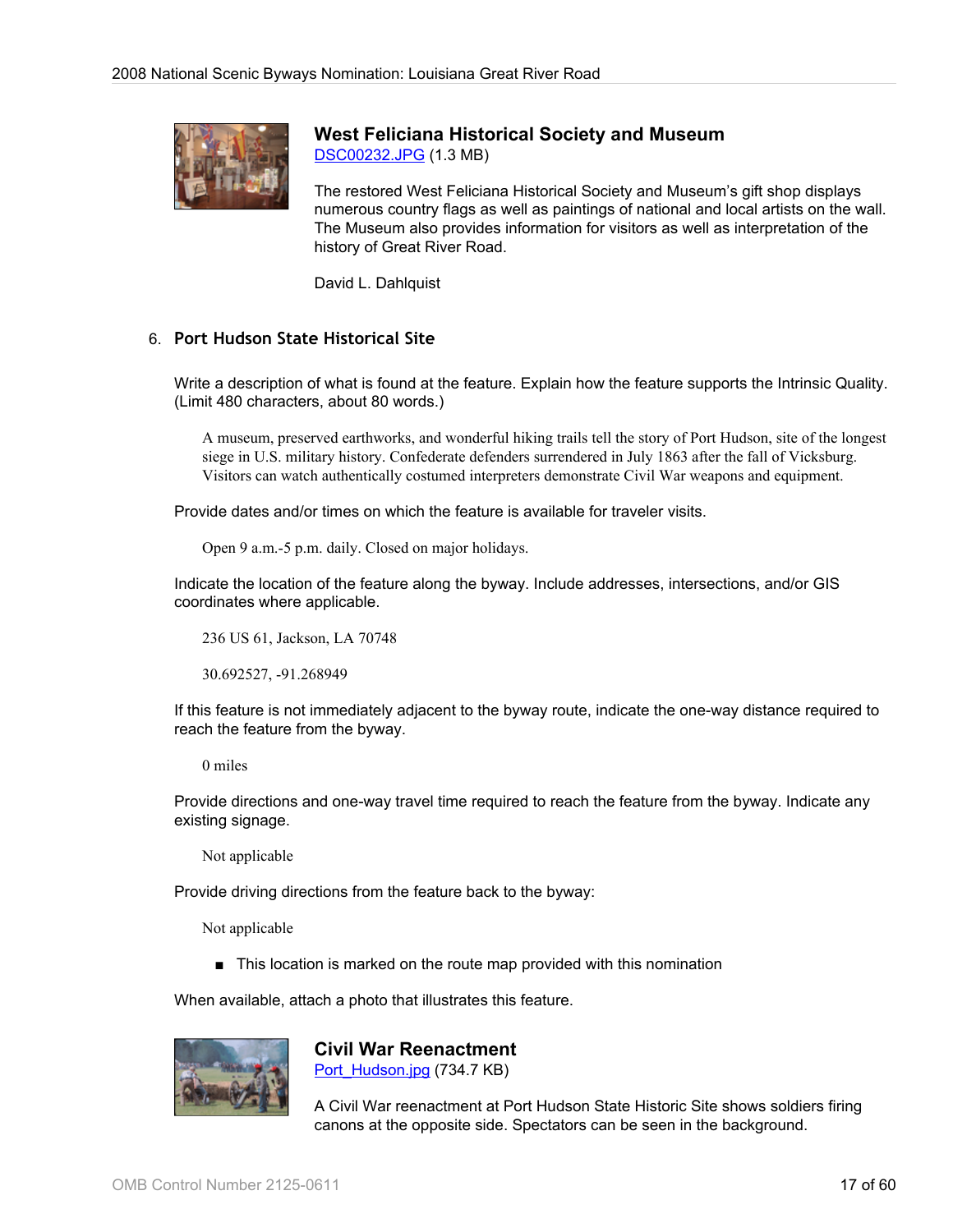

# **West Feliciana Historical Society and Museum**

[DSC00232.JPG](http://www.bywaysonline.org/nominations/application/attachments/2239_to8vz8uwyg.JPG) (1.3 MB)

The restored West Feliciana Historical Society and Museum's gift shop displays numerous country flags as well as paintings of national and local artists on the wall. The Museum also provides information for visitors as well as interpretation of the history of Great River Road.

David L. Dahlquist

#### 6. **Port Hudson State Historical Site**

Write a description of what is found at the feature. Explain how the feature supports the Intrinsic Quality. (Limit 480 characters, about 80 words.)

A museum, preserved earthworks, and wonderful hiking trails tell the story of Port Hudson, site of the longest siege in U.S. military history. Confederate defenders surrendered in July 1863 after the fall of Vicksburg. Visitors can watch authentically costumed interpreters demonstrate Civil War weapons and equipment.

Provide dates and/or times on which the feature is available for traveler visits.

Open 9 a.m.-5 p.m. daily. Closed on major holidays.

Indicate the location of the feature along the byway. Include addresses, intersections, and/or GIS coordinates where applicable.

236 US 61, Jackson, LA 70748

30.692527, -91.268949

If this feature is not immediately adjacent to the byway route, indicate the one-way distance required to reach the feature from the byway.

0 miles

Provide directions and one-way travel time required to reach the feature from the byway. Indicate any existing signage.

Not applicable

Provide driving directions from the feature back to the byway:

Not applicable

■ This location is marked on the route map provided with this nomination

When available, attach a photo that illustrates this feature.



**Civil War Reenactment**

[Port\\_Hudson.jpg](http://www.bywaysonline.org/nominations/application/attachments/2314_2j1wecb2qc.jpg) (734.7 KB)

A Civil War reenactment at Port Hudson State Historic Site shows soldiers firing canons at the opposite side. Spectators can be seen in the background.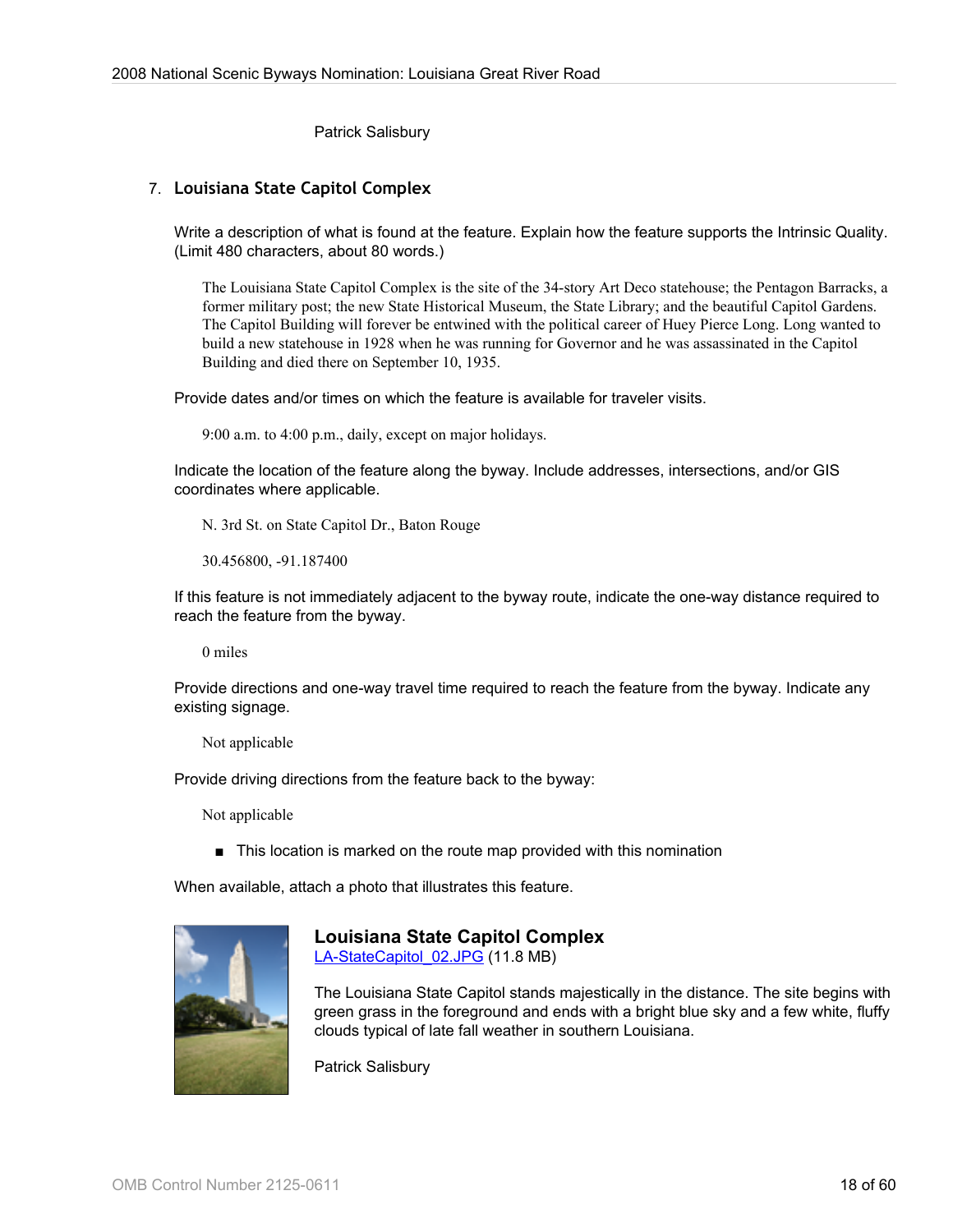Patrick Salisbury

#### 7. **Louisiana State Capitol Complex**

Write a description of what is found at the feature. Explain how the feature supports the Intrinsic Quality. (Limit 480 characters, about 80 words.)

The Louisiana State Capitol Complex is the site of the 34-story Art Deco statehouse; the Pentagon Barracks, a former military post; the new State Historical Museum, the State Library; and the beautiful Capitol Gardens. The Capitol Building will forever be entwined with the political career of Huey Pierce Long. Long wanted to build a new statehouse in 1928 when he was running for Governor and he was assassinated in the Capitol Building and died there on September 10, 1935.

Provide dates and/or times on which the feature is available for traveler visits.

9:00 a.m. to 4:00 p.m., daily, except on major holidays.

Indicate the location of the feature along the byway. Include addresses, intersections, and/or GIS coordinates where applicable.

N. 3rd St. on State Capitol Dr., Baton Rouge

30.456800, -91.187400

If this feature is not immediately adjacent to the byway route, indicate the one-way distance required to reach the feature from the byway.

0 miles

Provide directions and one-way travel time required to reach the feature from the byway. Indicate any existing signage.

Not applicable

Provide driving directions from the feature back to the byway:

Not applicable

■ This location is marked on the route map provided with this nomination

When available, attach a photo that illustrates this feature.



**Louisiana State Capitol Complex** [LA-StateCapitol\\_02.JPG](http://www.bywaysonline.org/nominations/application/attachments/2244_maieklbuuc.JPG) (11.8 MB)

The Louisiana State Capitol stands majestically in the distance. The site begins with green grass in the foreground and ends with a bright blue sky and a few white, fluffy clouds typical of late fall weather in southern Louisiana.

Patrick Salisbury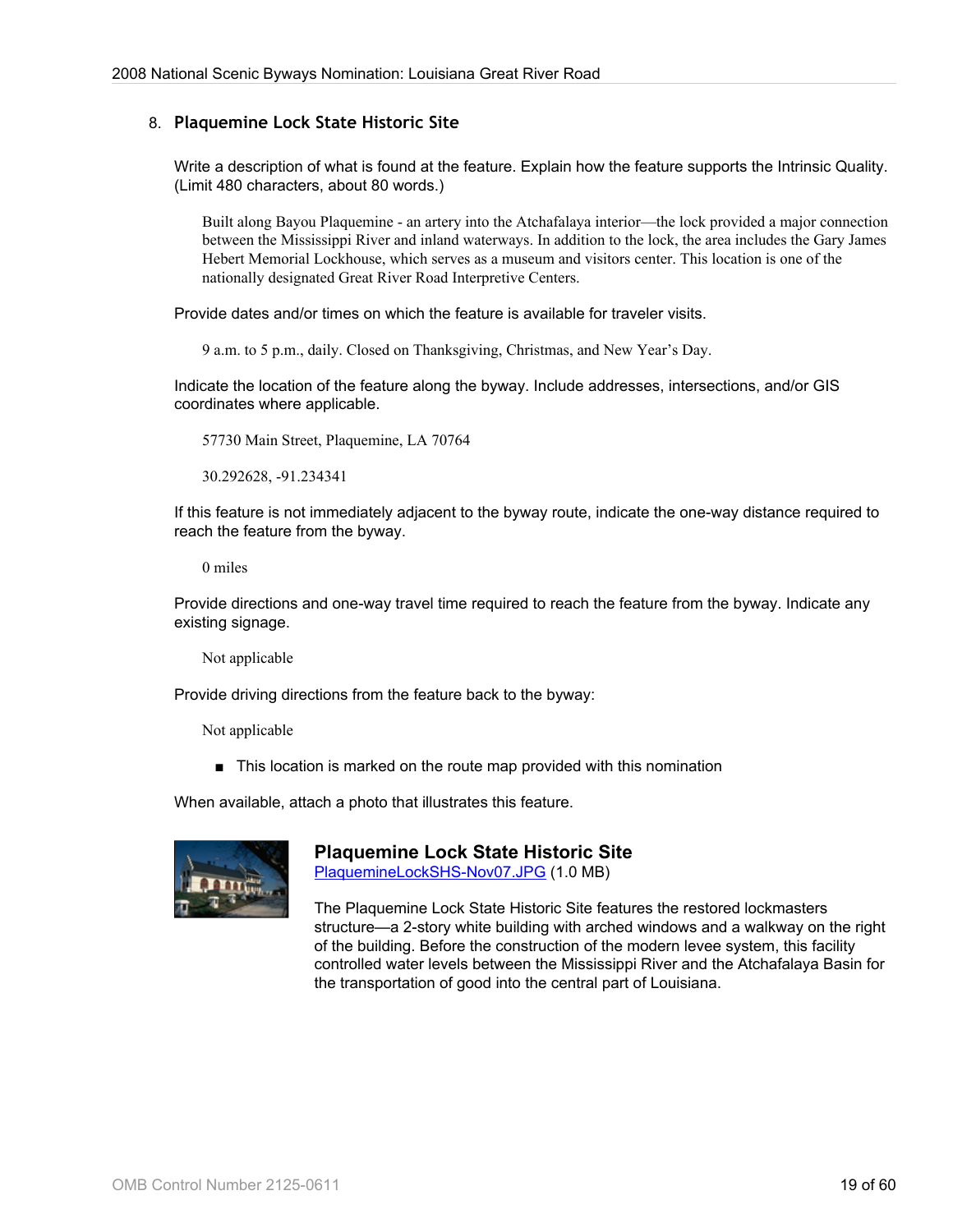#### 8. **Plaquemine Lock State Historic Site**

Write a description of what is found at the feature. Explain how the feature supports the Intrinsic Quality. (Limit 480 characters, about 80 words.)

Built along Bayou Plaquemine - an artery into the Atchafalaya interior—the lock provided a major connection between the Mississippi River and inland waterways. In addition to the lock, the area includes the Gary James Hebert Memorial Lockhouse, which serves as a museum and visitors center. This location is one of the nationally designated Great River Road Interpretive Centers.

Provide dates and/or times on which the feature is available for traveler visits.

9 a.m. to 5 p.m., daily. Closed on Thanksgiving, Christmas, and New Year's Day.

Indicate the location of the feature along the byway. Include addresses, intersections, and/or GIS coordinates where applicable.

57730 Main Street, Plaquemine, LA 70764

30.292628, -91.234341

If this feature is not immediately adjacent to the byway route, indicate the one-way distance required to reach the feature from the byway.

0 miles

Provide directions and one-way travel time required to reach the feature from the byway. Indicate any existing signage.

Not applicable

Provide driving directions from the feature back to the byway:

Not applicable

■ This location is marked on the route map provided with this nomination

When available, attach a photo that illustrates this feature.



**Plaquemine Lock State Historic Site** [PlaquemineLockSHS-Nov07.JPG](http://www.bywaysonline.org/nominations/application/attachments/2240_hbfeptb852.JPG) (1.0 MB)

The Plaquemine Lock State Historic Site features the restored lockmasters structure—a 2-story white building with arched windows and a walkway on the right of the building. Before the construction of the modern levee system, this facility controlled water levels between the Mississippi River and the Atchafalaya Basin for the transportation of good into the central part of Louisiana.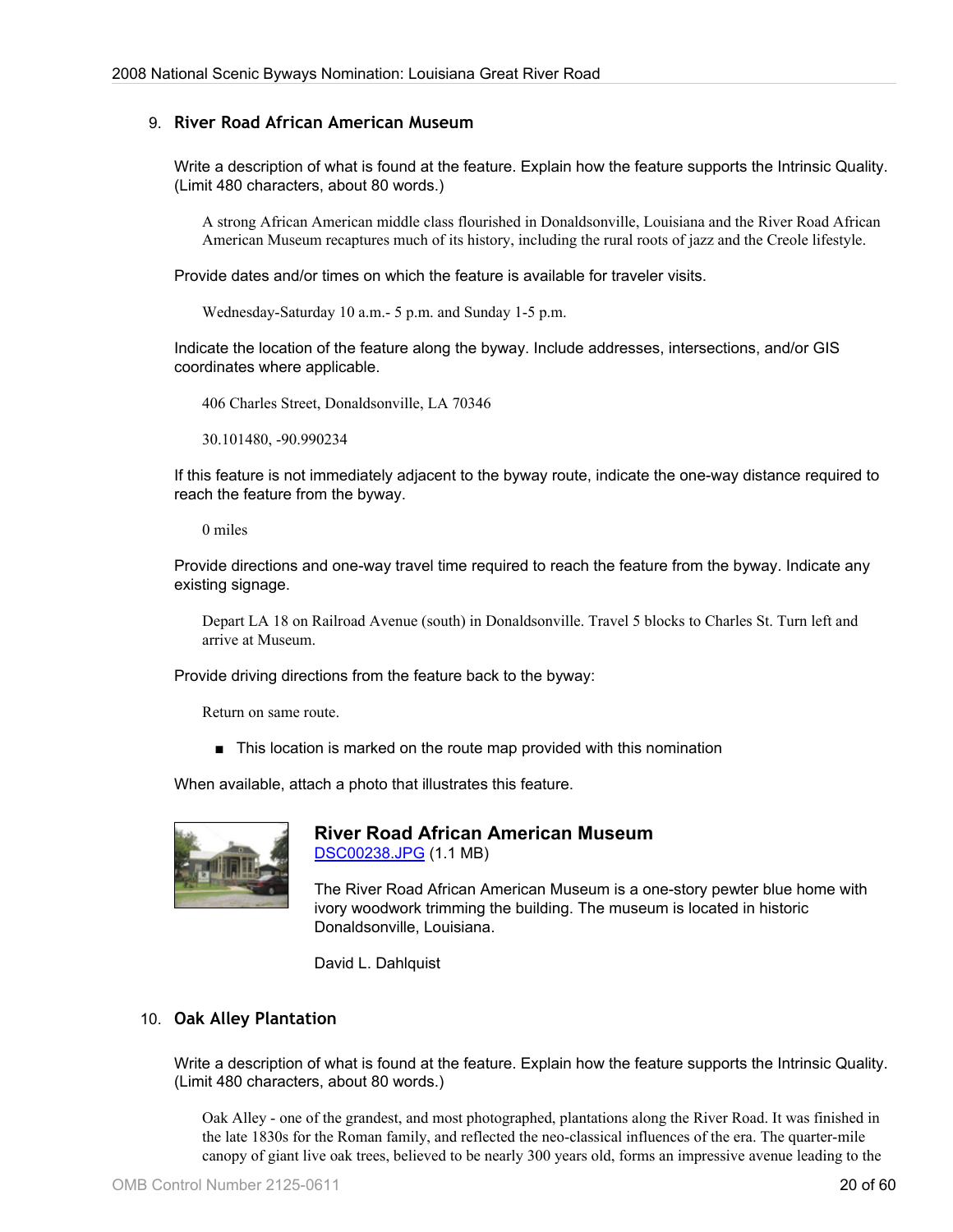#### 9. **River Road African American Museum**

Write a description of what is found at the feature. Explain how the feature supports the Intrinsic Quality. (Limit 480 characters, about 80 words.)

A strong African American middle class flourished in Donaldsonville, Louisiana and the River Road African American Museum recaptures much of its history, including the rural roots of jazz and the Creole lifestyle.

Provide dates and/or times on which the feature is available for traveler visits.

Wednesday-Saturday 10 a.m.- 5 p.m. and Sunday 1-5 p.m.

Indicate the location of the feature along the byway. Include addresses, intersections, and/or GIS coordinates where applicable.

406 Charles Street, Donaldsonville, LA 70346

30.101480, -90.990234

If this feature is not immediately adjacent to the byway route, indicate the one-way distance required to reach the feature from the byway.

0 miles

Provide directions and one-way travel time required to reach the feature from the byway. Indicate any existing signage.

Depart LA 18 on Railroad Avenue (south) in Donaldsonville. Travel 5 blocks to Charles St. Turn left and arrive at Museum.

Provide driving directions from the feature back to the byway:

Return on same route.

■ This location is marked on the route map provided with this nomination

When available, attach a photo that illustrates this feature.



## **River Road African American Museum** [DSC00238.JPG](http://www.bywaysonline.org/nominations/application/attachments/2243_6hpyu4g1mb.JPG) (1.1 MB)

The River Road African American Museum is a one-story pewter blue home with ivory woodwork trimming the building. The museum is located in historic Donaldsonville, Louisiana.

David L. Dahlquist

#### 10. **Oak Alley Plantation**

Write a description of what is found at the feature. Explain how the feature supports the Intrinsic Quality. (Limit 480 characters, about 80 words.)

Oak Alley - one of the grandest, and most photographed, plantations along the River Road. It was finished in the late 1830s for the Roman family, and reflected the neo-classical influences of the era. The quarter-mile canopy of giant live oak trees, believed to be nearly 300 years old, forms an impressive avenue leading to the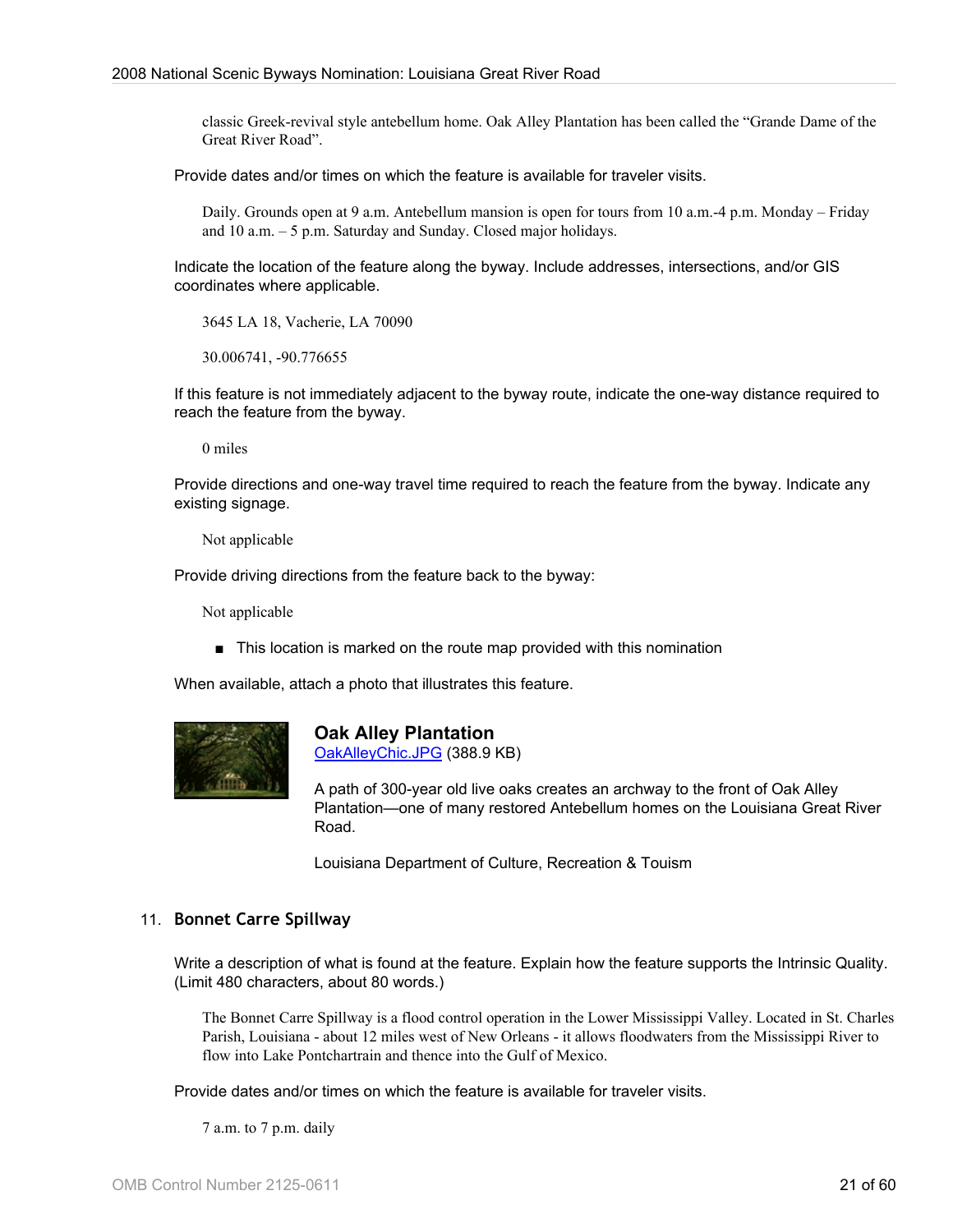classic Greek-revival style antebellum home. Oak Alley Plantation has been called the "Grande Dame of the Great River Road".

Provide dates and/or times on which the feature is available for traveler visits.

Daily. Grounds open at 9 a.m. Antebellum mansion is open for tours from 10 a.m.-4 p.m. Monday – Friday and 10 a.m. – 5 p.m. Saturday and Sunday. Closed major holidays.

Indicate the location of the feature along the byway. Include addresses, intersections, and/or GIS coordinates where applicable.

3645 LA 18, Vacherie, LA 70090

30.006741, -90.776655

If this feature is not immediately adjacent to the byway route, indicate the one-way distance required to reach the feature from the byway.

0 miles

Provide directions and one-way travel time required to reach the feature from the byway. Indicate any existing signage.

Not applicable

Provide driving directions from the feature back to the byway:

Not applicable

■ This location is marked on the route map provided with this nomination

When available, attach a photo that illustrates this feature.



**Oak Alley Plantation** [OakAlleyChic.JPG](http://www.bywaysonline.org/nominations/application/attachments/2237_ujziwh6zs9.JPG) (388.9 KB)

A path of 300-year old live oaks creates an archway to the front of Oak Alley Plantation—one of many restored Antebellum homes on the Louisiana Great River Road.

Louisiana Department of Culture, Recreation & Touism

#### 11. **Bonnet Carre Spillway**

Write a description of what is found at the feature. Explain how the feature supports the Intrinsic Quality. (Limit 480 characters, about 80 words.)

The Bonnet Carre Spillway is a flood control operation in the Lower Mississippi Valley. Located in St. Charles Parish, Louisiana - about 12 miles west of New Orleans - it allows floodwaters from the Mississippi River to flow into Lake Pontchartrain and thence into the Gulf of Mexico.

Provide dates and/or times on which the feature is available for traveler visits.

7 a.m. to 7 p.m. daily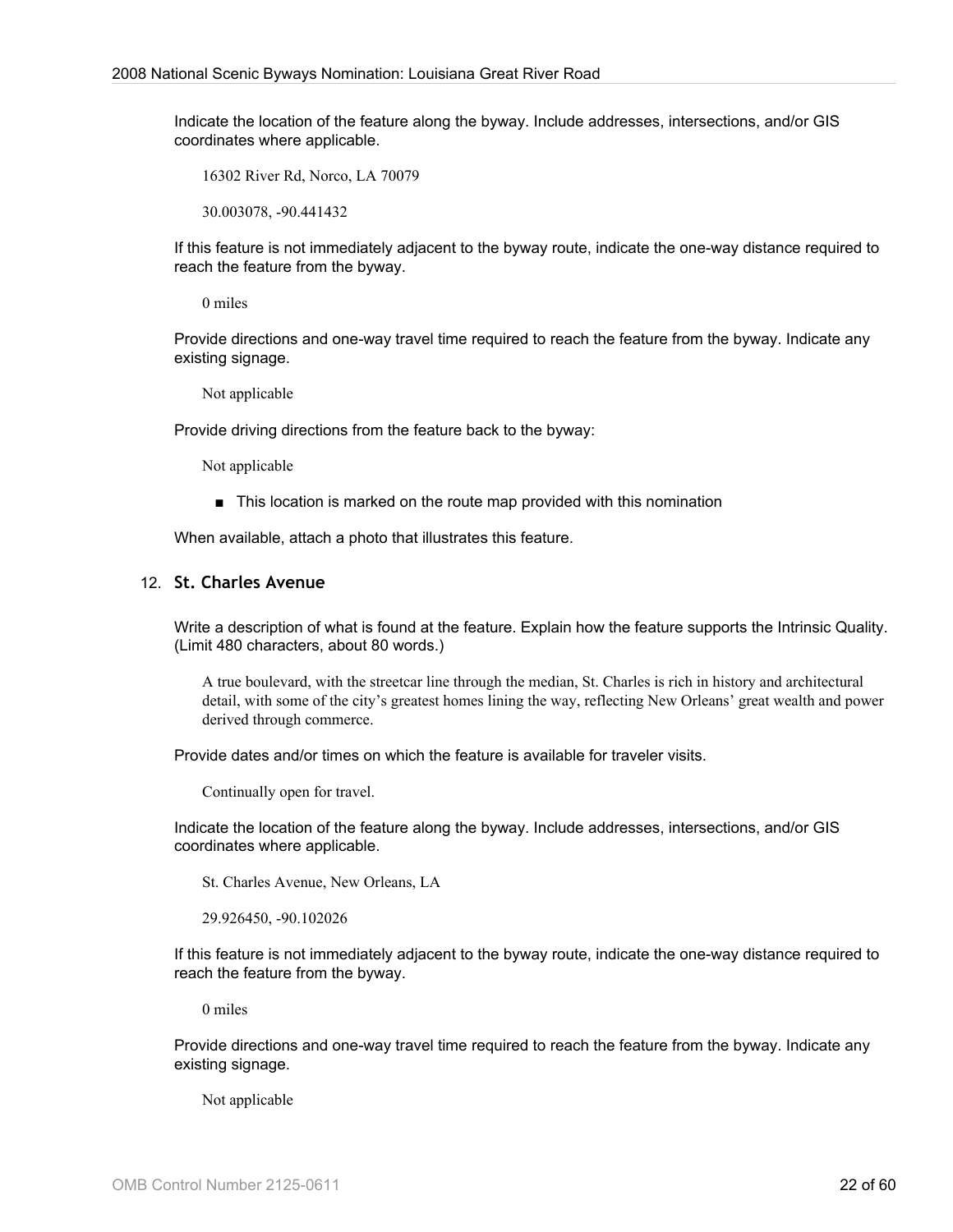Indicate the location of the feature along the byway. Include addresses, intersections, and/or GIS coordinates where applicable.

16302 River Rd, Norco, LA 70079

30.003078, -90.441432

If this feature is not immediately adjacent to the byway route, indicate the one-way distance required to reach the feature from the byway.

0 miles

Provide directions and one-way travel time required to reach the feature from the byway. Indicate any existing signage.

Not applicable

Provide driving directions from the feature back to the byway:

Not applicable

■ This location is marked on the route map provided with this nomination

When available, attach a photo that illustrates this feature.

#### 12. **St. Charles Avenue**

Write a description of what is found at the feature. Explain how the feature supports the Intrinsic Quality. (Limit 480 characters, about 80 words.)

A true boulevard, with the streetcar line through the median, St. Charles is rich in history and architectural detail, with some of the city's greatest homes lining the way, reflecting New Orleans' great wealth and power derived through commerce.

Provide dates and/or times on which the feature is available for traveler visits.

Continually open for travel.

Indicate the location of the feature along the byway. Include addresses, intersections, and/or GIS coordinates where applicable.

St. Charles Avenue, New Orleans, LA

29.926450, -90.102026

If this feature is not immediately adjacent to the byway route, indicate the one-way distance required to reach the feature from the byway.

0 miles

Provide directions and one-way travel time required to reach the feature from the byway. Indicate any existing signage.

Not applicable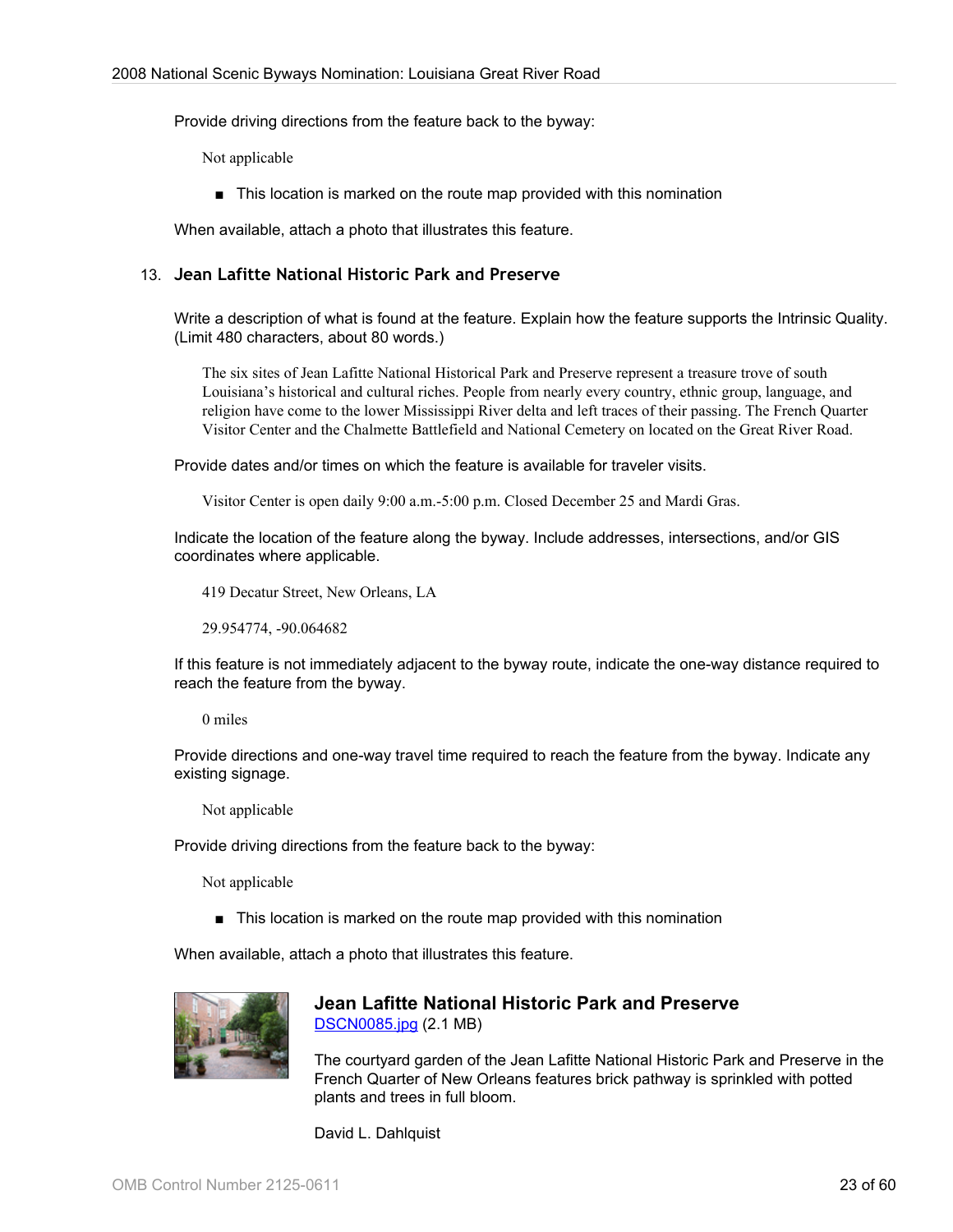Provide driving directions from the feature back to the byway:

Not applicable

■ This location is marked on the route map provided with this nomination

When available, attach a photo that illustrates this feature.

#### 13. **Jean Lafitte National Historic Park and Preserve**

Write a description of what is found at the feature. Explain how the feature supports the Intrinsic Quality. (Limit 480 characters, about 80 words.)

The six sites of Jean Lafitte National Historical Park and Preserve represent a treasure trove of south Louisiana's historical and cultural riches. People from nearly every country, ethnic group, language, and religion have come to the lower Mississippi River delta and left traces of their passing. The French Quarter Visitor Center and the Chalmette Battlefield and National Cemetery on located on the Great River Road.

Provide dates and/or times on which the feature is available for traveler visits.

Visitor Center is open daily 9:00 a.m.-5:00 p.m. Closed December 25 and Mardi Gras.

Indicate the location of the feature along the byway. Include addresses, intersections, and/or GIS coordinates where applicable.

419 Decatur Street, New Orleans, LA

29.954774, -90.064682

If this feature is not immediately adjacent to the byway route, indicate the one-way distance required to reach the feature from the byway.

0 miles

Provide directions and one-way travel time required to reach the feature from the byway. Indicate any existing signage.

Not applicable

Provide driving directions from the feature back to the byway:

Not applicable

■ This location is marked on the route map provided with this nomination

When available, attach a photo that illustrates this feature.



#### **Jean Lafitte National Historic Park and Preserve** [DSCN0085.jpg](http://www.bywaysonline.org/nominations/application/attachments/2242_ikyv4ol1i5.jpg) (2.1 MB)

The courtyard garden of the Jean Lafitte National Historic Park and Preserve in the French Quarter of New Orleans features brick pathway is sprinkled with potted plants and trees in full bloom.

David L. Dahlquist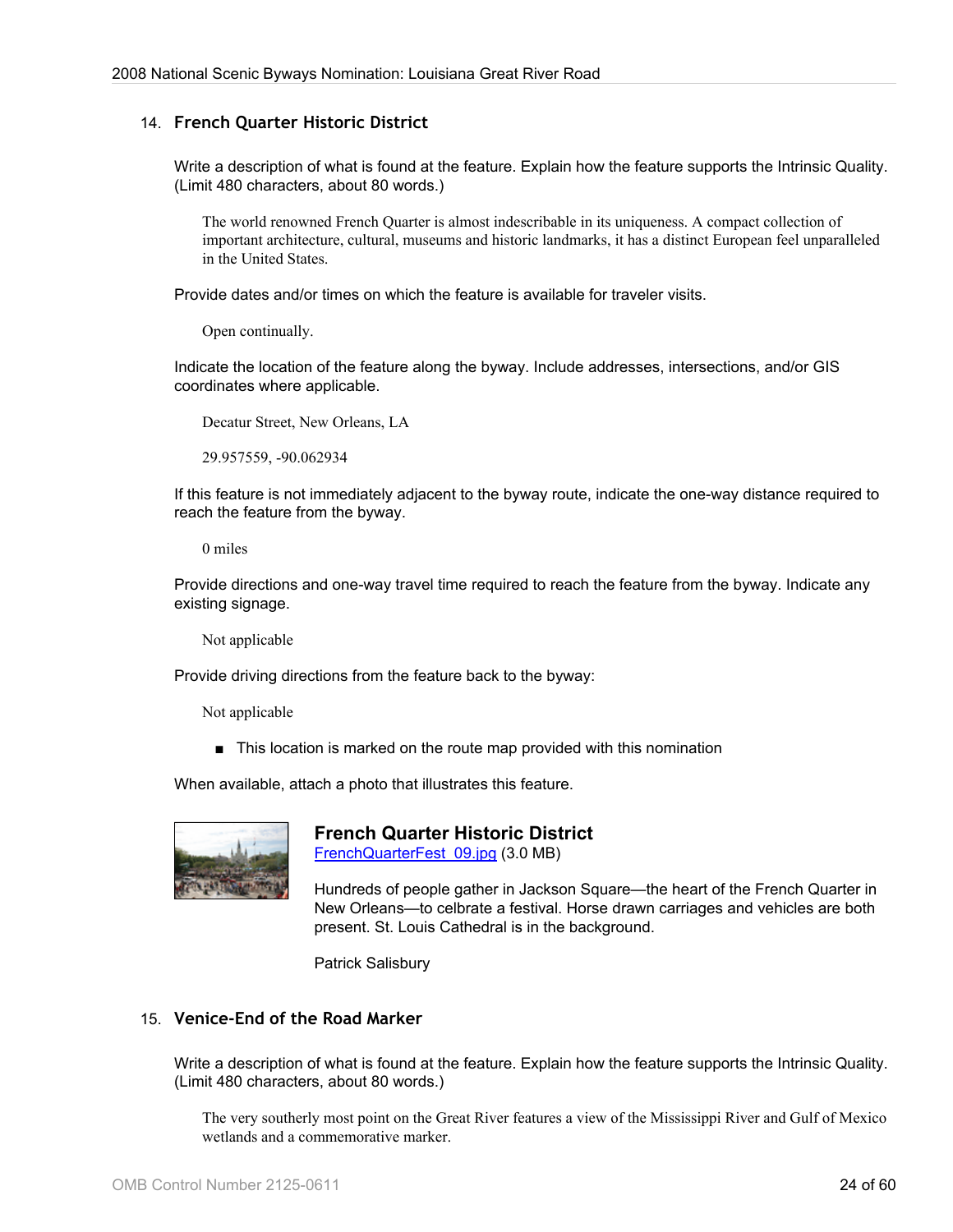#### 14. **French Quarter Historic District**

Write a description of what is found at the feature. Explain how the feature supports the Intrinsic Quality. (Limit 480 characters, about 80 words.)

The world renowned French Quarter is almost indescribable in its uniqueness. A compact collection of important architecture, cultural, museums and historic landmarks, it has a distinct European feel unparalleled in the United States.

Provide dates and/or times on which the feature is available for traveler visits.

Open continually.

Indicate the location of the feature along the byway. Include addresses, intersections, and/or GIS coordinates where applicable.

Decatur Street, New Orleans, LA

29.957559, -90.062934

If this feature is not immediately adjacent to the byway route, indicate the one-way distance required to reach the feature from the byway.

0 miles

Provide directions and one-way travel time required to reach the feature from the byway. Indicate any existing signage.

Not applicable

Provide driving directions from the feature back to the byway:

Not applicable

■ This location is marked on the route map provided with this nomination

When available, attach a photo that illustrates this feature.



# **French Quarter Historic District**

[FrenchQuarterFest\\_09.jpg](http://www.bywaysonline.org/nominations/application/attachments/2241_e7xo4d8sz7.jpg) (3.0 MB)

Hundreds of people gather in Jackson Square—the heart of the French Quarter in New Orleans—to celbrate a festival. Horse drawn carriages and vehicles are both present. St. Louis Cathedral is in the background.

Patrick Salisbury

#### 15. **Venice-End of the Road Marker**

Write a description of what is found at the feature. Explain how the feature supports the Intrinsic Quality. (Limit 480 characters, about 80 words.)

The very southerly most point on the Great River features a view of the Mississippi River and Gulf of Mexico wetlands and a commemorative marker.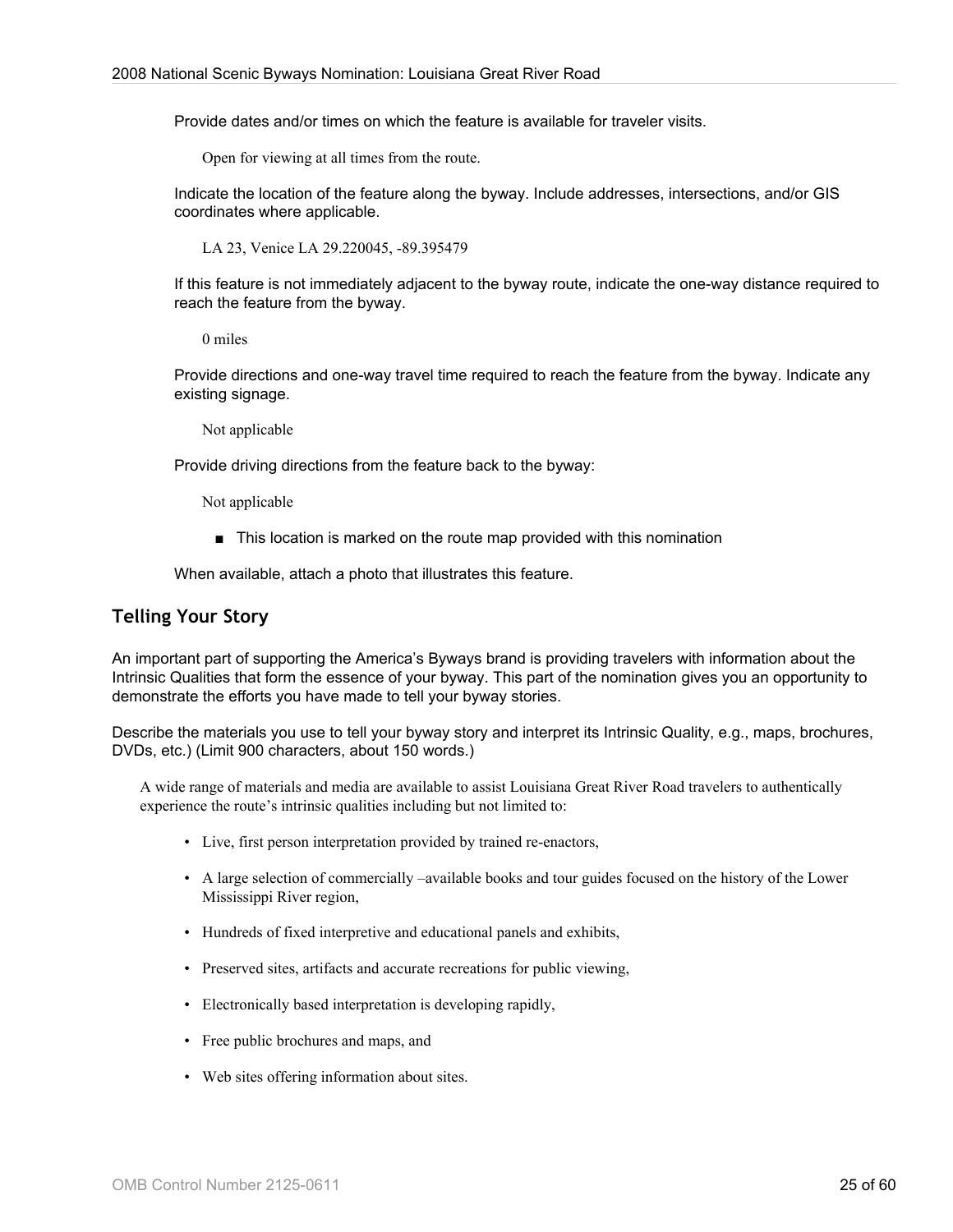Provide dates and/or times on which the feature is available for traveler visits.

Open for viewing at all times from the route.

Indicate the location of the feature along the byway. Include addresses, intersections, and/or GIS coordinates where applicable.

LA 23, Venice LA 29.220045, -89.395479

If this feature is not immediately adjacent to the byway route, indicate the one-way distance required to reach the feature from the byway.

0 miles

Provide directions and one-way travel time required to reach the feature from the byway. Indicate any existing signage.

Not applicable

Provide driving directions from the feature back to the byway:

Not applicable

■ This location is marked on the route map provided with this nomination

When available, attach a photo that illustrates this feature.

## **Telling Your Story**

An important part of supporting the America's Byways brand is providing travelers with information about the Intrinsic Qualities that form the essence of your byway. This part of the nomination gives you an opportunity to demonstrate the efforts you have made to tell your byway stories.

Describe the materials you use to tell your byway story and interpret its Intrinsic Quality, e.g., maps, brochures, DVDs, etc.) (Limit 900 characters, about 150 words.)

A wide range of materials and media are available to assist Louisiana Great River Road travelers to authentically experience the route's intrinsic qualities including but not limited to:

- Live, first person interpretation provided by trained re-enactors,
- A large selection of commercially –available books and tour guides focused on the history of the Lower Mississippi River region,
- Hundreds of fixed interpretive and educational panels and exhibits,
- Preserved sites, artifacts and accurate recreations for public viewing,
- Electronically based interpretation is developing rapidly,
- Free public brochures and maps, and
- Web sites offering information about sites.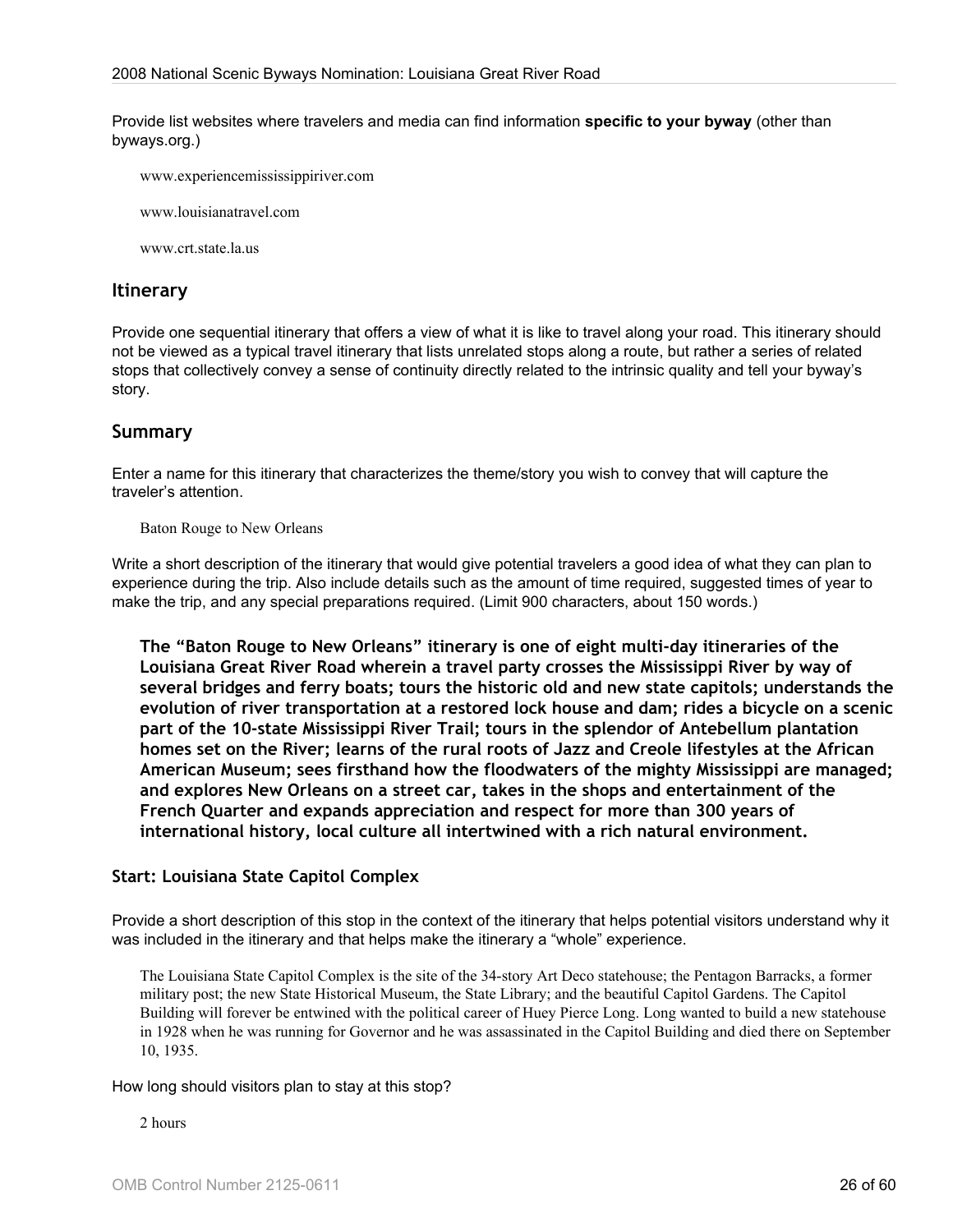Provide list websites where travelers and media can find information **specific to your byway** (other than byways.org.)

www.experiencemississippiriver.com

www.louisianatravel.com

www.crt.state.la.us

#### **Itinerary**

Provide one sequential itinerary that offers a view of what it is like to travel along your road. This itinerary should not be viewed as a typical travel itinerary that lists unrelated stops along a route, but rather a series of related stops that collectively convey a sense of continuity directly related to the intrinsic quality and tell your byway's story.

#### **Summary**

Enter a name for this itinerary that characterizes the theme/story you wish to convey that will capture the traveler's attention.

Baton Rouge to New Orleans

Write a short description of the itinerary that would give potential travelers a good idea of what they can plan to experience during the trip. Also include details such as the amount of time required, suggested times of year to make the trip, and any special preparations required. (Limit 900 characters, about 150 words.)

**The "Baton Rouge to New Orleans" itinerary is one of eight multi-day itineraries of the Louisiana Great River Road wherein a travel party crosses the Mississippi River by way of several bridges and ferry boats; tours the historic old and new state capitols; understands the evolution of river transportation at a restored lock house and dam; rides a bicycle on a scenic part of the 10-state Mississippi River Trail; tours in the splendor of Antebellum plantation homes set on the River; learns of the rural roots of Jazz and Creole lifestyles at the African American Museum; sees firsthand how the floodwaters of the mighty Mississippi are managed; and explores New Orleans on a street car, takes in the shops and entertainment of the French Quarter and expands appreciation and respect for more than 300 years of international history, local culture all intertwined with a rich natural environment.**

#### **Start: Louisiana State Capitol Complex**

Provide a short description of this stop in the context of the itinerary that helps potential visitors understand why it was included in the itinerary and that helps make the itinerary a "whole" experience.

The Louisiana State Capitol Complex is the site of the 34-story Art Deco statehouse; the Pentagon Barracks, a former military post; the new State Historical Museum, the State Library; and the beautiful Capitol Gardens. The Capitol Building will forever be entwined with the political career of Huey Pierce Long. Long wanted to build a new statehouse in 1928 when he was running for Governor and he was assassinated in the Capitol Building and died there on September 10, 1935.

#### How long should visitors plan to stay at this stop?

2 hours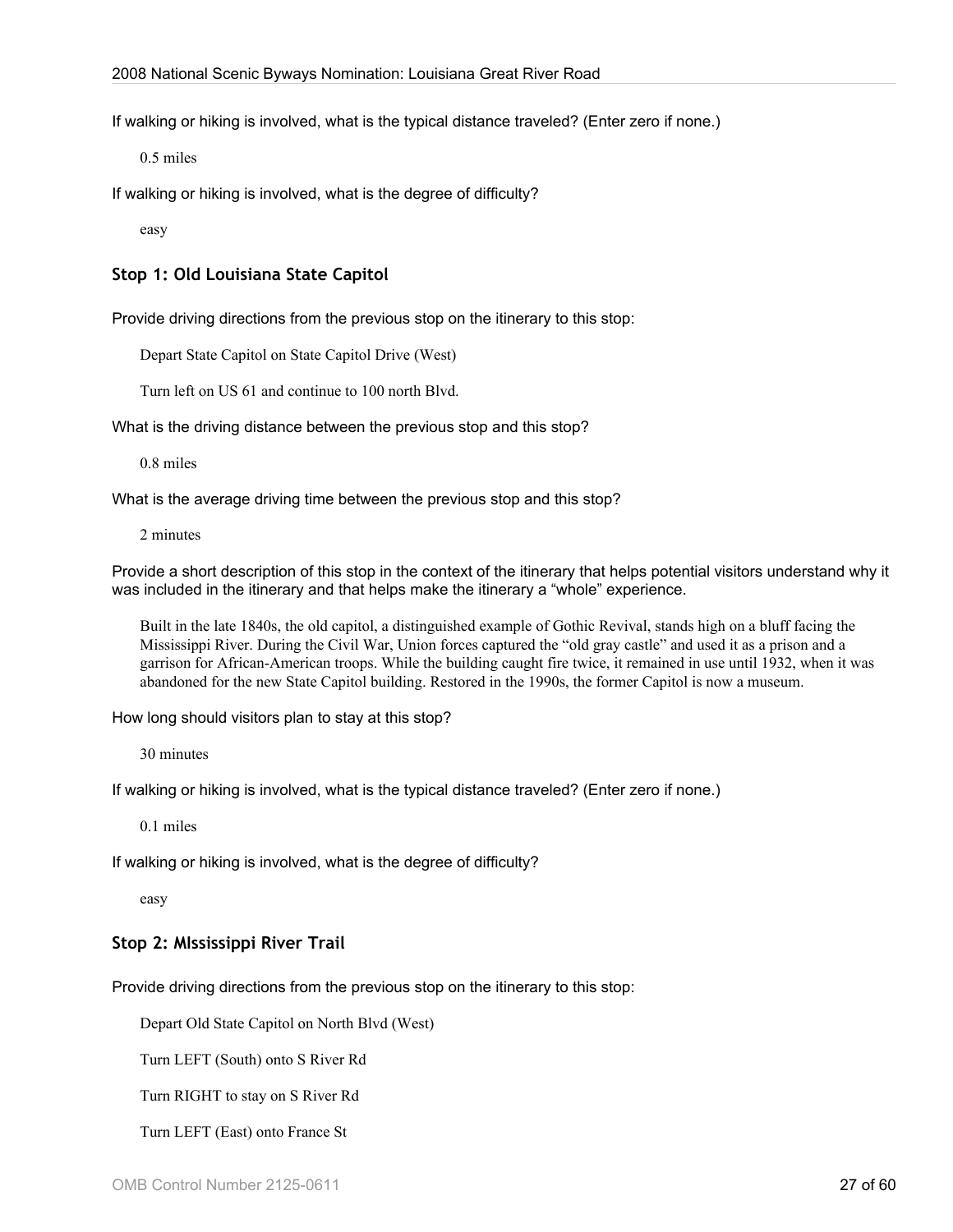If walking or hiking is involved, what is the typical distance traveled? (Enter zero if none.)

0.5 miles

If walking or hiking is involved, what is the degree of difficulty?

easy

#### **Stop 1: Old Louisiana State Capitol**

Provide driving directions from the previous stop on the itinerary to this stop:

Depart State Capitol on State Capitol Drive (West)

Turn left on US 61 and continue to 100 north Blvd.

What is the driving distance between the previous stop and this stop?

0.8 miles

What is the average driving time between the previous stop and this stop?

2 minutes

Provide a short description of this stop in the context of the itinerary that helps potential visitors understand why it was included in the itinerary and that helps make the itinerary a "whole" experience.

Built in the late 1840s, the old capitol, a distinguished example of Gothic Revival, stands high on a bluff facing the Mississippi River. During the Civil War, Union forces captured the "old gray castle" and used it as a prison and a garrison for African-American troops. While the building caught fire twice, it remained in use until 1932, when it was abandoned for the new State Capitol building. Restored in the 1990s, the former Capitol is now a museum.

How long should visitors plan to stay at this stop?

30 minutes

If walking or hiking is involved, what is the typical distance traveled? (Enter zero if none.)

0.1 miles

If walking or hiking is involved, what is the degree of difficulty?

easy

#### **Stop 2: MIssissippi River Trail**

Provide driving directions from the previous stop on the itinerary to this stop:

Depart Old State Capitol on North Blvd (West)

Turn LEFT (South) onto S River Rd

Turn RIGHT to stay on S River Rd

Turn LEFT (East) onto France St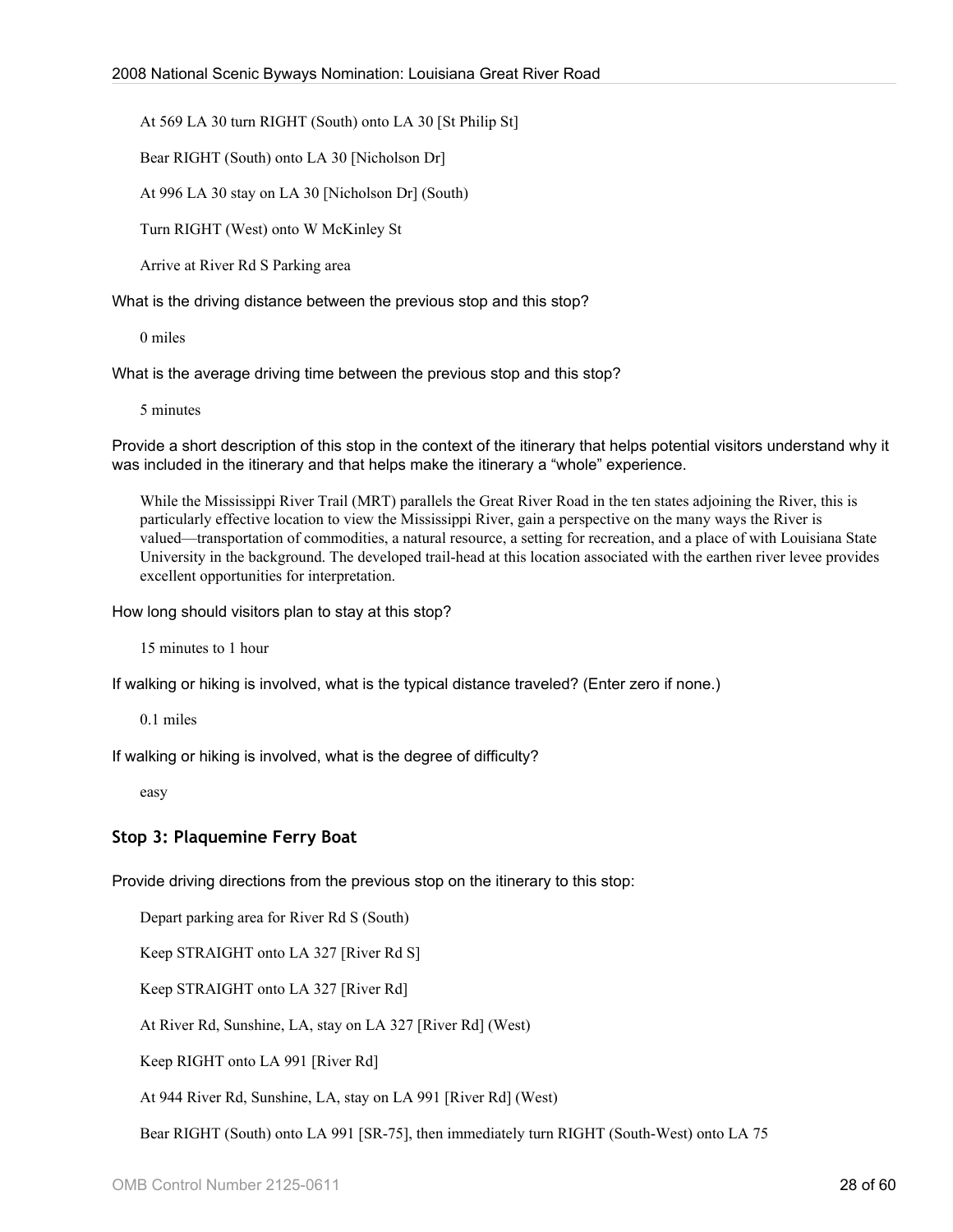At 569 LA 30 turn RIGHT (South) onto LA 30 [St Philip St]

Bear RIGHT (South) onto LA 30 [Nicholson Dr]

At 996 LA 30 stay on LA 30 [Nicholson Dr] (South)

Turn RIGHT (West) onto W McKinley St

Arrive at River Rd S Parking area

What is the driving distance between the previous stop and this stop?

0 miles

What is the average driving time between the previous stop and this stop?

5 minutes

Provide a short description of this stop in the context of the itinerary that helps potential visitors understand why it was included in the itinerary and that helps make the itinerary a "whole" experience.

While the Mississippi River Trail (MRT) parallels the Great River Road in the ten states adjoining the River, this is particularly effective location to view the Mississippi River, gain a perspective on the many ways the River is valued—transportation of commodities, a natural resource, a setting for recreation, and a place of with Louisiana State University in the background. The developed trail-head at this location associated with the earthen river levee provides excellent opportunities for interpretation.

How long should visitors plan to stay at this stop?

15 minutes to 1 hour

If walking or hiking is involved, what is the typical distance traveled? (Enter zero if none.)

0.1 miles

If walking or hiking is involved, what is the degree of difficulty?

easy

#### **Stop 3: Plaquemine Ferry Boat**

Provide driving directions from the previous stop on the itinerary to this stop:

Depart parking area for River Rd S (South)

Keep STRAIGHT onto LA 327 [River Rd S]

Keep STRAIGHT onto LA 327 [River Rd]

At River Rd, Sunshine, LA, stay on LA 327 [River Rd] (West)

Keep RIGHT onto LA 991 [River Rd]

At 944 River Rd, Sunshine, LA, stay on LA 991 [River Rd] (West)

Bear RIGHT (South) onto LA 991 [SR-75], then immediately turn RIGHT (South-West) onto LA 75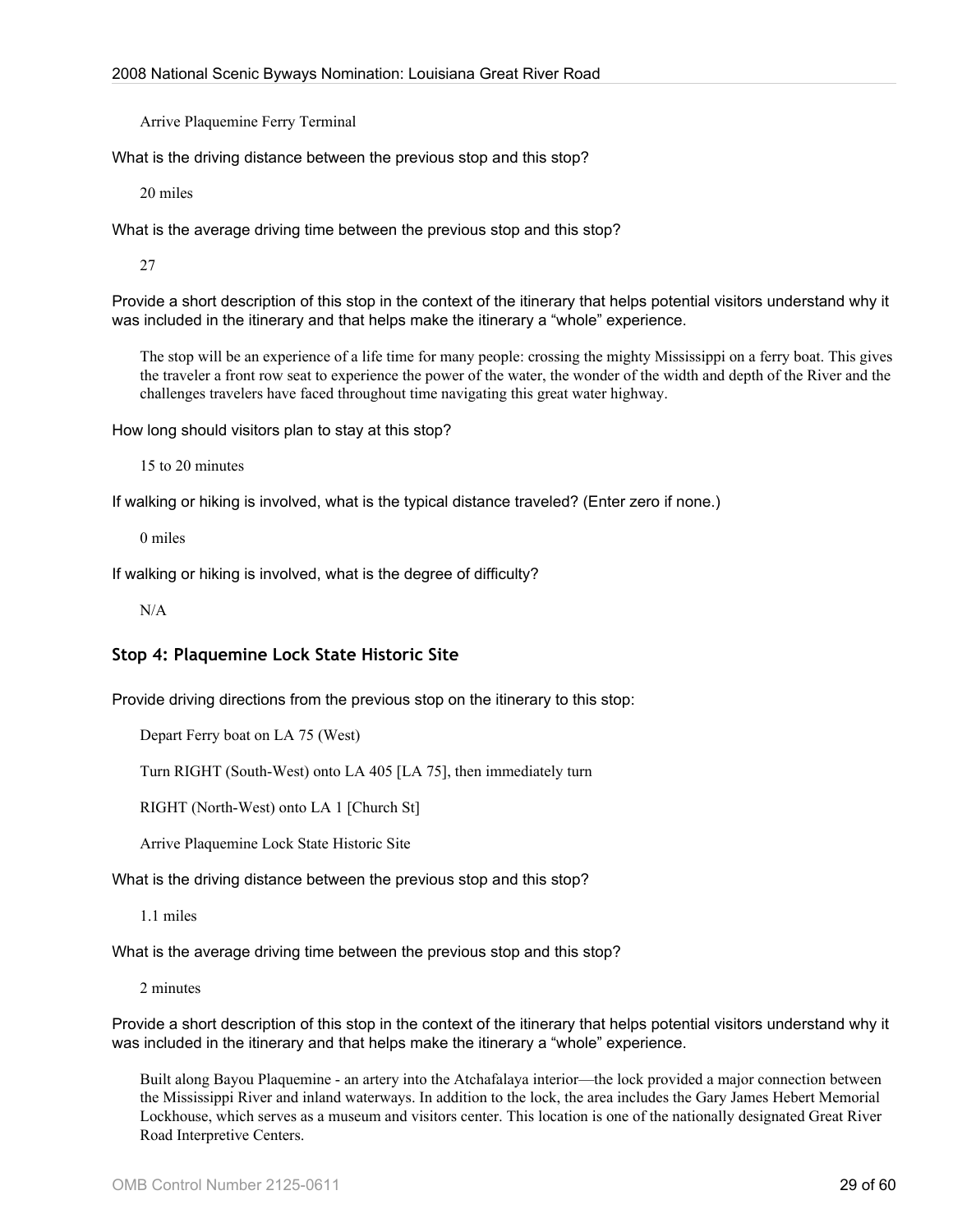Arrive Plaquemine Ferry Terminal

What is the driving distance between the previous stop and this stop?

20 miles

What is the average driving time between the previous stop and this stop?

27

Provide a short description of this stop in the context of the itinerary that helps potential visitors understand why it was included in the itinerary and that helps make the itinerary a "whole" experience.

The stop will be an experience of a life time for many people: crossing the mighty Mississippi on a ferry boat. This gives the traveler a front row seat to experience the power of the water, the wonder of the width and depth of the River and the challenges travelers have faced throughout time navigating this great water highway.

How long should visitors plan to stay at this stop?

15 to 20 minutes

If walking or hiking is involved, what is the typical distance traveled? (Enter zero if none.)

0 miles

If walking or hiking is involved, what is the degree of difficulty?

N/A

## **Stop 4: Plaquemine Lock State Historic Site**

Provide driving directions from the previous stop on the itinerary to this stop:

Depart Ferry boat on LA 75 (West)

Turn RIGHT (South-West) onto LA 405 [LA 75], then immediately turn

RIGHT (North-West) onto LA 1 [Church St]

Arrive Plaquemine Lock State Historic Site

What is the driving distance between the previous stop and this stop?

1.1 miles

What is the average driving time between the previous stop and this stop?

2 minutes

Provide a short description of this stop in the context of the itinerary that helps potential visitors understand why it was included in the itinerary and that helps make the itinerary a "whole" experience.

Built along Bayou Plaquemine - an artery into the Atchafalaya interior—the lock provided a major connection between the Mississippi River and inland waterways. In addition to the lock, the area includes the Gary James Hebert Memorial Lockhouse, which serves as a museum and visitors center. This location is one of the nationally designated Great River Road Interpretive Centers.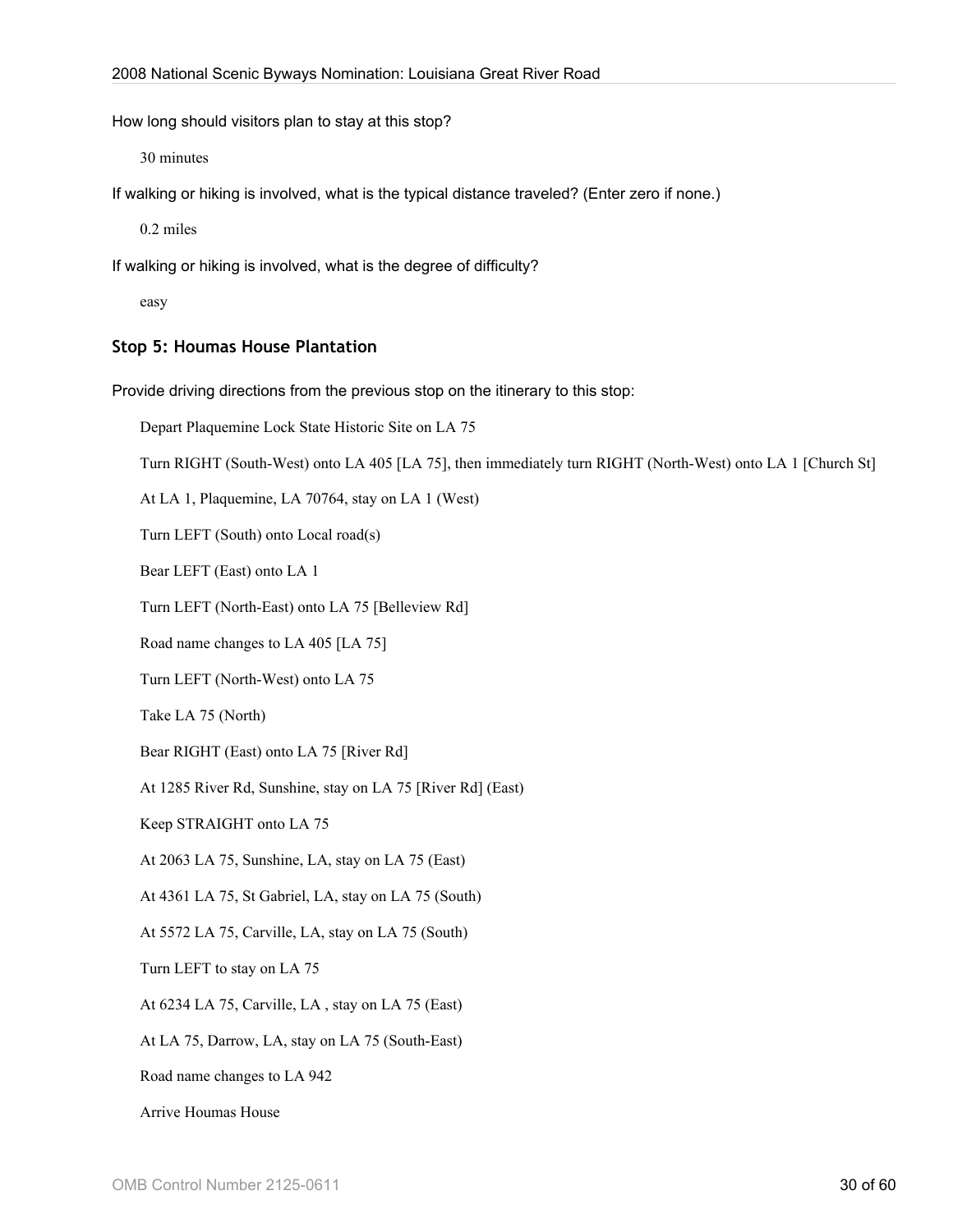How long should visitors plan to stay at this stop?

30 minutes

If walking or hiking is involved, what is the typical distance traveled? (Enter zero if none.)

0.2 miles

If walking or hiking is involved, what is the degree of difficulty?

easy

#### **Stop 5: Houmas House Plantation**

Provide driving directions from the previous stop on the itinerary to this stop:

Depart Plaquemine Lock State Historic Site on LA 75

Turn RIGHT (South-West) onto LA 405 [LA 75], then immediately turn RIGHT (North-West) onto LA 1 [Church St]

At LA 1, Plaquemine, LA 70764, stay on LA 1 (West)

Turn LEFT (South) onto Local road(s)

Bear LEFT (East) onto LA 1

Turn LEFT (North-East) onto LA 75 [Belleview Rd]

Road name changes to LA 405 [LA 75]

Turn LEFT (North-West) onto LA 75

Take LA 75 (North)

Bear RIGHT (East) onto LA 75 [River Rd]

At 1285 River Rd, Sunshine, stay on LA 75 [River Rd] (East)

Keep STRAIGHT onto LA 75

At 2063 LA 75, Sunshine, LA, stay on LA 75 (East)

At 4361 LA 75, St Gabriel, LA, stay on LA 75 (South)

At 5572 LA 75, Carville, LA, stay on LA 75 (South)

Turn LEFT to stay on LA 75

At 6234 LA 75, Carville, LA , stay on LA 75 (East)

At LA 75, Darrow, LA, stay on LA 75 (South-East)

Road name changes to LA 942

Arrive Houmas House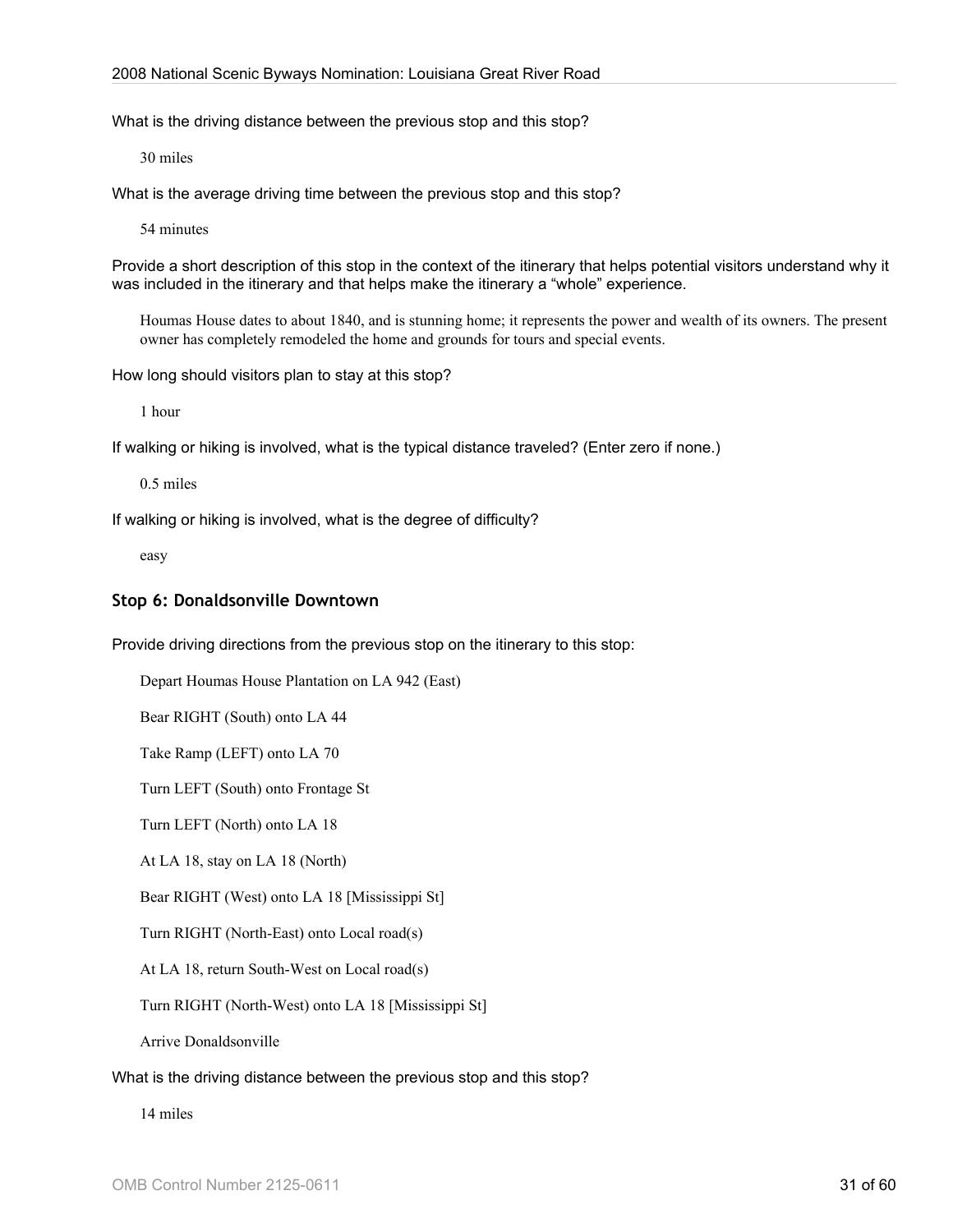What is the driving distance between the previous stop and this stop?

30 miles

What is the average driving time between the previous stop and this stop?

54 minutes

Provide a short description of this stop in the context of the itinerary that helps potential visitors understand why it was included in the itinerary and that helps make the itinerary a "whole" experience.

Houmas House dates to about 1840, and is stunning home; it represents the power and wealth of its owners. The present owner has completely remodeled the home and grounds for tours and special events.

How long should visitors plan to stay at this stop?

1 hour

If walking or hiking is involved, what is the typical distance traveled? (Enter zero if none.)

0.5 miles

If walking or hiking is involved, what is the degree of difficulty?

easy

#### **Stop 6: Donaldsonville Downtown**

Provide driving directions from the previous stop on the itinerary to this stop:

Depart Houmas House Plantation on LA 942 (East)

Bear RIGHT (South) onto LA 44

Take Ramp (LEFT) onto LA 70

Turn LEFT (South) onto Frontage St

Turn LEFT (North) onto LA 18

At LA 18, stay on LA 18 (North)

Bear RIGHT (West) onto LA 18 [Mississippi St]

Turn RIGHT (North-East) onto Local road(s)

At LA 18, return South-West on Local road(s)

Turn RIGHT (North-West) onto LA 18 [Mississippi St]

Arrive Donaldsonville

#### What is the driving distance between the previous stop and this stop?

14 miles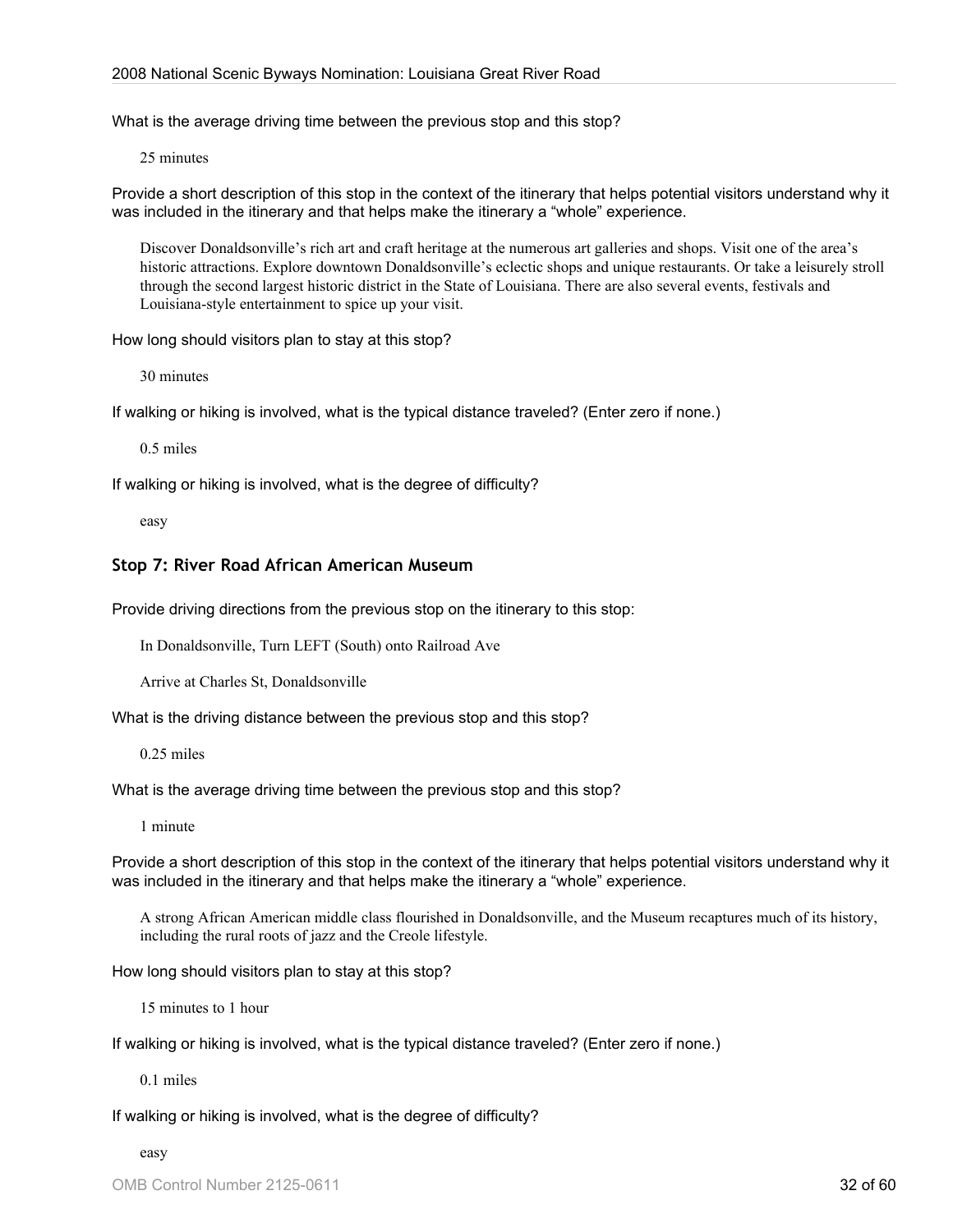What is the average driving time between the previous stop and this stop?

25 minutes

Provide a short description of this stop in the context of the itinerary that helps potential visitors understand why it was included in the itinerary and that helps make the itinerary a "whole" experience.

Discover Donaldsonville's rich art and craft heritage at the numerous art galleries and shops. Visit one of the area's historic attractions. Explore downtown Donaldsonville's eclectic shops and unique restaurants. Or take a leisurely stroll through the second largest historic district in the State of Louisiana. There are also several events, festivals and Louisiana-style entertainment to spice up your visit.

How long should visitors plan to stay at this stop?

30 minutes

If walking or hiking is involved, what is the typical distance traveled? (Enter zero if none.)

0.5 miles

If walking or hiking is involved, what is the degree of difficulty?

easy

#### **Stop 7: River Road African American Museum**

Provide driving directions from the previous stop on the itinerary to this stop:

In Donaldsonville, Turn LEFT (South) onto Railroad Ave

Arrive at Charles St, Donaldsonville

What is the driving distance between the previous stop and this stop?

0.25 miles

What is the average driving time between the previous stop and this stop?

1 minute

Provide a short description of this stop in the context of the itinerary that helps potential visitors understand why it was included in the itinerary and that helps make the itinerary a "whole" experience.

A strong African American middle class flourished in Donaldsonville, and the Museum recaptures much of its history, including the rural roots of jazz and the Creole lifestyle.

How long should visitors plan to stay at this stop?

15 minutes to 1 hour

If walking or hiking is involved, what is the typical distance traveled? (Enter zero if none.)

0.1 miles

If walking or hiking is involved, what is the degree of difficulty?

easy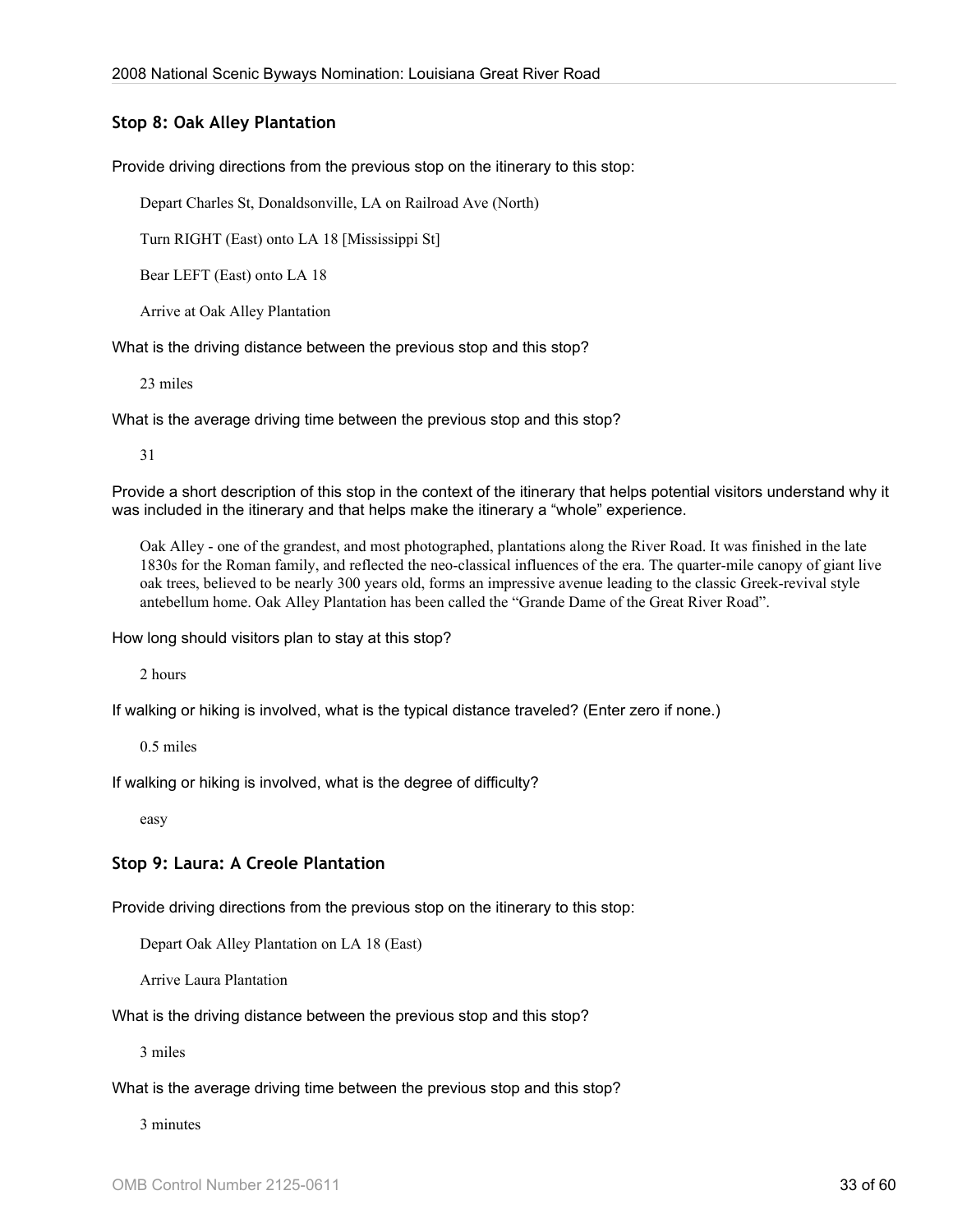#### **Stop 8: Oak Alley Plantation**

Provide driving directions from the previous stop on the itinerary to this stop:

Depart Charles St, Donaldsonville, LA on Railroad Ave (North)

Turn RIGHT (East) onto LA 18 [Mississippi St]

Bear LEFT (East) onto LA 18

Arrive at Oak Alley Plantation

What is the driving distance between the previous stop and this stop?

23 miles

What is the average driving time between the previous stop and this stop?

31

Provide a short description of this stop in the context of the itinerary that helps potential visitors understand why it was included in the itinerary and that helps make the itinerary a "whole" experience.

Oak Alley - one of the grandest, and most photographed, plantations along the River Road. It was finished in the late 1830s for the Roman family, and reflected the neo-classical influences of the era. The quarter-mile canopy of giant live oak trees, believed to be nearly 300 years old, forms an impressive avenue leading to the classic Greek-revival style antebellum home. Oak Alley Plantation has been called the "Grande Dame of the Great River Road".

How long should visitors plan to stay at this stop?

2 hours

If walking or hiking is involved, what is the typical distance traveled? (Enter zero if none.)

0.5 miles

If walking or hiking is involved, what is the degree of difficulty?

easy

#### **Stop 9: Laura: A Creole Plantation**

Provide driving directions from the previous stop on the itinerary to this stop:

Depart Oak Alley Plantation on LA 18 (East)

Arrive Laura Plantation

What is the driving distance between the previous stop and this stop?

3 miles

What is the average driving time between the previous stop and this stop?

3 minutes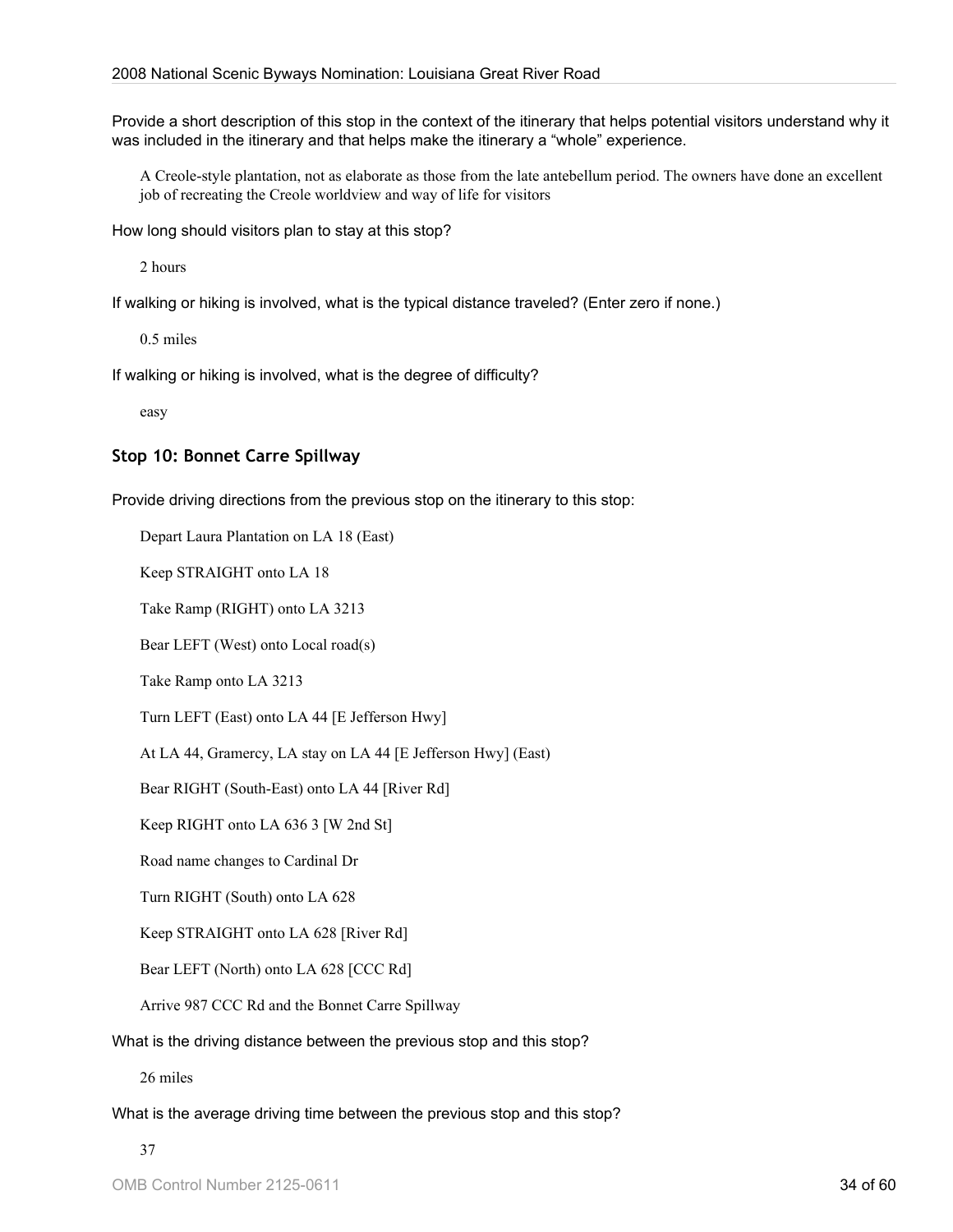Provide a short description of this stop in the context of the itinerary that helps potential visitors understand why it was included in the itinerary and that helps make the itinerary a "whole" experience.

A Creole-style plantation, not as elaborate as those from the late antebellum period. The owners have done an excellent job of recreating the Creole worldview and way of life for visitors

How long should visitors plan to stay at this stop?

2 hours

If walking or hiking is involved, what is the typical distance traveled? (Enter zero if none.)

0.5 miles

If walking or hiking is involved, what is the degree of difficulty?

easy

#### **Stop 10: Bonnet Carre Spillway**

Provide driving directions from the previous stop on the itinerary to this stop:

Depart Laura Plantation on LA 18 (East)

Keep STRAIGHT onto LA 18

Take Ramp (RIGHT) onto LA 3213

Bear LEFT (West) onto Local road(s)

Take Ramp onto LA 3213

Turn LEFT (East) onto LA 44 [E Jefferson Hwy]

At LA 44, Gramercy, LA stay on LA 44 [E Jefferson Hwy] (East)

Bear RIGHT (South-East) onto LA 44 [River Rd]

Keep RIGHT onto LA 636 3 [W 2nd St]

Road name changes to Cardinal Dr

Turn RIGHT (South) onto LA 628

Keep STRAIGHT onto LA 628 [River Rd]

Bear LEFT (North) onto LA 628 [CCC Rd]

Arrive 987 CCC Rd and the Bonnet Carre Spillway

What is the driving distance between the previous stop and this stop?

26 miles

What is the average driving time between the previous stop and this stop?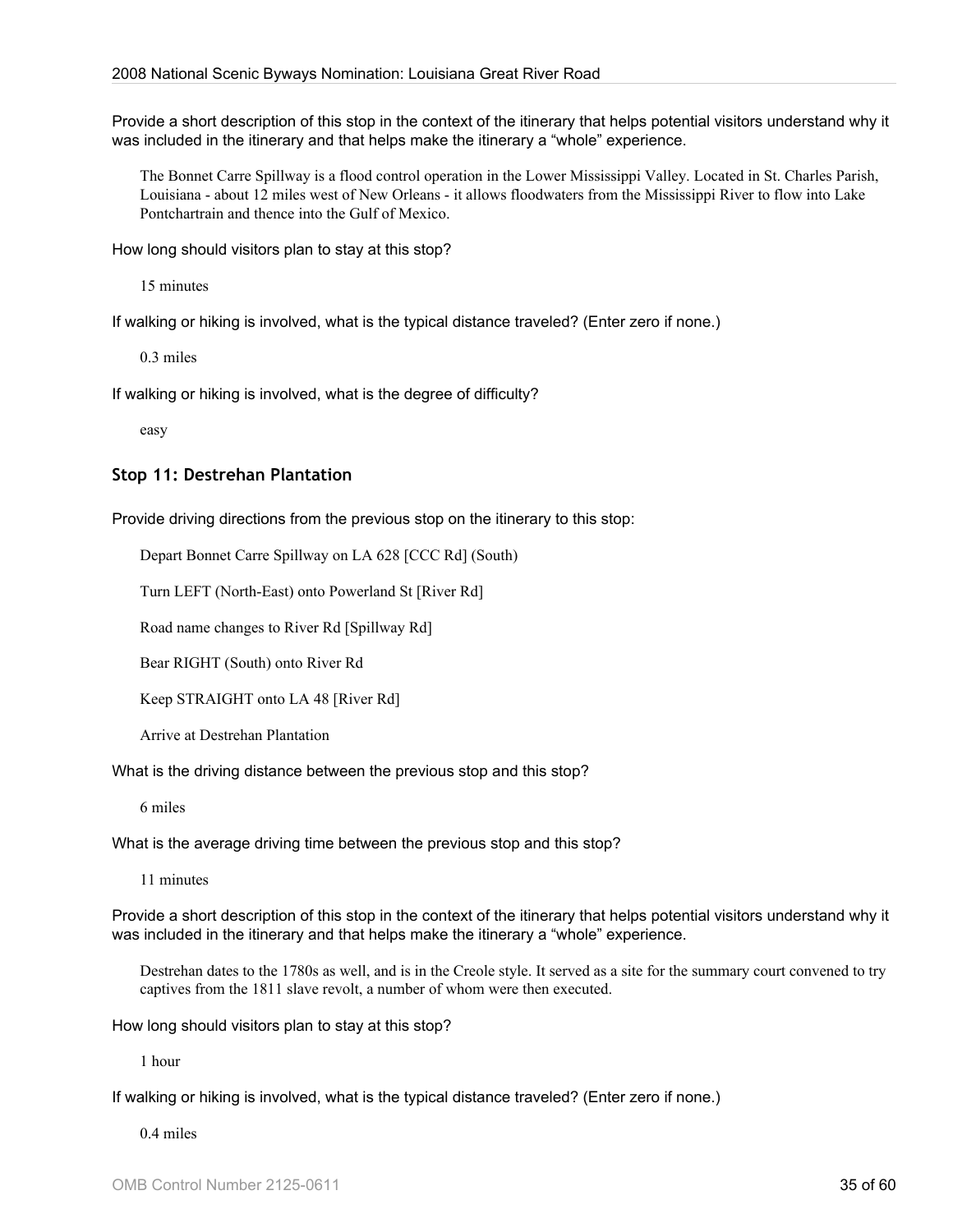Provide a short description of this stop in the context of the itinerary that helps potential visitors understand why it was included in the itinerary and that helps make the itinerary a "whole" experience.

The Bonnet Carre Spillway is a flood control operation in the Lower Mississippi Valley. Located in St. Charles Parish, Louisiana - about 12 miles west of New Orleans - it allows floodwaters from the Mississippi River to flow into Lake Pontchartrain and thence into the Gulf of Mexico.

How long should visitors plan to stay at this stop?

15 minutes

If walking or hiking is involved, what is the typical distance traveled? (Enter zero if none.)

0.3 miles

If walking or hiking is involved, what is the degree of difficulty?

easy

#### **Stop 11: Destrehan Plantation**

Provide driving directions from the previous stop on the itinerary to this stop:

Depart Bonnet Carre Spillway on LA 628 [CCC Rd] (South)

Turn LEFT (North-East) onto Powerland St [River Rd]

Road name changes to River Rd [Spillway Rd]

Bear RIGHT (South) onto River Rd

Keep STRAIGHT onto LA 48 [River Rd]

Arrive at Destrehan Plantation

What is the driving distance between the previous stop and this stop?

6 miles

What is the average driving time between the previous stop and this stop?

11 minutes

Provide a short description of this stop in the context of the itinerary that helps potential visitors understand why it was included in the itinerary and that helps make the itinerary a "whole" experience.

Destrehan dates to the 1780s as well, and is in the Creole style. It served as a site for the summary court convened to try captives from the 1811 slave revolt, a number of whom were then executed.

How long should visitors plan to stay at this stop?

1 hour

If walking or hiking is involved, what is the typical distance traveled? (Enter zero if none.)

0.4 miles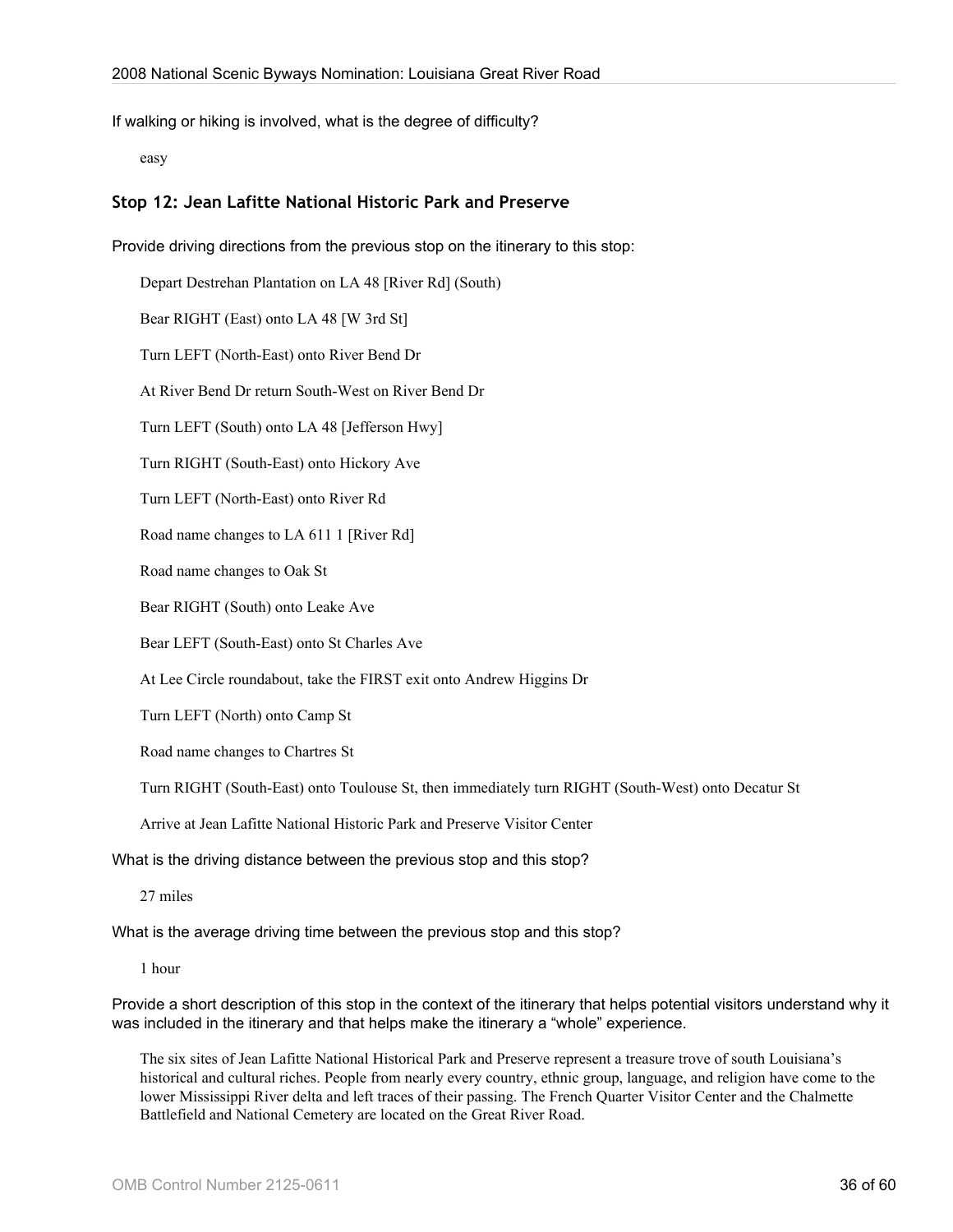If walking or hiking is involved, what is the degree of difficulty?

easy

#### **Stop 12: Jean Lafitte National Historic Park and Preserve**

Provide driving directions from the previous stop on the itinerary to this stop: Depart Destrehan Plantation on LA 48 [River Rd] (South) Bear RIGHT (East) onto LA 48 [W 3rd St] Turn LEFT (North-East) onto River Bend Dr At River Bend Dr return South-West on River Bend Dr Turn LEFT (South) onto LA 48 [Jefferson Hwy] Turn RIGHT (South-East) onto Hickory Ave Turn LEFT (North-East) onto River Rd Road name changes to LA 611 1 [River Rd] Road name changes to Oak St Bear RIGHT (South) onto Leake Ave Bear LEFT (South-East) onto St Charles Ave At Lee Circle roundabout, take the FIRST exit onto Andrew Higgins Dr Turn LEFT (North) onto Camp St Road name changes to Chartres St Turn RIGHT (South-East) onto Toulouse St, then immediately turn RIGHT (South-West) onto Decatur St

Arrive at Jean Lafitte National Historic Park and Preserve Visitor Center

What is the driving distance between the previous stop and this stop?

27 miles

What is the average driving time between the previous stop and this stop?

1 hour

Provide a short description of this stop in the context of the itinerary that helps potential visitors understand why it was included in the itinerary and that helps make the itinerary a "whole" experience.

The six sites of Jean Lafitte National Historical Park and Preserve represent a treasure trove of south Louisiana's historical and cultural riches. People from nearly every country, ethnic group, language, and religion have come to the lower Mississippi River delta and left traces of their passing. The French Quarter Visitor Center and the Chalmette Battlefield and National Cemetery are located on the Great River Road.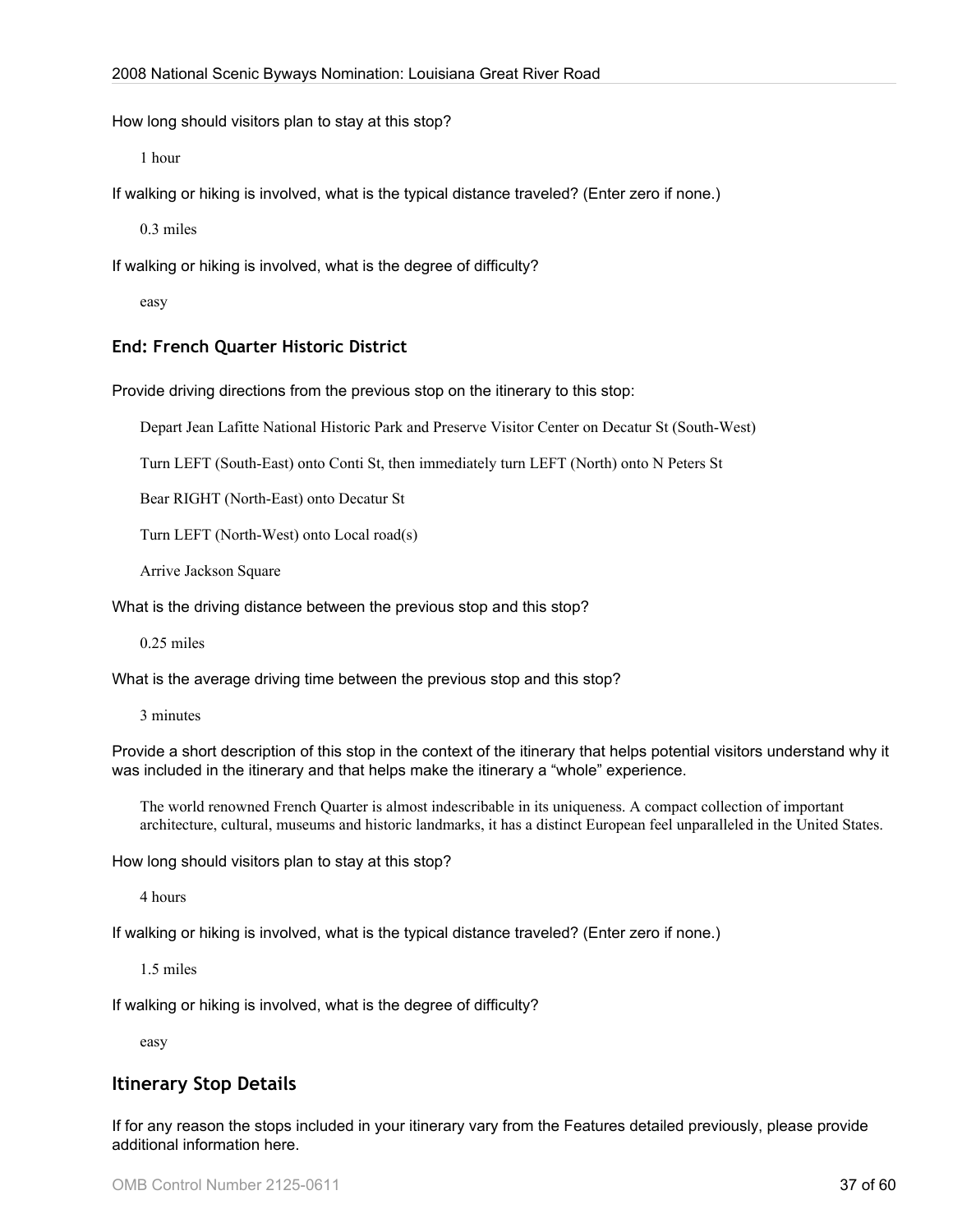How long should visitors plan to stay at this stop?

1 hour

If walking or hiking is involved, what is the typical distance traveled? (Enter zero if none.)

0.3 miles

If walking or hiking is involved, what is the degree of difficulty?

easy

#### **End: French Quarter Historic District**

Provide driving directions from the previous stop on the itinerary to this stop:

Depart Jean Lafitte National Historic Park and Preserve Visitor Center on Decatur St (South-West)

Turn LEFT (South-East) onto Conti St, then immediately turn LEFT (North) onto N Peters St

Bear RIGHT (North-East) onto Decatur St

Turn LEFT (North-West) onto Local road(s)

Arrive Jackson Square

What is the driving distance between the previous stop and this stop?

0.25 miles

What is the average driving time between the previous stop and this stop?

3 minutes

Provide a short description of this stop in the context of the itinerary that helps potential visitors understand why it was included in the itinerary and that helps make the itinerary a "whole" experience.

The world renowned French Quarter is almost indescribable in its uniqueness. A compact collection of important architecture, cultural, museums and historic landmarks, it has a distinct European feel unparalleled in the United States.

How long should visitors plan to stay at this stop?

4 hours

If walking or hiking is involved, what is the typical distance traveled? (Enter zero if none.)

1.5 miles

If walking or hiking is involved, what is the degree of difficulty?

easy

## **Itinerary Stop Details**

If for any reason the stops included in your itinerary vary from the Features detailed previously, please provide additional information here.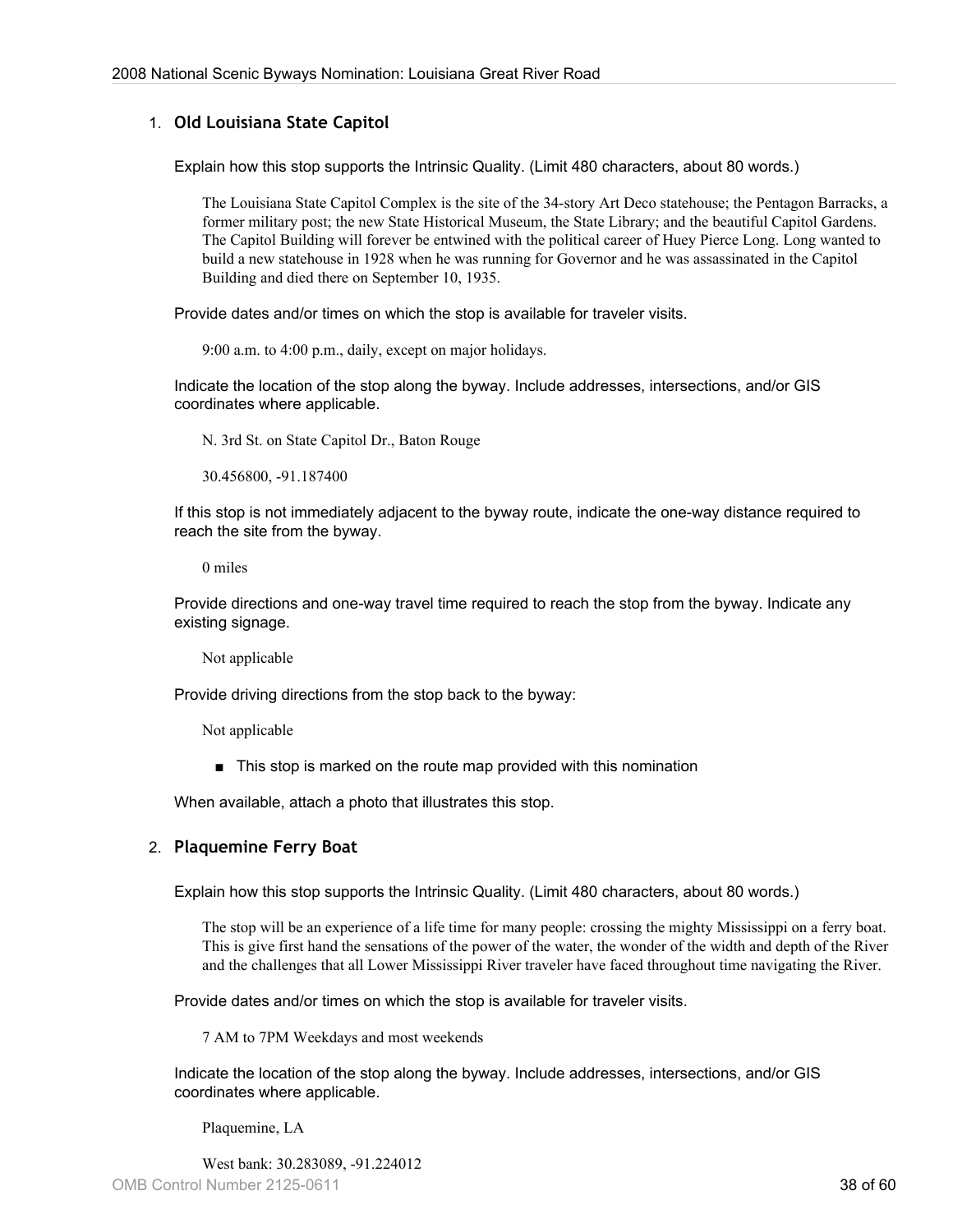#### 1. **Old Louisiana State Capitol**

Explain how this stop supports the Intrinsic Quality. (Limit 480 characters, about 80 words.)

The Louisiana State Capitol Complex is the site of the 34-story Art Deco statehouse; the Pentagon Barracks, a former military post; the new State Historical Museum, the State Library; and the beautiful Capitol Gardens. The Capitol Building will forever be entwined with the political career of Huey Pierce Long. Long wanted to build a new statehouse in 1928 when he was running for Governor and he was assassinated in the Capitol Building and died there on September 10, 1935.

Provide dates and/or times on which the stop is available for traveler visits.

9:00 a.m. to 4:00 p.m., daily, except on major holidays.

Indicate the location of the stop along the byway. Include addresses, intersections, and/or GIS coordinates where applicable.

N. 3rd St. on State Capitol Dr., Baton Rouge

30.456800, -91.187400

If this stop is not immediately adjacent to the byway route, indicate the one-way distance required to reach the site from the byway.

0 miles

Provide directions and one-way travel time required to reach the stop from the byway. Indicate any existing signage.

Not applicable

Provide driving directions from the stop back to the byway:

Not applicable

■ This stop is marked on the route map provided with this nomination

When available, attach a photo that illustrates this stop.

#### 2. **Plaquemine Ferry Boat**

Explain how this stop supports the Intrinsic Quality. (Limit 480 characters, about 80 words.)

The stop will be an experience of a life time for many people: crossing the mighty Mississippi on a ferry boat. This is give first hand the sensations of the power of the water, the wonder of the width and depth of the River and the challenges that all Lower Mississippi River traveler have faced throughout time navigating the River.

Provide dates and/or times on which the stop is available for traveler visits.

7 AM to 7PM Weekdays and most weekends

Indicate the location of the stop along the byway. Include addresses, intersections, and/or GIS coordinates where applicable.

Plaquemine, LA

West bank: 30.283089, -91.224012 OMB Control Number 2125-0611 38 of 60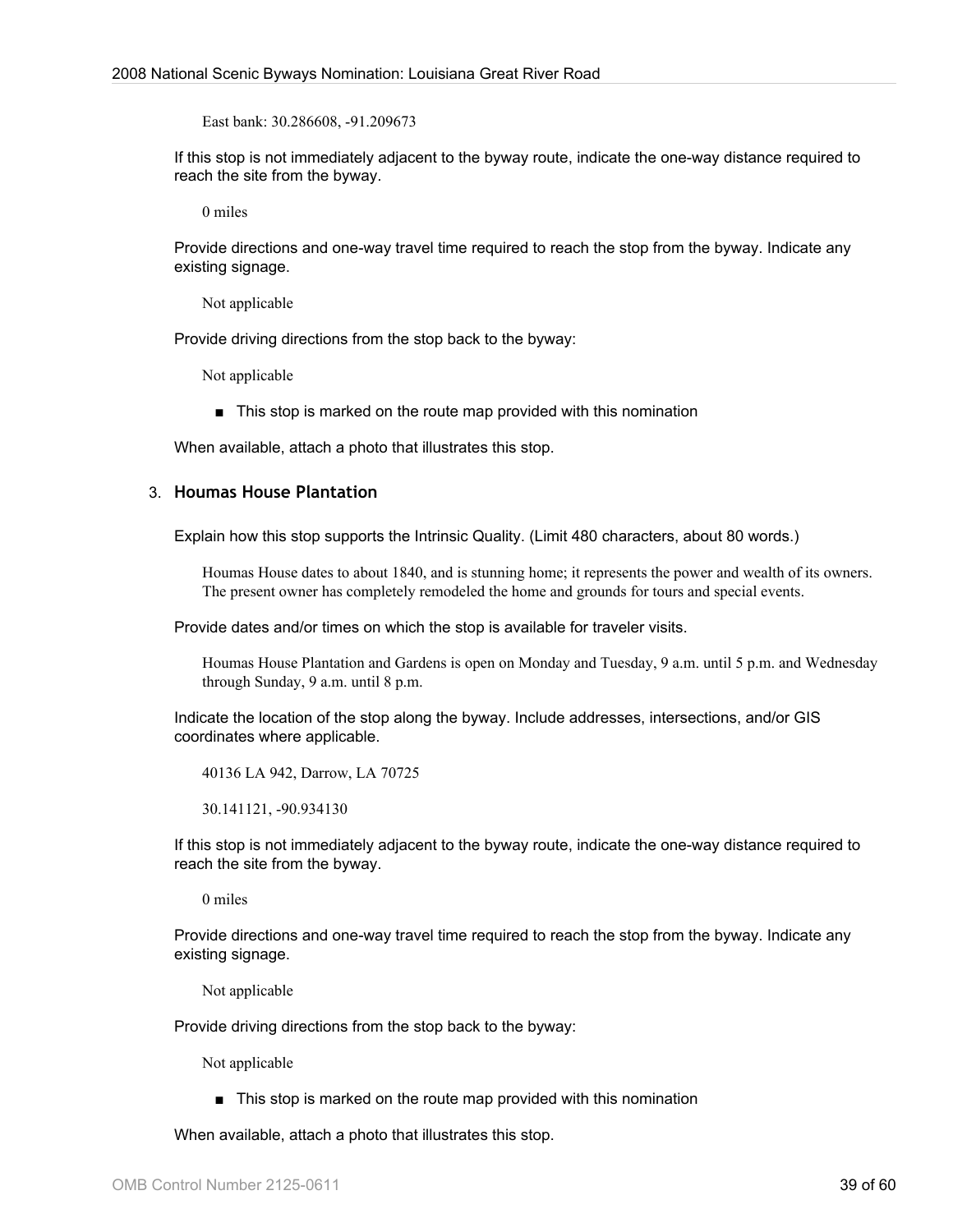East bank: 30.286608, -91.209673

If this stop is not immediately adjacent to the byway route, indicate the one-way distance required to reach the site from the byway.

0 miles

Provide directions and one-way travel time required to reach the stop from the byway. Indicate any existing signage.

Not applicable

Provide driving directions from the stop back to the byway:

Not applicable

■ This stop is marked on the route map provided with this nomination

When available, attach a photo that illustrates this stop.

#### 3. **Houmas House Plantation**

Explain how this stop supports the Intrinsic Quality. (Limit 480 characters, about 80 words.)

Houmas House dates to about 1840, and is stunning home; it represents the power and wealth of its owners. The present owner has completely remodeled the home and grounds for tours and special events.

Provide dates and/or times on which the stop is available for traveler visits.

Houmas House Plantation and Gardens is open on Monday and Tuesday, 9 a.m. until 5 p.m. and Wednesday through Sunday, 9 a.m. until 8 p.m.

Indicate the location of the stop along the byway. Include addresses, intersections, and/or GIS coordinates where applicable.

40136 LA 942, Darrow, LA 70725

30.141121, -90.934130

If this stop is not immediately adjacent to the byway route, indicate the one-way distance required to reach the site from the byway.

0 miles

Provide directions and one-way travel time required to reach the stop from the byway. Indicate any existing signage.

Not applicable

Provide driving directions from the stop back to the byway:

Not applicable

■ This stop is marked on the route map provided with this nomination

When available, attach a photo that illustrates this stop.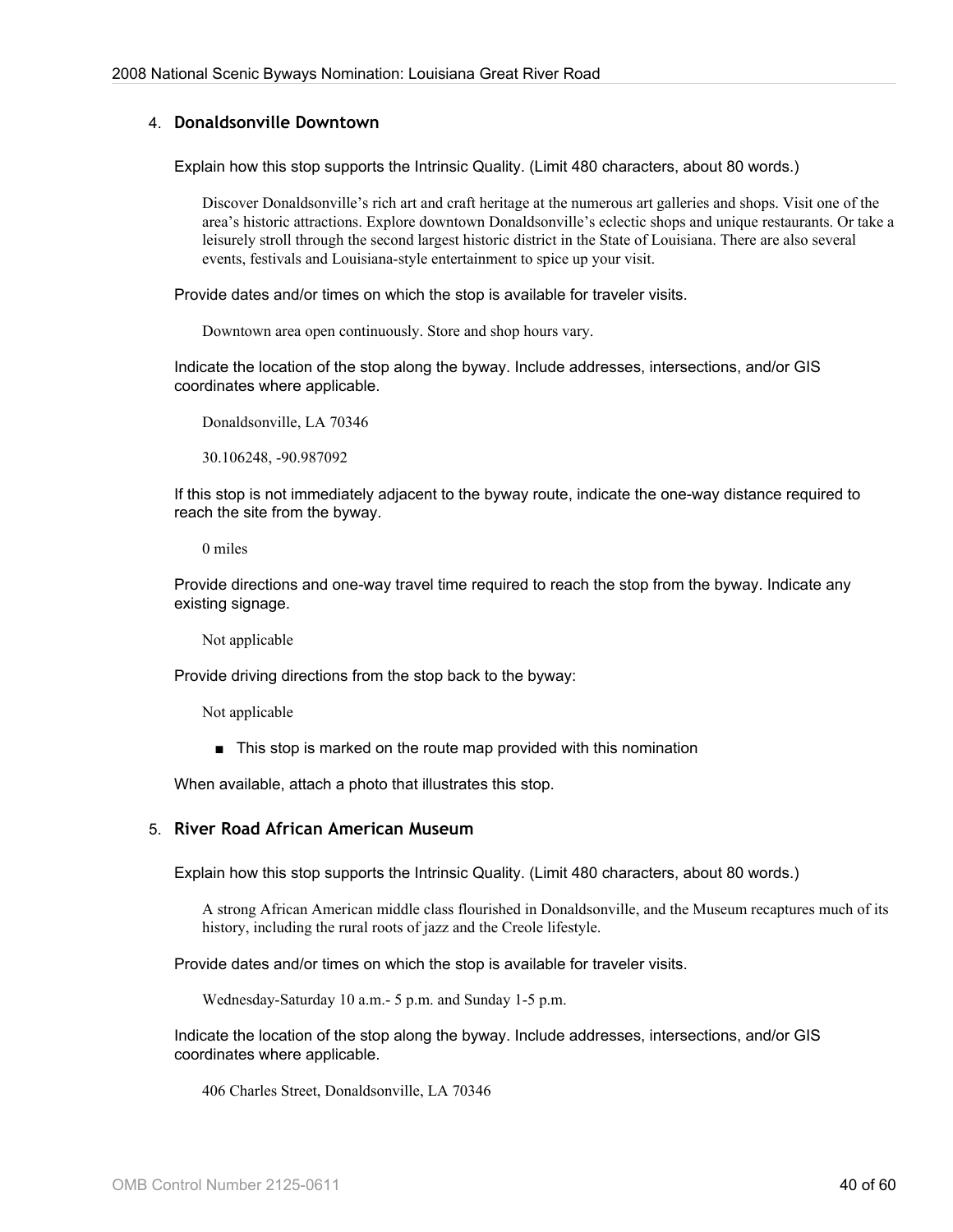#### 4. **Donaldsonville Downtown**

Explain how this stop supports the Intrinsic Quality. (Limit 480 characters, about 80 words.)

Discover Donaldsonville's rich art and craft heritage at the numerous art galleries and shops. Visit one of the area's historic attractions. Explore downtown Donaldsonville's eclectic shops and unique restaurants. Or take a leisurely stroll through the second largest historic district in the State of Louisiana. There are also several events, festivals and Louisiana-style entertainment to spice up your visit.

Provide dates and/or times on which the stop is available for traveler visits.

Downtown area open continuously. Store and shop hours vary.

Indicate the location of the stop along the byway. Include addresses, intersections, and/or GIS coordinates where applicable.

Donaldsonville, LA 70346

30.106248, -90.987092

If this stop is not immediately adjacent to the byway route, indicate the one-way distance required to reach the site from the byway.

0 miles

Provide directions and one-way travel time required to reach the stop from the byway. Indicate any existing signage.

Not applicable

Provide driving directions from the stop back to the byway:

Not applicable

■ This stop is marked on the route map provided with this nomination

When available, attach a photo that illustrates this stop.

#### 5. **River Road African American Museum**

Explain how this stop supports the Intrinsic Quality. (Limit 480 characters, about 80 words.)

A strong African American middle class flourished in Donaldsonville, and the Museum recaptures much of its history, including the rural roots of jazz and the Creole lifestyle.

Provide dates and/or times on which the stop is available for traveler visits.

Wednesday-Saturday 10 a.m.- 5 p.m. and Sunday 1-5 p.m.

Indicate the location of the stop along the byway. Include addresses, intersections, and/or GIS coordinates where applicable.

406 Charles Street, Donaldsonville, LA 70346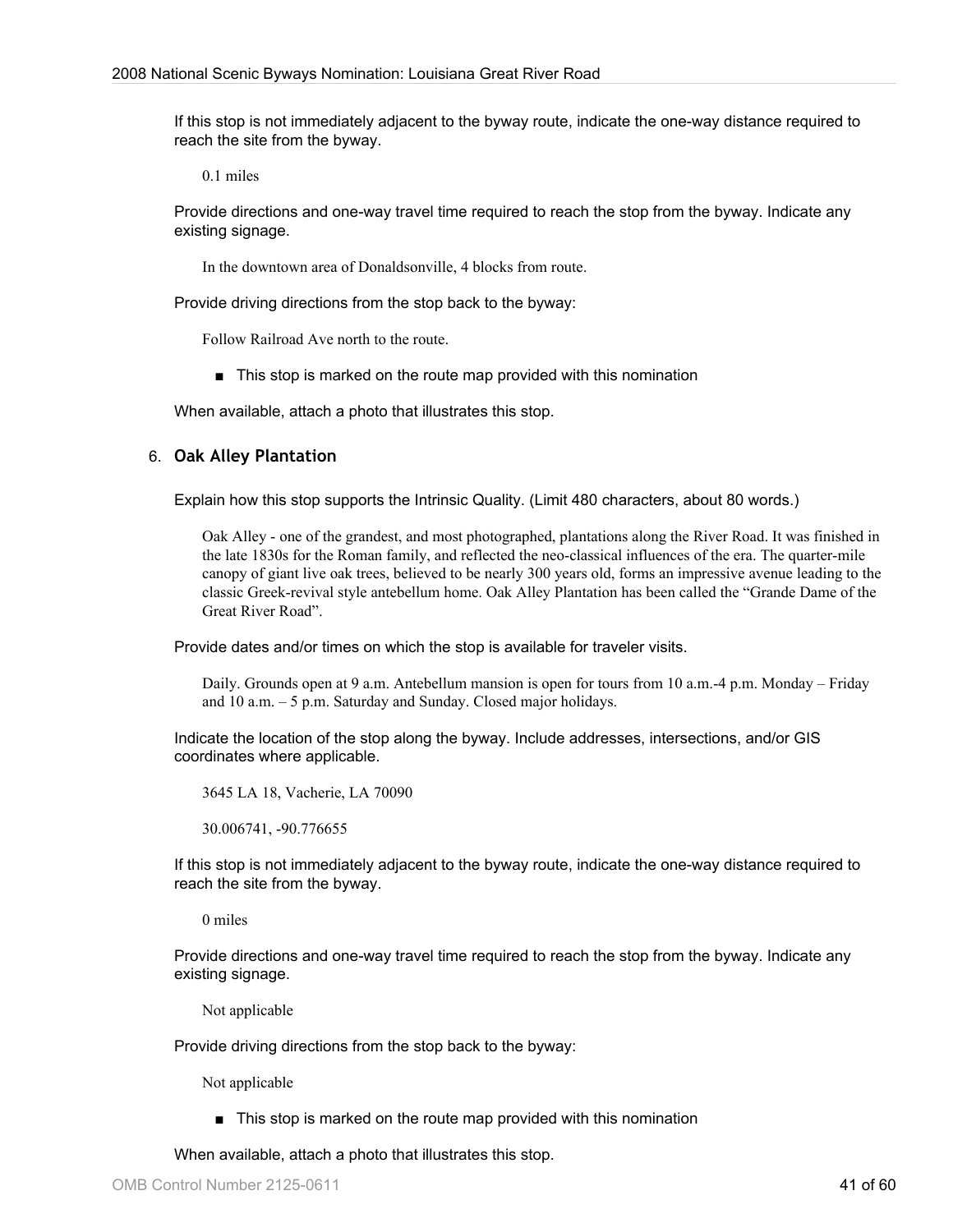If this stop is not immediately adjacent to the byway route, indicate the one-way distance required to reach the site from the byway.

0.1 miles

Provide directions and one-way travel time required to reach the stop from the byway. Indicate any existing signage.

In the downtown area of Donaldsonville, 4 blocks from route.

Provide driving directions from the stop back to the byway:

Follow Railroad Ave north to the route.

■ This stop is marked on the route map provided with this nomination

When available, attach a photo that illustrates this stop.

#### 6. **Oak Alley Plantation**

Explain how this stop supports the Intrinsic Quality. (Limit 480 characters, about 80 words.)

Oak Alley - one of the grandest, and most photographed, plantations along the River Road. It was finished in the late 1830s for the Roman family, and reflected the neo-classical influences of the era. The quarter-mile canopy of giant live oak trees, believed to be nearly 300 years old, forms an impressive avenue leading to the classic Greek-revival style antebellum home. Oak Alley Plantation has been called the "Grande Dame of the Great River Road".

Provide dates and/or times on which the stop is available for traveler visits.

Daily. Grounds open at 9 a.m. Antebellum mansion is open for tours from 10 a.m.-4 p.m. Monday – Friday and 10 a.m. – 5 p.m. Saturday and Sunday. Closed major holidays.

Indicate the location of the stop along the byway. Include addresses, intersections, and/or GIS coordinates where applicable.

3645 LA 18, Vacherie, LA 70090

30.006741, -90.776655

If this stop is not immediately adjacent to the byway route, indicate the one-way distance required to reach the site from the byway.

0 miles

Provide directions and one-way travel time required to reach the stop from the byway. Indicate any existing signage.

Not applicable

Provide driving directions from the stop back to the byway:

Not applicable

■ This stop is marked on the route map provided with this nomination

When available, attach a photo that illustrates this stop.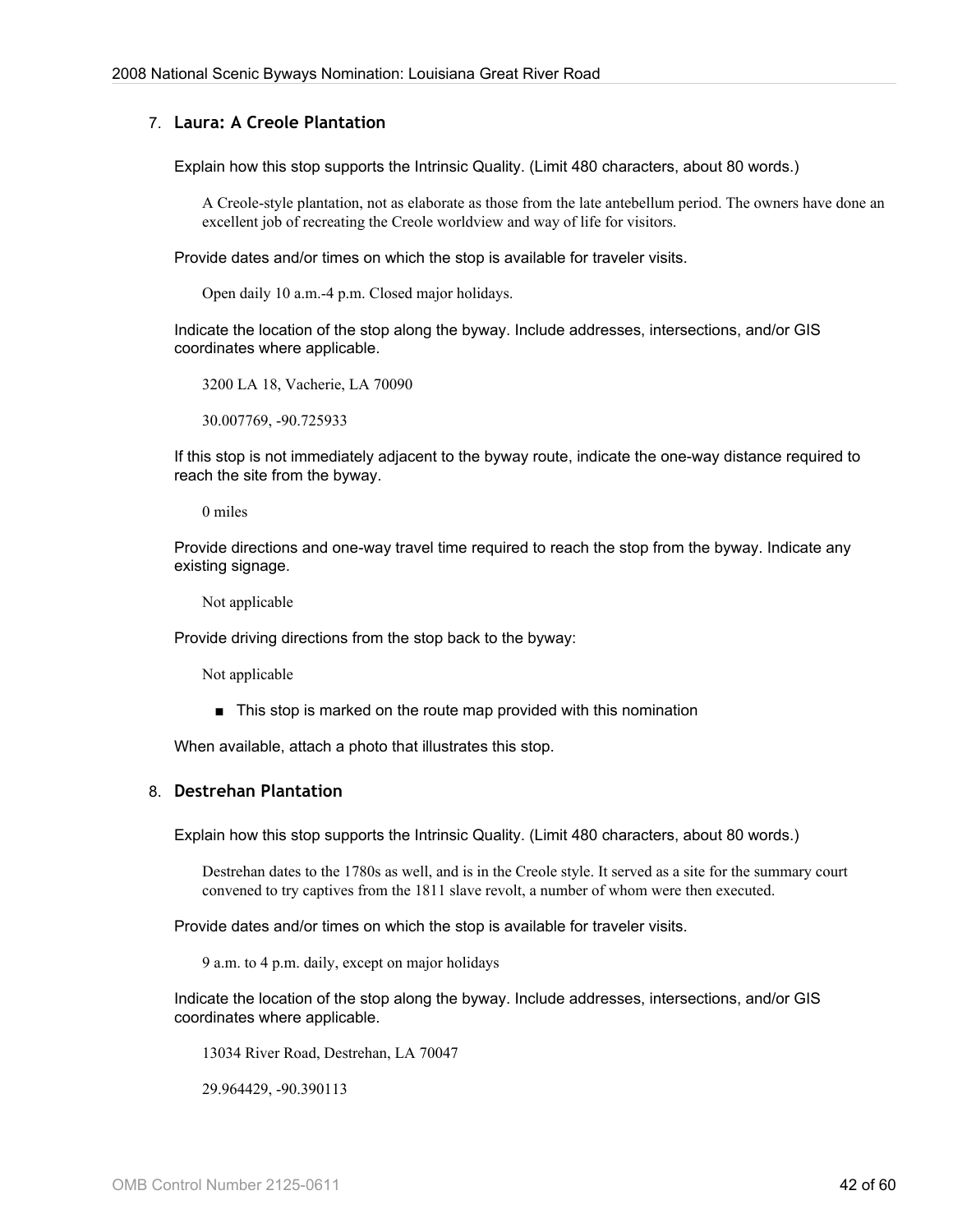#### 7. **Laura: A Creole Plantation**

Explain how this stop supports the Intrinsic Quality. (Limit 480 characters, about 80 words.)

A Creole-style plantation, not as elaborate as those from the late antebellum period. The owners have done an excellent job of recreating the Creole worldview and way of life for visitors.

Provide dates and/or times on which the stop is available for traveler visits.

Open daily 10 a.m.-4 p.m. Closed major holidays.

Indicate the location of the stop along the byway. Include addresses, intersections, and/or GIS coordinates where applicable.

3200 LA 18, Vacherie, LA 70090

30.007769, -90.725933

If this stop is not immediately adjacent to the byway route, indicate the one-way distance required to reach the site from the byway.

0 miles

Provide directions and one-way travel time required to reach the stop from the byway. Indicate any existing signage.

Not applicable

Provide driving directions from the stop back to the byway:

Not applicable

■ This stop is marked on the route map provided with this nomination

When available, attach a photo that illustrates this stop.

#### 8. **Destrehan Plantation**

Explain how this stop supports the Intrinsic Quality. (Limit 480 characters, about 80 words.)

Destrehan dates to the 1780s as well, and is in the Creole style. It served as a site for the summary court convened to try captives from the 1811 slave revolt, a number of whom were then executed.

Provide dates and/or times on which the stop is available for traveler visits.

9 a.m. to 4 p.m. daily, except on major holidays

Indicate the location of the stop along the byway. Include addresses, intersections, and/or GIS coordinates where applicable.

13034 River Road, Destrehan, LA 70047

29.964429, -90.390113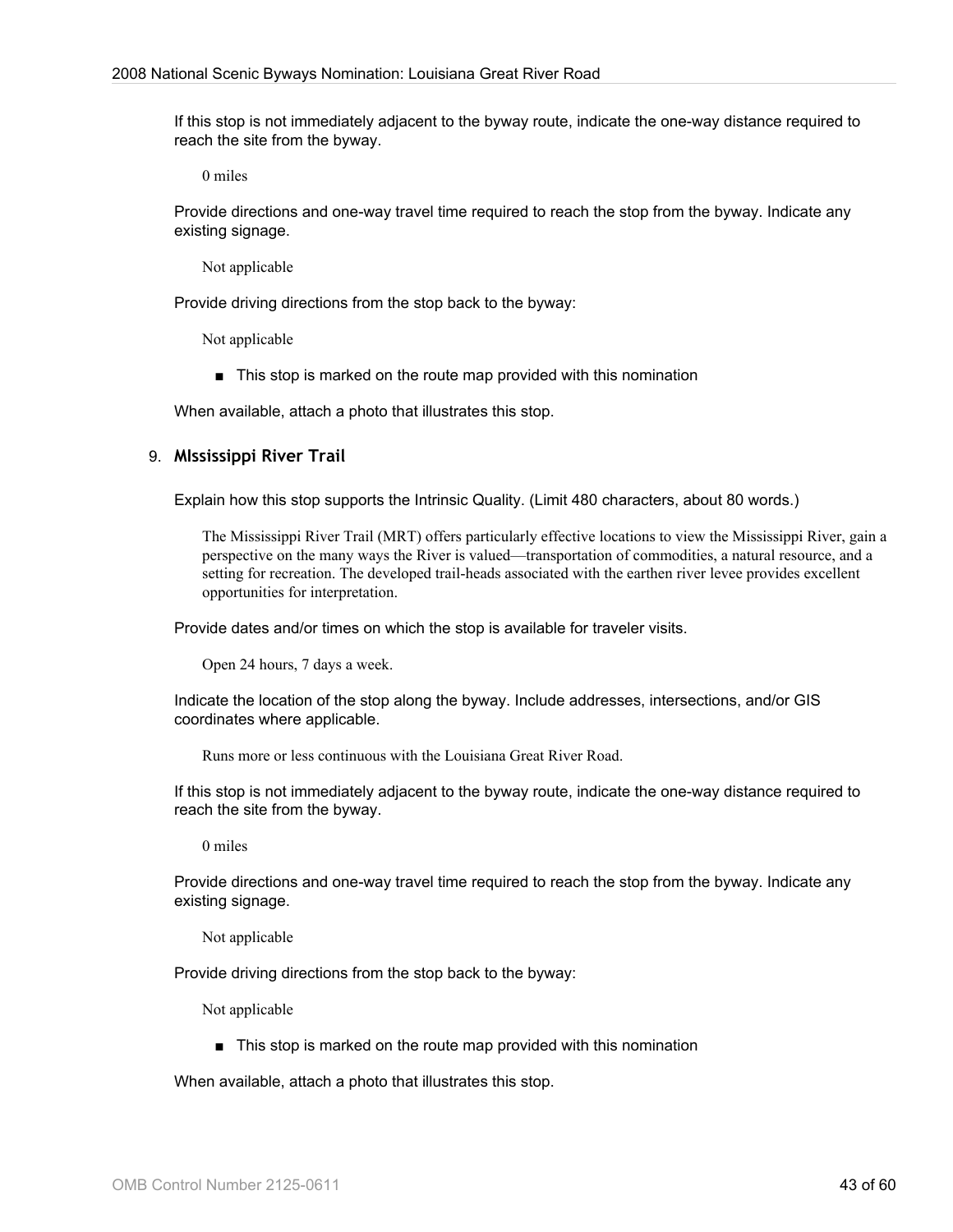If this stop is not immediately adjacent to the byway route, indicate the one-way distance required to reach the site from the byway.

0 miles

Provide directions and one-way travel time required to reach the stop from the byway. Indicate any existing signage.

Not applicable

Provide driving directions from the stop back to the byway:

Not applicable

■ This stop is marked on the route map provided with this nomination

When available, attach a photo that illustrates this stop.

#### 9. **MIssissippi River Trail**

Explain how this stop supports the Intrinsic Quality. (Limit 480 characters, about 80 words.)

The Mississippi River Trail (MRT) offers particularly effective locations to view the Mississippi River, gain a perspective on the many ways the River is valued—transportation of commodities, a natural resource, and a setting for recreation. The developed trail-heads associated with the earthen river levee provides excellent opportunities for interpretation.

Provide dates and/or times on which the stop is available for traveler visits.

Open 24 hours, 7 days a week.

Indicate the location of the stop along the byway. Include addresses, intersections, and/or GIS coordinates where applicable.

Runs more or less continuous with the Louisiana Great River Road.

If this stop is not immediately adjacent to the byway route, indicate the one-way distance required to reach the site from the byway.

0 miles

Provide directions and one-way travel time required to reach the stop from the byway. Indicate any existing signage.

Not applicable

Provide driving directions from the stop back to the byway:

Not applicable

■ This stop is marked on the route map provided with this nomination

When available, attach a photo that illustrates this stop.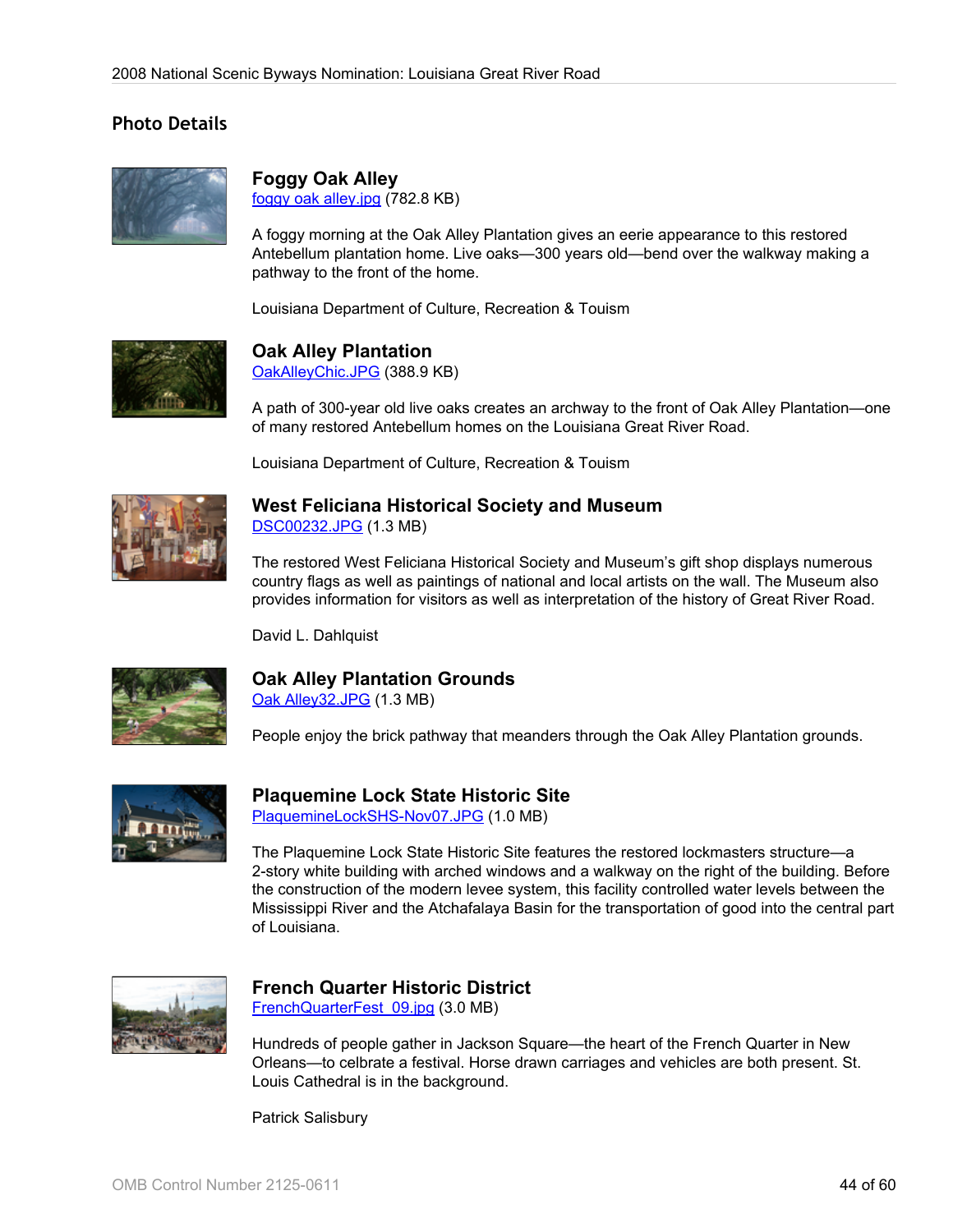# **Photo Details**



## **Foggy Oak Alley**

[foggy oak alley.jpg](http://www.bywaysonline.org/nominations/application/attachments/2331_ymt0al0wyc.jpg) (782.8 KB)

A foggy morning at the Oak Alley Plantation gives an eerie appearance to this restored Antebellum plantation home. Live oaks—300 years old—bend over the walkway making a pathway to the front of the home.

Louisiana Department of Culture, Recreation & Touism



# **Oak Alley Plantation**

[OakAlleyChic.JPG](http://www.bywaysonline.org/nominations/application/attachments/2237_ujziwh6zs9.JPG) (388.9 KB)

A path of 300-year old live oaks creates an archway to the front of Oak Alley Plantation—one of many restored Antebellum homes on the Louisiana Great River Road.

Louisiana Department of Culture, Recreation & Touism



## **West Feliciana Historical Society and Museum**

[DSC00232.JPG](http://www.bywaysonline.org/nominations/application/attachments/2239_to8vz8uwyg.JPG) (1.3 MB)

The restored West Feliciana Historical Society and Museum's gift shop displays numerous country flags as well as paintings of national and local artists on the wall. The Museum also provides information for visitors as well as interpretation of the history of Great River Road.

David L. Dahlquist



# **Oak Alley Plantation Grounds**

[Oak Alley32.JPG](http://www.bywaysonline.org/nominations/application/attachments/2238_0wb0m6yyeq.JPG) (1.3 MB)

People enjoy the brick pathway that meanders through the Oak Alley Plantation grounds.



#### **Plaquemine Lock State Historic Site** [PlaquemineLockSHS-Nov07.JPG](http://www.bywaysonline.org/nominations/application/attachments/2240_hbfeptb852.JPG) (1.0 MB)

The Plaquemine Lock State Historic Site features the restored lockmasters structure—a 2-story white building with arched windows and a walkway on the right of the building. Before the construction of the modern levee system, this facility controlled water levels between the

## **French Quarter Historic District**

[FrenchQuarterFest\\_09.jpg](http://www.bywaysonline.org/nominations/application/attachments/2241_e7xo4d8sz7.jpg) (3.0 MB)

Hundreds of people gather in Jackson Square—the heart of the French Quarter in New Orleans—to celbrate a festival. Horse drawn carriages and vehicles are both present. St. Louis Cathedral is in the background.

Mississippi River and the Atchafalaya Basin for the transportation of good into the central part

Patrick Salisbury

of Louisiana.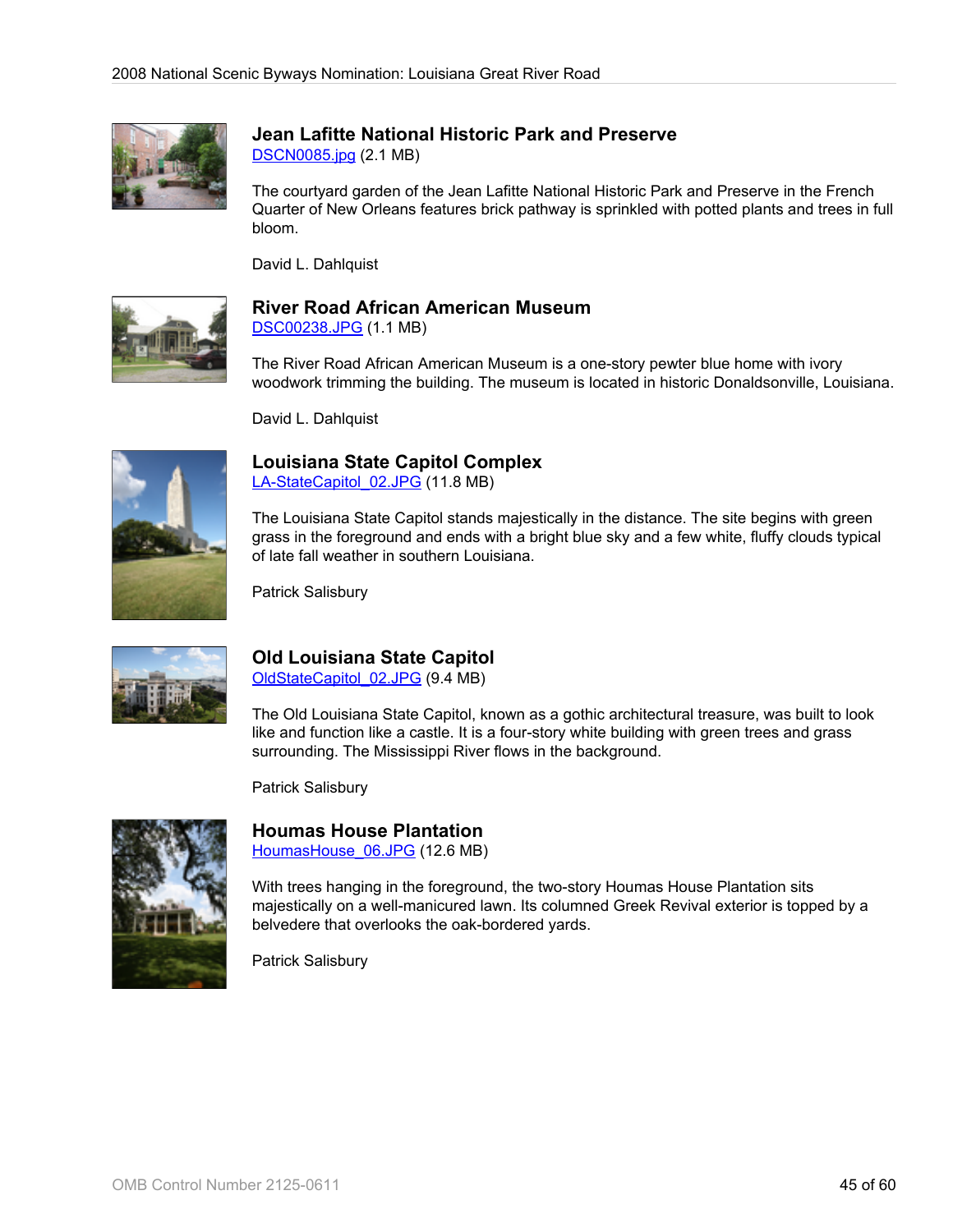

# **Jean Lafitte National Historic Park and Preserve**

[DSCN0085.jpg](http://www.bywaysonline.org/nominations/application/attachments/2242_ikyv4ol1i5.jpg) (2.1 MB)

The courtyard garden of the Jean Lafitte National Historic Park and Preserve in the French Quarter of New Orleans features brick pathway is sprinkled with potted plants and trees in full bloom.

David L. Dahlquist



# **River Road African American Museum**

[DSC00238.JPG](http://www.bywaysonline.org/nominations/application/attachments/2243_6hpyu4g1mb.JPG) (1.1 MB)

The River Road African American Museum is a one-story pewter blue home with ivory woodwork trimming the building. The museum is located in historic Donaldsonville, Louisiana.

David L. Dahlquist



# **Louisiana State Capitol Complex**

[LA-StateCapitol\\_02.JPG](http://www.bywaysonline.org/nominations/application/attachments/2244_maieklbuuc.JPG) (11.8 MB)

The Louisiana State Capitol stands majestically in the distance. The site begins with green grass in the foreground and ends with a bright blue sky and a few white, fluffy clouds typical of late fall weather in southern Louisiana.

Patrick Salisbury



# **Old Louisiana State Capitol**

[OldStateCapitol\\_02.JPG](http://www.bywaysonline.org/nominations/application/attachments/2245_545odg4o8y.JPG) (9.4 MB)

The Old Louisiana State Capitol, known as a gothic architectural treasure, was built to look like and function like a castle. It is a four-story white building with green trees and grass surrounding. The Mississippi River flows in the background.

Patrick Salisbury



## **Houmas House Plantation**

HoumasHouse 06.JPG (12.6 MB)

With trees hanging in the foreground, the two-story Houmas House Plantation sits majestically on a well-manicured lawn. Its columned Greek Revival exterior is topped by a belvedere that overlooks the oak-bordered yards.

Patrick Salisbury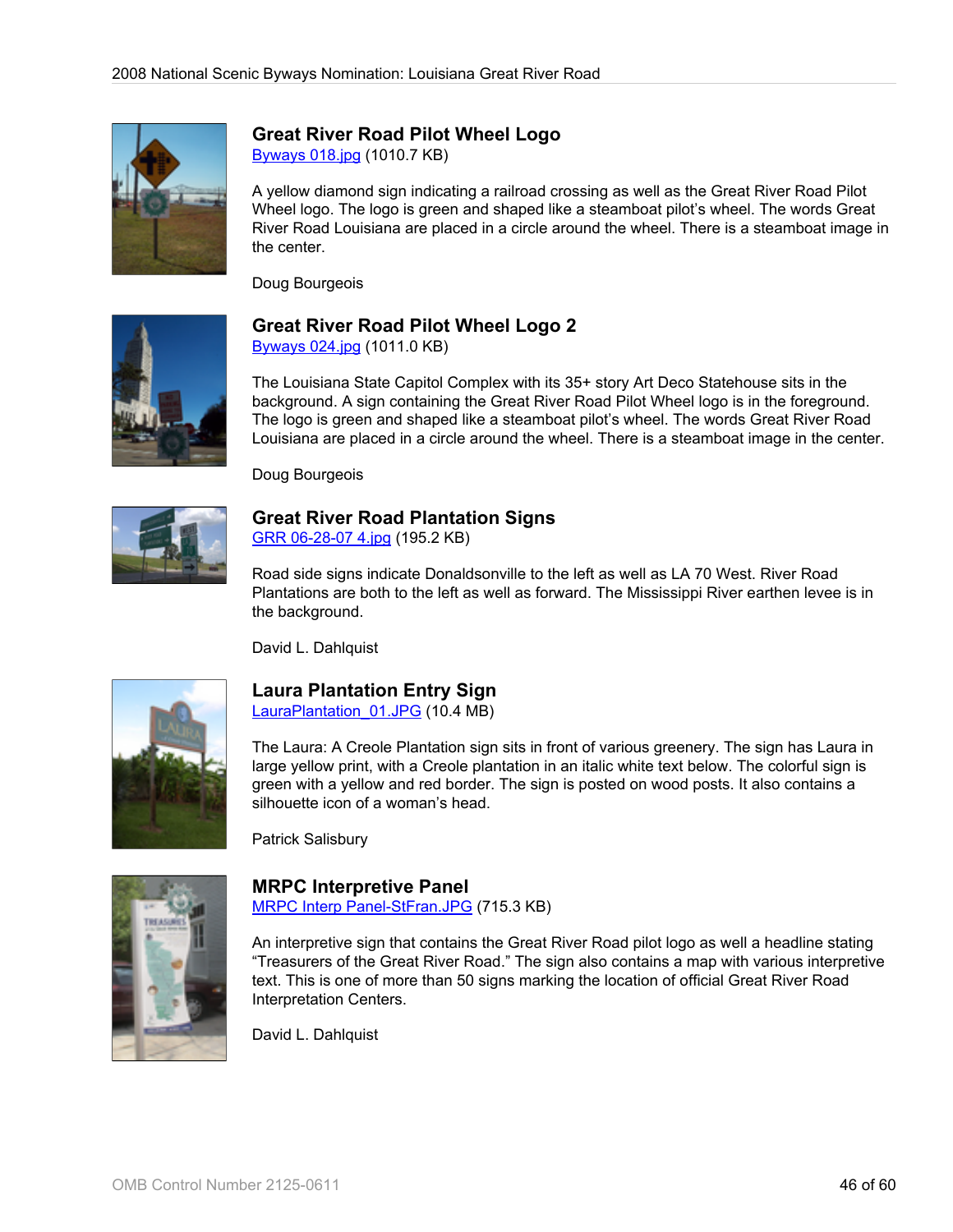

## **Great River Road Pilot Wheel Logo**

[Byways 018.jpg](http://www.bywaysonline.org/nominations/application/attachments/2259_jl8x2yawkm.jpg) (1010.7 KB)

A yellow diamond sign indicating a railroad crossing as well as the Great River Road Pilot Wheel logo. The logo is green and shaped like a steamboat pilot's wheel. The words Great River Road Louisiana are placed in a circle around the wheel. There is a steamboat image in the center.

Doug Bourgeois



# **Great River Road Pilot Wheel Logo 2**

[Byways 024.jpg](http://www.bywaysonline.org/nominations/application/attachments/2260_1wf255lsxw.jpg) (1011.0 KB)

The Louisiana State Capitol Complex with its 35+ story Art Deco Statehouse sits in the background. A sign containing the Great River Road Pilot Wheel logo is in the foreground. The logo is green and shaped like a steamboat pilot's wheel. The words Great River Road Louisiana are placed in a circle around the wheel. There is a steamboat image in the center.

Doug Bourgeois



# **Great River Road Plantation Signs**

[GRR 06-28-07 4.jpg](http://www.bywaysonline.org/nominations/application/attachments/2261_efub39cg9m.jpg) (195.2 KB)

Road side signs indicate Donaldsonville to the left as well as LA 70 West. River Road Plantations are both to the left as well as forward. The Mississippi River earthen levee is in the background.

David L. Dahlquist



#### **Laura Plantation Entry Sign** LauraPlantation 01.JPG (10.4 MB)

The Laura: A Creole Plantation sign sits in front of various greenery. The sign has Laura in large yellow print, with a Creole plantation in an italic white text below. The colorful sign is green with a yellow and red border. The sign is posted on wood posts. It also contains a silhouette icon of a woman's head.

Patrick Salisbury



## **MRPC Interpretive Panel**

[MRPC Interp Panel-StFran.JPG](http://www.bywaysonline.org/nominations/application/attachments/2263_djmiccmg78.JPG) (715.3 KB)

An interpretive sign that contains the Great River Road pilot logo as well a headline stating "Treasurers of the Great River Road." The sign also contains a map with various interpretive text. This is one of more than 50 signs marking the location of official Great River Road Interpretation Centers.

David L. Dahlquist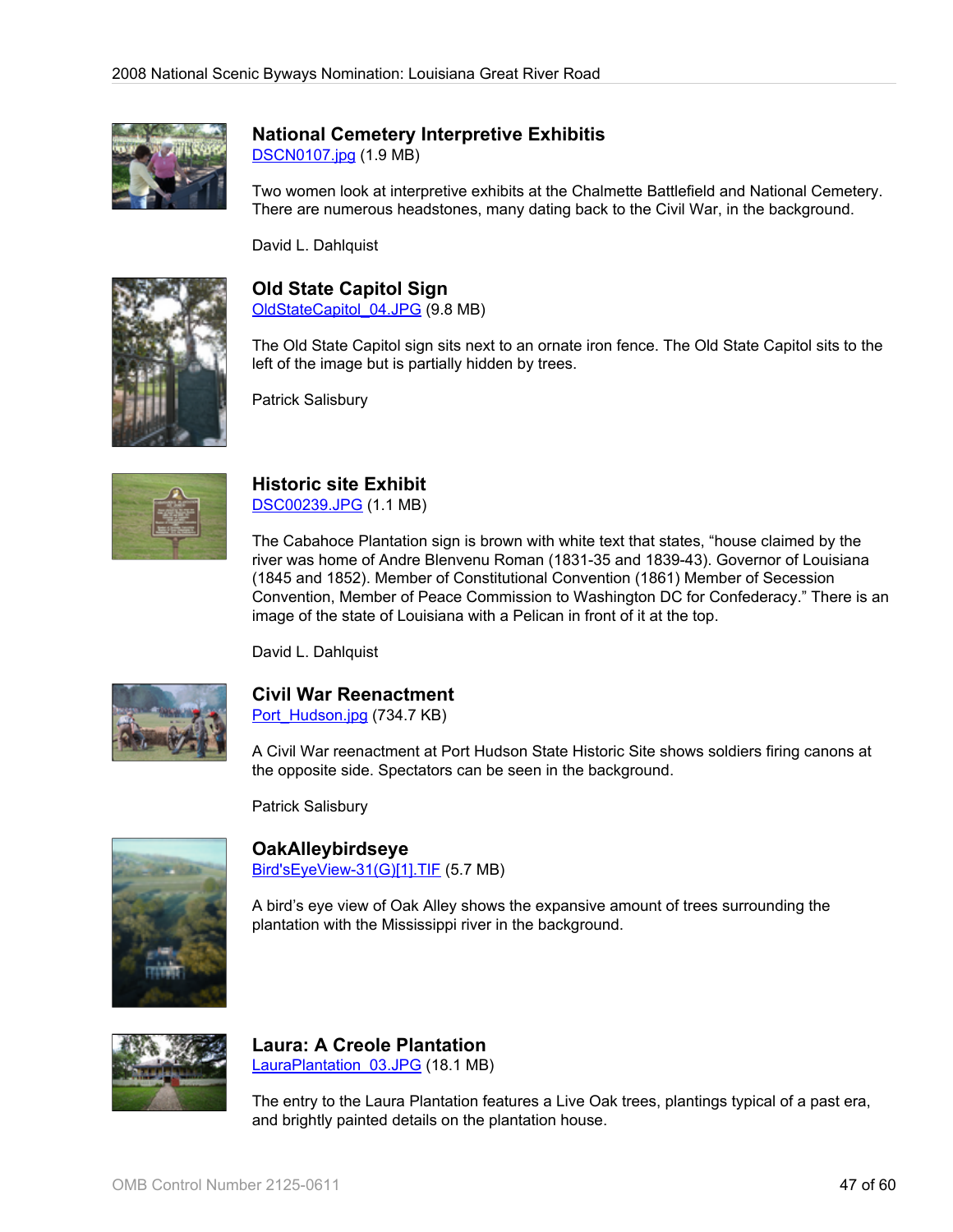

# **National Cemetery Interpretive Exhibitis**

[DSCN0107.jpg](http://www.bywaysonline.org/nominations/application/attachments/2264_s9surbfny4.jpg) (1.9 MB)

Two women look at interpretive exhibits at the Chalmette Battlefield and National Cemetery. There are numerous headstones, many dating back to the Civil War, in the background.

David L. Dahlquist



# **Old State Capitol Sign**

[OldStateCapitol\\_04.JPG](http://www.bywaysonline.org/nominations/application/attachments/2265_h34o2qzzqa.JPG) (9.8 MB)

The Old State Capitol sign sits next to an ornate iron fence. The Old State Capitol sits to the left of the image but is partially hidden by trees.

Patrick Salisbury



#### **Historic site Exhibit** [DSC00239.JPG](http://www.bywaysonline.org/nominations/application/attachments/2266_jq9u1k18sj.JPG) (1.1 MB)

The Cabahoce Plantation sign is brown with white text that states, "house claimed by the river was home of Andre Blenvenu Roman (1831-35 and 1839-43). Governor of Louisiana (1845 and 1852). Member of Constitutional Convention (1861) Member of Secession Convention, Member of Peace Commission to Washington DC for Confederacy." There is an image of the state of Louisiana with a Pelican in front of it at the top.

David L. Dahlquist



# **Civil War Reenactment**

[Port\\_Hudson.jpg](http://www.bywaysonline.org/nominations/application/attachments/2314_2j1wecb2qc.jpg) (734.7 KB)

A Civil War reenactment at Port Hudson State Historic Site shows soldiers firing canons at the opposite side. Spectators can be seen in the background.

Patrick Salisbury



**OakAlleybirdseye** [Bird'sEyeView-31\(G\)\[1\].TIF](http://www.bywaysonline.org/nominations/application/attachments/2330_ks6ok3rctw.TIF) (5.7 MB)

A bird's eye view of Oak Alley shows the expansive amount of trees surrounding the plantation with the Mississippi river in the background.



#### **Laura: A Creole Plantation** LauraPlantation 03.JPG (18.1 MB)

The entry to the Laura Plantation features a Live Oak trees, plantings typical of a past era, and brightly painted details on the plantation house.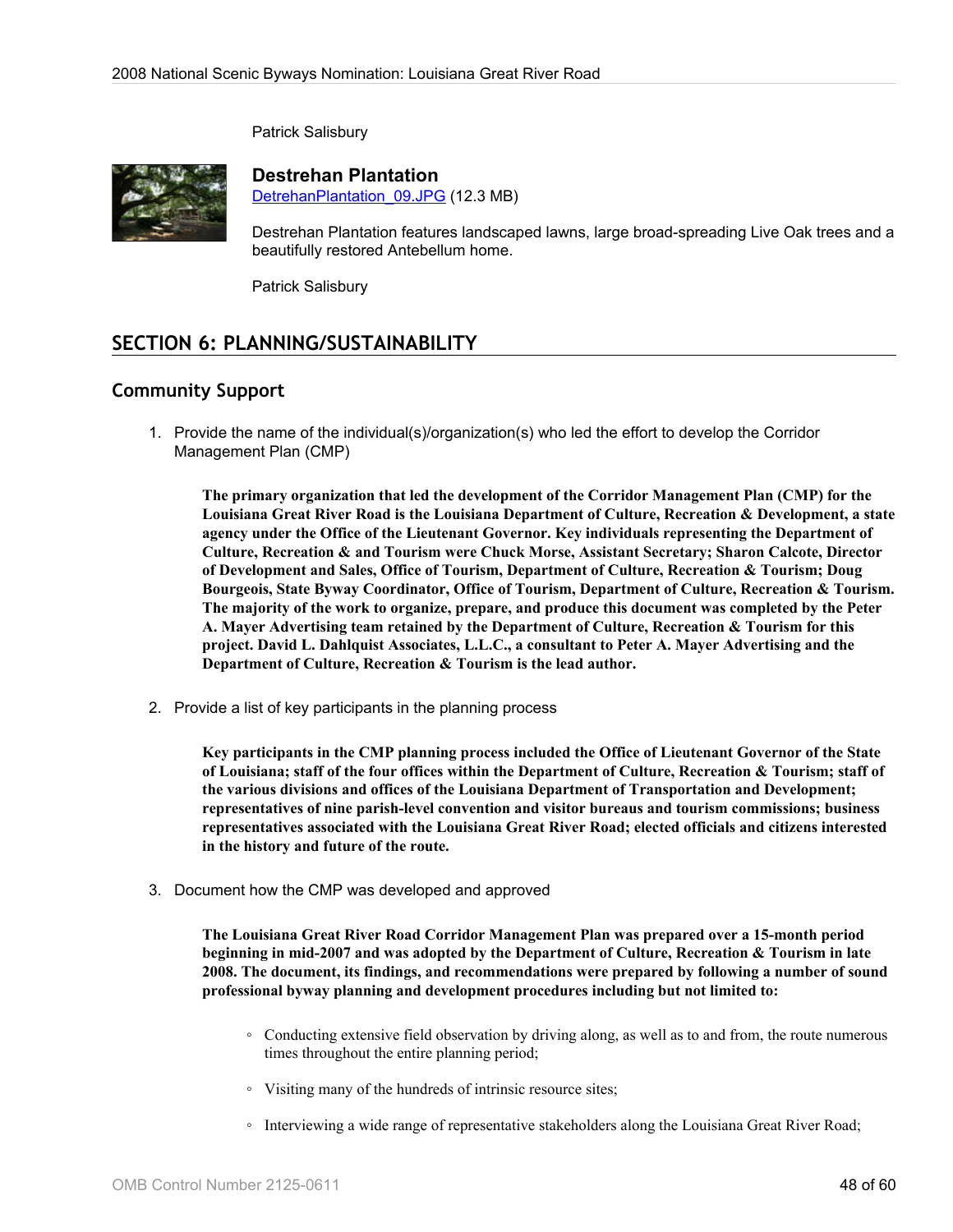Patrick Salisbury



**Destrehan Plantation**

[DetrehanPlantation\\_09.JPG](http://www.bywaysonline.org/nominations/application/attachments/2402_z3po34d5k2.JPG) (12.3 MB)

Destrehan Plantation features landscaped lawns, large broad-spreading Live Oak trees and a beautifully restored Antebellum home.

Patrick Salisbury

# **SECTION 6: PLANNING/SUSTAINABILITY**

# **Community Support**

1. Provide the name of the individual(s)/organization(s) who led the effort to develop the Corridor Management Plan (CMP)

**The primary organization that led the development of the Corridor Management Plan (CMP) for the Louisiana Great River Road is the Louisiana Department of Culture, Recreation & Development, a state agency under the Office of the Lieutenant Governor. Key individuals representing the Department of Culture, Recreation & and Tourism were Chuck Morse, Assistant Secretary; Sharon Calcote, Director of Development and Sales, Office of Tourism, Department of Culture, Recreation & Tourism; Doug Bourgeois, State Byway Coordinator, Office of Tourism, Department of Culture, Recreation & Tourism. The majority of the work to organize, prepare, and produce this document was completed by the Peter A. Mayer Advertising team retained by the Department of Culture, Recreation & Tourism for this project. David L. Dahlquist Associates, L.L.C., a consultant to Peter A. Mayer Advertising and the Department of Culture, Recreation & Tourism is the lead author.**

2. Provide a list of key participants in the planning process

**Key participants in the CMP planning process included the Office of Lieutenant Governor of the State of Louisiana; staff of the four offices within the Department of Culture, Recreation & Tourism; staff of the various divisions and offices of the Louisiana Department of Transportation and Development; representatives of nine parish-level convention and visitor bureaus and tourism commissions; business representatives associated with the Louisiana Great River Road; elected officials and citizens interested in the history and future of the route.**

3. Document how the CMP was developed and approved

**The Louisiana Great River Road Corridor Management Plan was prepared over a 15-month period beginning in mid-2007 and was adopted by the Department of Culture, Recreation & Tourism in late 2008. The document, its findings, and recommendations were prepared by following a number of sound professional byway planning and development procedures including but not limited to:**

- Conducting extensive field observation by driving along, as well as to and from, the route numerous times throughout the entire planning period;
- Visiting many of the hundreds of intrinsic resource sites;
- Interviewing a wide range of representative stakeholders along the Louisiana Great River Road;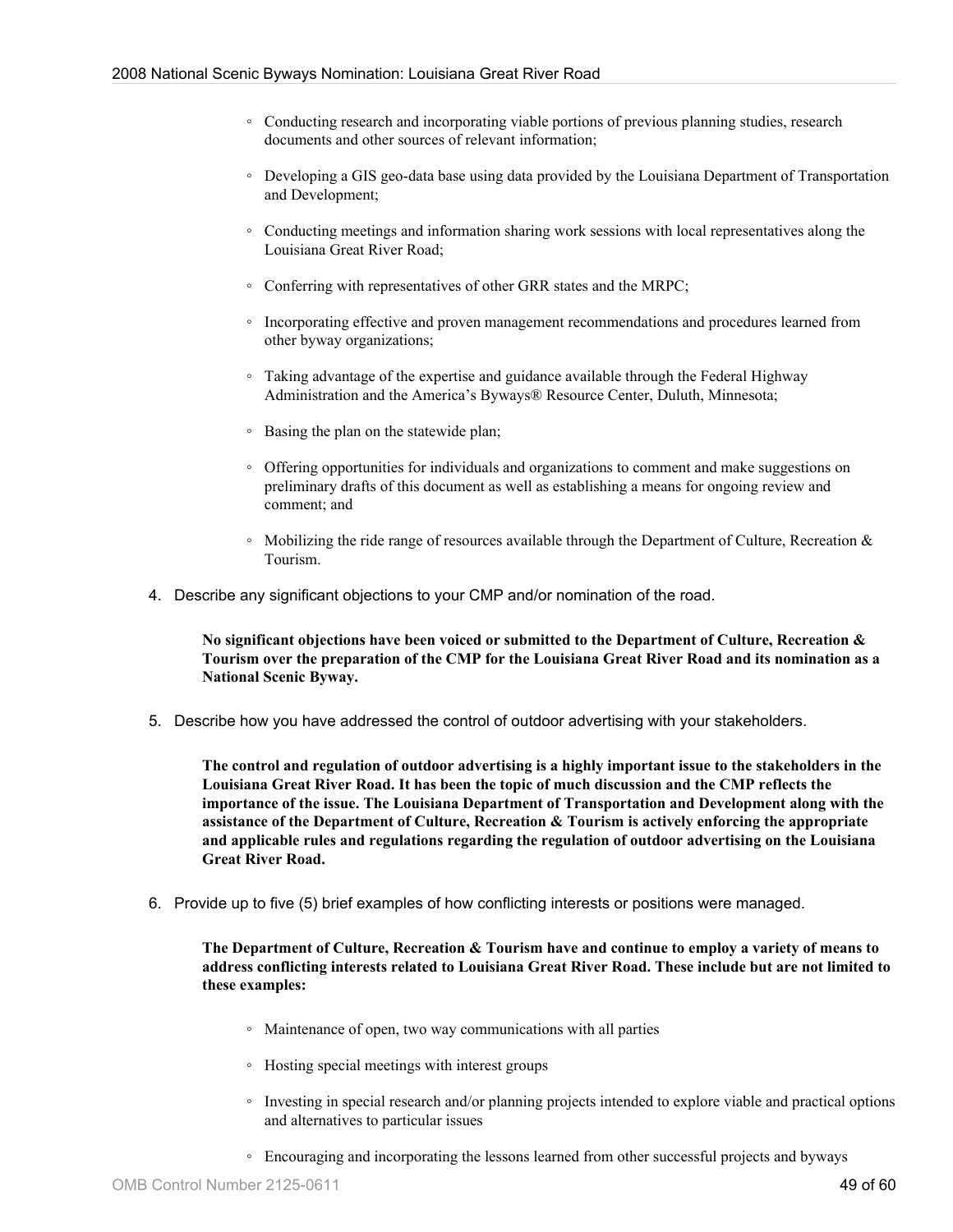- Conducting research and incorporating viable portions of previous planning studies, research documents and other sources of relevant information;
- Developing a GIS geo-data base using data provided by the Louisiana Department of Transportation and Development;
- Conducting meetings and information sharing work sessions with local representatives along the Louisiana Great River Road;
- Conferring with representatives of other GRR states and the MRPC;
- Incorporating effective and proven management recommendations and procedures learned from other byway organizations;
- Taking advantage of the expertise and guidance available through the Federal Highway Administration and the America's Byways® Resource Center, Duluth, Minnesota;
- Basing the plan on the statewide plan;
- Offering opportunities for individuals and organizations to comment and make suggestions on preliminary drafts of this document as well as establishing a means for ongoing review and comment; and
- Mobilizing the ride range of resources available through the Department of Culture, Recreation & Tourism.
- 4. Describe any significant objections to your CMP and/or nomination of the road.

**No significant objections have been voiced or submitted to the Department of Culture, Recreation & Tourism over the preparation of the CMP for the Louisiana Great River Road and its nomination as a National Scenic Byway.**

5. Describe how you have addressed the control of outdoor advertising with your stakeholders.

**The control and regulation of outdoor advertising is a highly important issue to the stakeholders in the Louisiana Great River Road. It has been the topic of much discussion and the CMP reflects the importance of the issue. The Louisiana Department of Transportation and Development along with the assistance of the Department of Culture, Recreation & Tourism is actively enforcing the appropriate and applicable rules and regulations regarding the regulation of outdoor advertising on the Louisiana Great River Road.**

6. Provide up to five (5) brief examples of how conflicting interests or positions were managed.

**The Department of Culture, Recreation & Tourism have and continue to employ a variety of means to address conflicting interests related to Louisiana Great River Road. These include but are not limited to these examples:**

- Maintenance of open, two way communications with all parties
- Hosting special meetings with interest groups
- Investing in special research and/or planning projects intended to explore viable and practical options and alternatives to particular issues
- Encouraging and incorporating the lessons learned from other successful projects and byways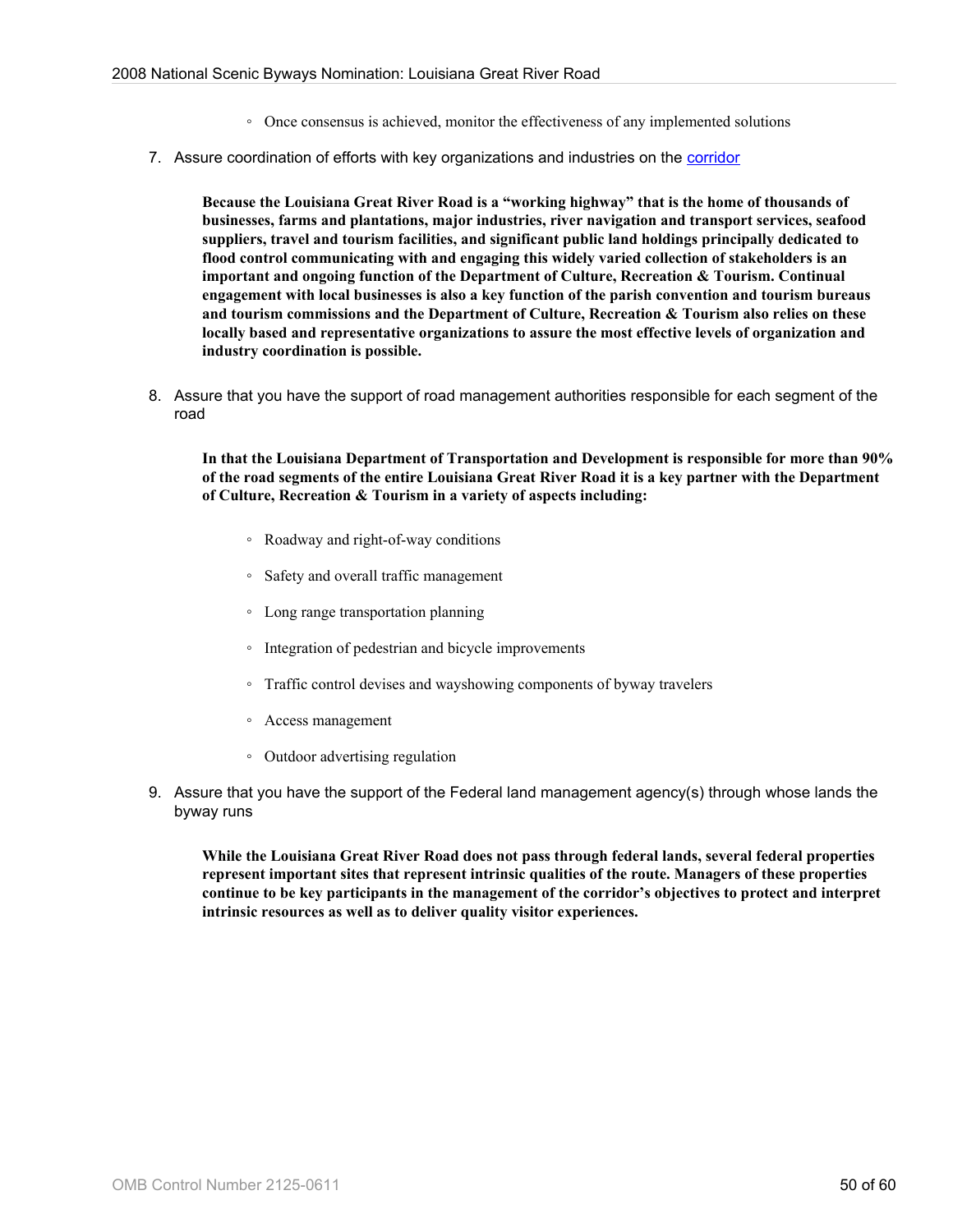- Once consensus is achieved, monitor the effectiveness of any implemented solutions
- 7. Assure coordination of efforts with key organizations and industries on the [corridor](http://www.bywaysonline.org/nominations/application/guide/guide_definitions#corridor)

**Because the Louisiana Great River Road is a "working highway" that is the home of thousands of businesses, farms and plantations, major industries, river navigation and transport services, seafood suppliers, travel and tourism facilities, and significant public land holdings principally dedicated to flood control communicating with and engaging this widely varied collection of stakeholders is an important and ongoing function of the Department of Culture, Recreation & Tourism. Continual engagement with local businesses is also a key function of the parish convention and tourism bureaus and tourism commissions and the Department of Culture, Recreation & Tourism also relies on these locally based and representative organizations to assure the most effective levels of organization and industry coordination is possible.**

8. Assure that you have the support of road management authorities responsible for each segment of the road

**In that the Louisiana Department of Transportation and Development is responsible for more than 90% of the road segments of the entire Louisiana Great River Road it is a key partner with the Department of Culture, Recreation & Tourism in a variety of aspects including:**

- Roadway and right-of-way conditions
- Safety and overall traffic management
- Long range transportation planning
- Integration of pedestrian and bicycle improvements
- Traffic control devises and wayshowing components of byway travelers
- Access management
- Outdoor advertising regulation
- 9. Assure that you have the support of the Federal land management agency(s) through whose lands the byway runs

**While the Louisiana Great River Road does not pass through federal lands, several federal properties represent important sites that represent intrinsic qualities of the route. Managers of these properties continue to be key participants in the management of the corridor's objectives to protect and interpret intrinsic resources as well as to deliver quality visitor experiences.**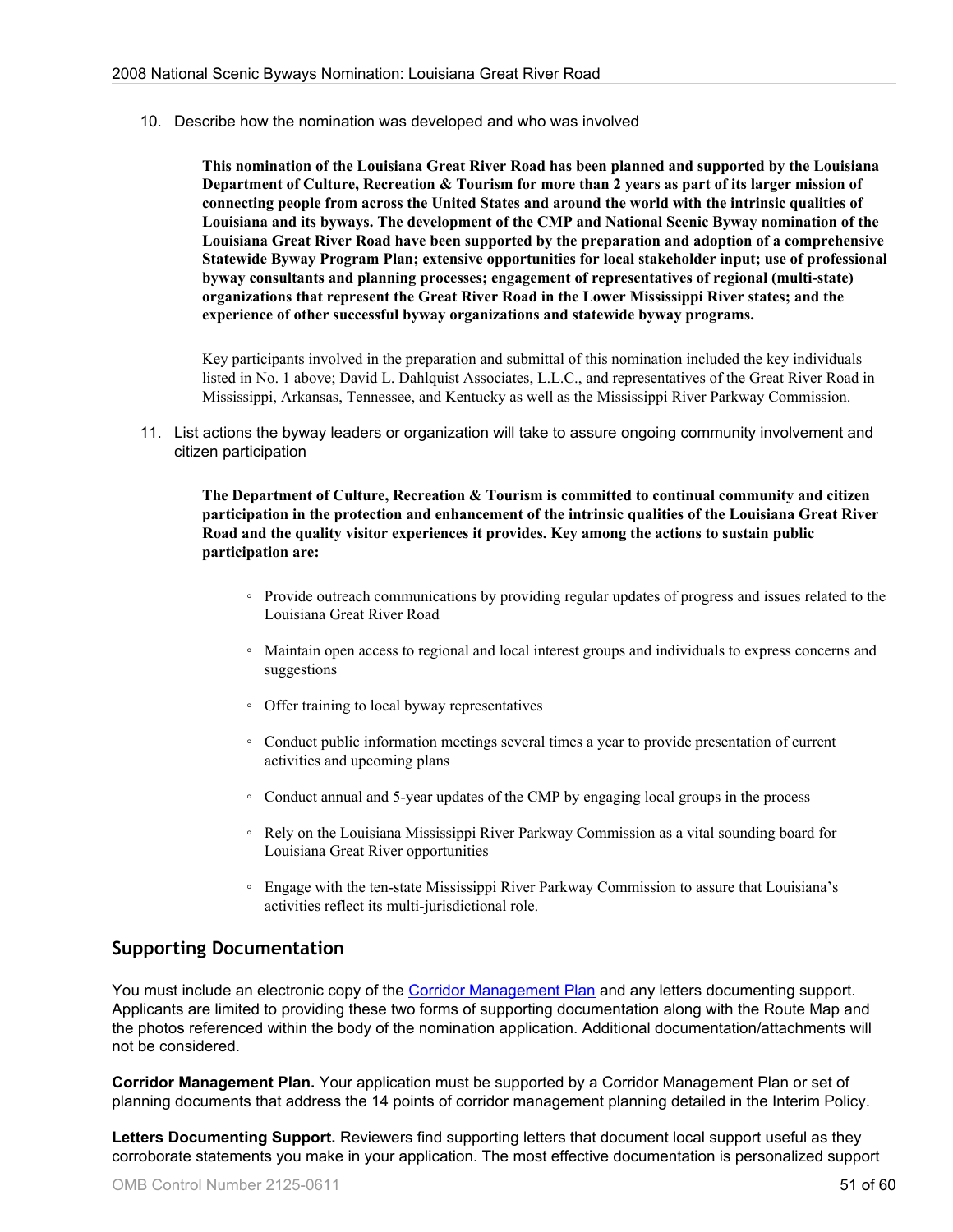10. Describe how the nomination was developed and who was involved

**This nomination of the Louisiana Great River Road has been planned and supported by the Louisiana Department of Culture, Recreation & Tourism for more than 2 years as part of its larger mission of connecting people from across the United States and around the world with the intrinsic qualities of Louisiana and its byways. The development of the CMP and National Scenic Byway nomination of the Louisiana Great River Road have been supported by the preparation and adoption of a comprehensive Statewide Byway Program Plan; extensive opportunities for local stakeholder input; use of professional byway consultants and planning processes; engagement of representatives of regional (multi-state) organizations that represent the Great River Road in the Lower Mississippi River states; and the experience of other successful byway organizations and statewide byway programs.**

Key participants involved in the preparation and submittal of this nomination included the key individuals listed in No. 1 above; David L. Dahlquist Associates, L.L.C., and representatives of the Great River Road in Mississippi, Arkansas, Tennessee, and Kentucky as well as the Mississippi River Parkway Commission.

11. List actions the byway leaders or organization will take to assure ongoing community involvement and citizen participation

**The Department of Culture, Recreation & Tourism is committed to continual community and citizen participation in the protection and enhancement of the intrinsic qualities of the Louisiana Great River Road and the quality visitor experiences it provides. Key among the actions to sustain public participation are:**

- Provide outreach communications by providing regular updates of progress and issues related to the Louisiana Great River Road
- Maintain open access to regional and local interest groups and individuals to express concerns and suggestions
- Offer training to local byway representatives
- Conduct public information meetings several times a year to provide presentation of current activities and upcoming plans
- Conduct annual and 5-year updates of the CMP by engaging local groups in the process
- Rely on the Louisiana Mississippi River Parkway Commission as a vital sounding board for Louisiana Great River opportunities
- Engage with the ten-state Mississippi River Parkway Commission to assure that Louisiana's activities reflect its multi-jurisdictional role.

## **Supporting Documentation**

You must include an electronic copy of the [Corridor Management Plan](http://www.bywaysonline.org/nominations/application/guide/guide_definitions#cmp) and any letters documenting support. Applicants are limited to providing these two forms of supporting documentation along with the Route Map and the photos referenced within the body of the nomination application. Additional documentation/attachments will not be considered.

**Corridor Management Plan.** Your application must be supported by a Corridor Management Plan or set of planning documents that address the 14 points of corridor management planning detailed in the Interim Policy.

**Letters Documenting Support.** Reviewers find supporting letters that document local support useful as they corroborate statements you make in your application. The most effective documentation is personalized support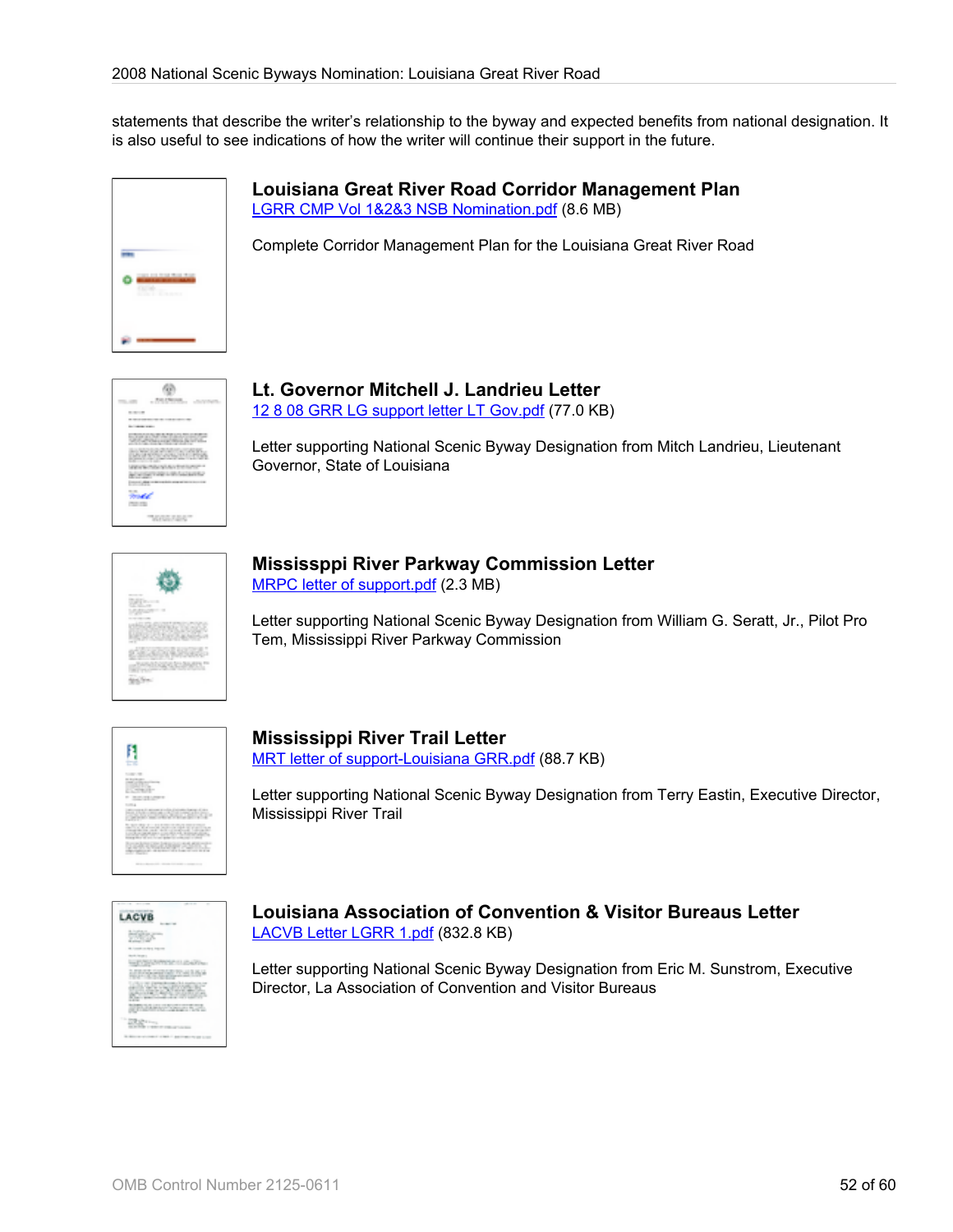statements that describe the writer's relationship to the byway and expected benefits from national designation. It is also useful to see indications of how the writer will continue their support in the future.



**Louisiana Great River Road Corridor Management Plan** [LGRR CMP Vol 1&2&3 NSB Nomination.pdf](http://www.bywaysonline.org/nominations/application/attachments/2185_ihhimnuo39.pdf) (8.6 MB)

Complete Corridor Management Plan for the Louisiana Great River Road



# **Lt. Governor Mitchell J. Landrieu Letter**

[12 8 08 GRR LG support letter LT Gov.pdf](http://www.bywaysonline.org/nominations/application/attachments/2509_qnjoaahreb.pdf) (77.0 KB)

Letter supporting National Scenic Byway Designation from Mitch Landrieu, Lieutenant Governor, State of Louisiana

# **Mississppi River Parkway Commission Letter**

[MRPC letter of support.pdf](http://www.bywaysonline.org/nominations/application/attachments/2508_qf61lly0v0.pdf) (2.3 MB)

Letter supporting National Scenic Byway Designation from William G. Seratt, Jr., Pilot Pro Tem, Mississippi River Parkway Commission



# **Mississippi River Trail Letter**

[MRT letter of support-Louisiana GRR.pdf](http://www.bywaysonline.org/nominations/application/attachments/1779_c0ig03nq16.pdf) (88.7 KB)

Letter supporting National Scenic Byway Designation from Terry Eastin, Executive Director, Mississippi River Trail

| ٠                                                                                                                                                                                                                                                                                                                                                                             |
|-------------------------------------------------------------------------------------------------------------------------------------------------------------------------------------------------------------------------------------------------------------------------------------------------------------------------------------------------------------------------------|
| LACVB<br>×                                                                                                                                                                                                                                                                                                                                                                    |
| <b>Hitley</b>                                                                                                                                                                                                                                                                                                                                                                 |
|                                                                                                                                                                                                                                                                                                                                                                               |
|                                                                                                                                                                                                                                                                                                                                                                               |
| <b>SPIELINGSTEIN</b><br>-02                                                                                                                                                                                                                                                                                                                                                   |
| <b>STATE</b><br>$\rightarrow$<br>and discussions can't be will<br><b>Maria</b><br>.<br>m<br>٠                                                                                                                                                                                                                                                                                 |
| $\begin{picture}(20,20) \put(0,0){\line(1,0){10}} \put(10,0){\line(1,0){10}} \put(10,0){\line(1,0){10}} \put(10,0){\line(1,0){10}} \put(10,0){\line(1,0){10}} \put(10,0){\line(1,0){10}} \put(10,0){\line(1,0){10}} \put(10,0){\line(1,0){10}} \put(10,0){\line(1,0){10}} \put(10,0){\line(1,0){10}} \put(10,0){\line(1,0){10}} \put(10,0){\line(1$<br>-<br><b>Co</b><br>$-1$ |
| <b>PARKER</b><br>-<br><b>MARINEZ</b><br>٠<br>۰                                                                                                                                                                                                                                                                                                                                |
| 128811<br>.,                                                                                                                                                                                                                                                                                                                                                                  |
| ---                                                                                                                                                                                                                                                                                                                                                                           |

#### **Louisiana Association of Convention & Visitor Bureaus Letter** [LACVB Letter LGRR 1.pdf](http://www.bywaysonline.org/nominations/application/attachments/2518_add030d0tu.pdf) (832.8 KB)

Letter supporting National Scenic Byway Designation from Eric M. Sunstrom, Executive Director, La Association of Convention and Visitor Bureaus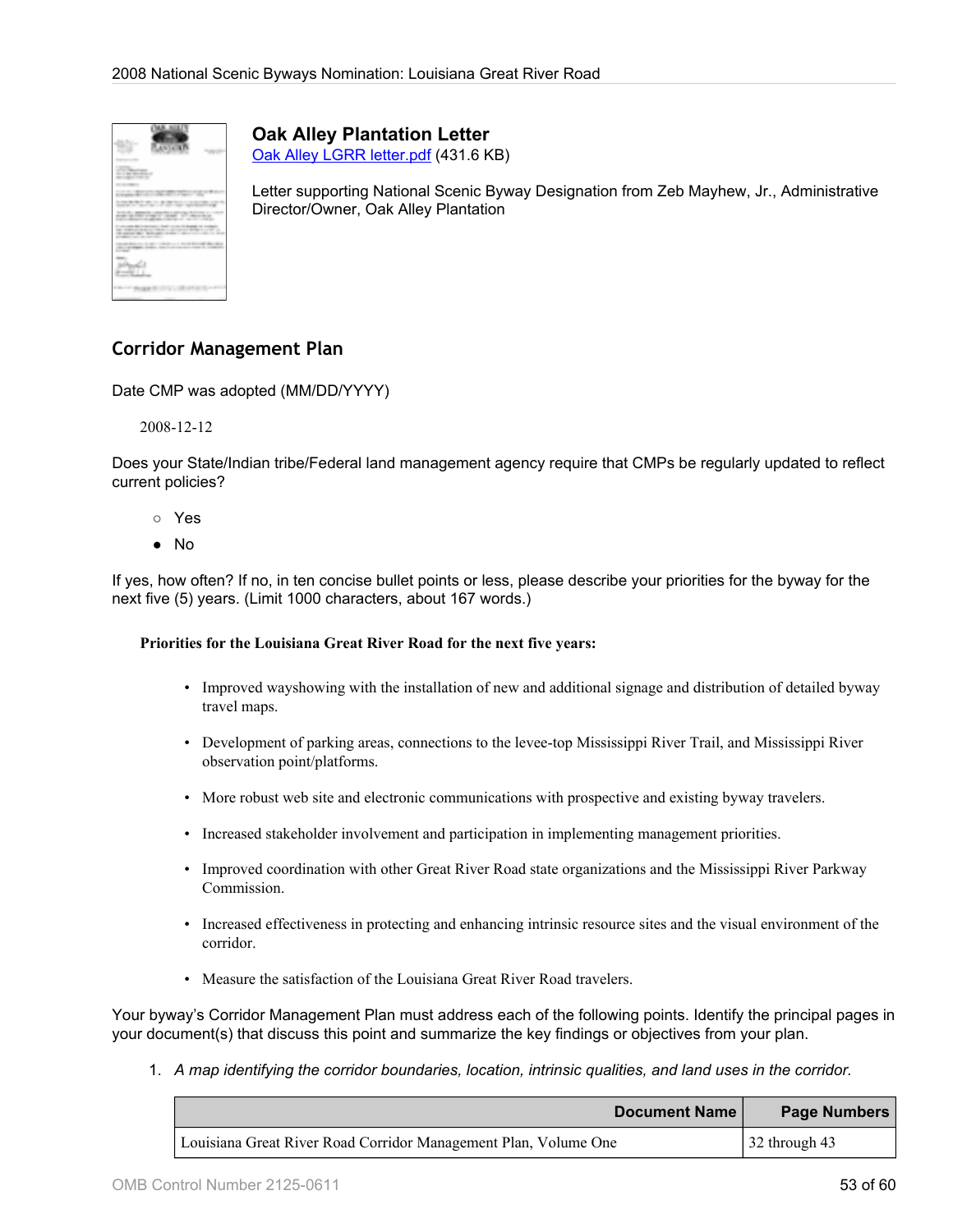

**Oak Alley Plantation Letter** [Oak Alley LGRR letter.pdf](http://www.bywaysonline.org/nominations/application/attachments/2507_p1t8vzm55c.pdf) (431.6 KB)

Letter supporting National Scenic Byway Designation from Zeb Mayhew, Jr., Administrative Director/Owner, Oak Alley Plantation

# **Corridor Management Plan**

Date CMP was adopted (MM/DD/YYYY)

2008-12-12

Does your State/Indian tribe/Federal land management agency require that CMPs be regularly updated to reflect current policies?

- Yes
- No

If yes, how often? If no, in ten concise bullet points or less, please describe your priorities for the byway for the next five (5) years. (Limit 1000 characters, about 167 words.)

#### **Priorities for the Louisiana Great River Road for the next five years:**

- Improved wayshowing with the installation of new and additional signage and distribution of detailed byway travel maps.
- Development of parking areas, connections to the levee-top Mississippi River Trail, and Mississippi River observation point/platforms.
- More robust web site and electronic communications with prospective and existing byway travelers.
- Increased stakeholder involvement and participation in implementing management priorities.
- Improved coordination with other Great River Road state organizations and the Mississippi River Parkway Commission.
- Increased effectiveness in protecting and enhancing intrinsic resource sites and the visual environment of the corridor.
- Measure the satisfaction of the Louisiana Great River Road travelers.

Your byway's Corridor Management Plan must address each of the following points. Identify the principal pages in your document(s) that discuss this point and summarize the key findings or objectives from your plan.

1. *A map identifying the corridor boundaries, location, intrinsic qualities, and land uses in the corridor.*

| Document Name                                                   | <b>Page Numbers</b>             |
|-----------------------------------------------------------------|---------------------------------|
| Louisiana Great River Road Corridor Management Plan, Volume One | $\frac{32 \text{ through } 43}$ |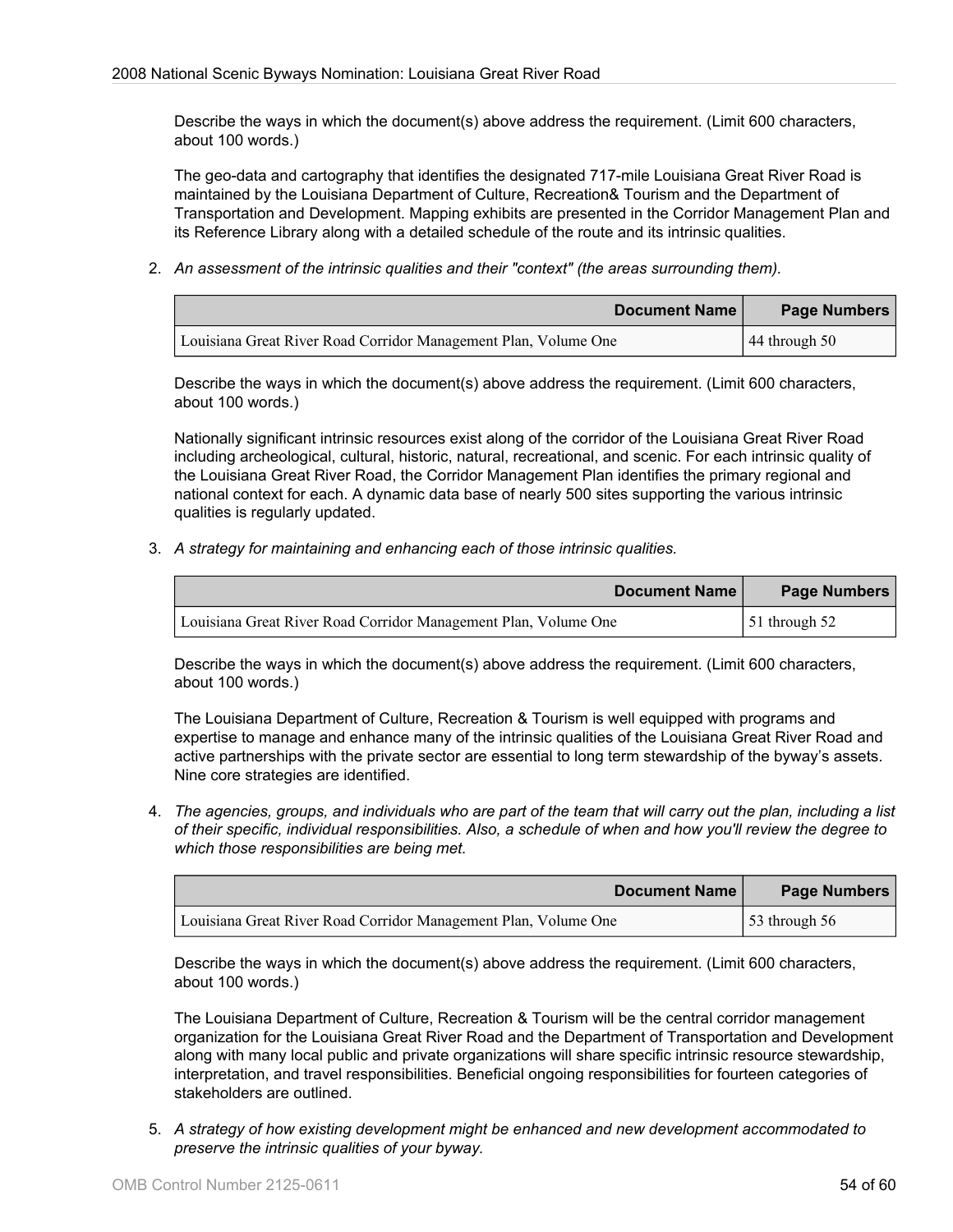Describe the ways in which the document(s) above address the requirement. (Limit 600 characters, about 100 words.)

The geo-data and cartography that identifies the designated 717-mile Louisiana Great River Road is maintained by the Louisiana Department of Culture, Recreation& Tourism and the Department of Transportation and Development. Mapping exhibits are presented in the Corridor Management Plan and its Reference Library along with a detailed schedule of the route and its intrinsic qualities.

2. *An assessment of the intrinsic qualities and their "context" (the areas surrounding them).*

| Document Name                                                   | Page Numbers    |
|-----------------------------------------------------------------|-----------------|
| Louisiana Great River Road Corridor Management Plan, Volume One | $44$ through 50 |

Describe the ways in which the document(s) above address the requirement. (Limit 600 characters, about 100 words.)

Nationally significant intrinsic resources exist along of the corridor of the Louisiana Great River Road including archeological, cultural, historic, natural, recreational, and scenic. For each intrinsic quality of the Louisiana Great River Road, the Corridor Management Plan identifies the primary regional and national context for each. A dynamic data base of nearly 500 sites supporting the various intrinsic qualities is regularly updated.

3. *A strategy for maintaining and enhancing each of those intrinsic qualities.*

| Document Name                                                   | Page Numbers    |
|-----------------------------------------------------------------|-----------------|
| Louisiana Great River Road Corridor Management Plan, Volume One | 51 through $52$ |

Describe the ways in which the document(s) above address the requirement. (Limit 600 characters, about 100 words.)

The Louisiana Department of Culture, Recreation & Tourism is well equipped with programs and expertise to manage and enhance many of the intrinsic qualities of the Louisiana Great River Road and active partnerships with the private sector are essential to long term stewardship of the byway's assets. Nine core strategies are identified.

4. *The agencies, groups, and individuals who are part of the team that will carry out the plan, including a list of their specific, individual responsibilities. Also, a schedule of when and how you'll review the degree to which those responsibilities are being met.*

| Document Name                                                   | Page Numbers          |
|-----------------------------------------------------------------|-----------------------|
| Louisiana Great River Road Corridor Management Plan, Volume One | $\vert$ 53 through 56 |

Describe the ways in which the document(s) above address the requirement. (Limit 600 characters, about 100 words.)

The Louisiana Department of Culture, Recreation & Tourism will be the central corridor management organization for the Louisiana Great River Road and the Department of Transportation and Development along with many local public and private organizations will share specific intrinsic resource stewardship, interpretation, and travel responsibilities. Beneficial ongoing responsibilities for fourteen categories of stakeholders are outlined.

5. *A strategy of how existing development might be enhanced and new development accommodated to preserve the intrinsic qualities of your byway.*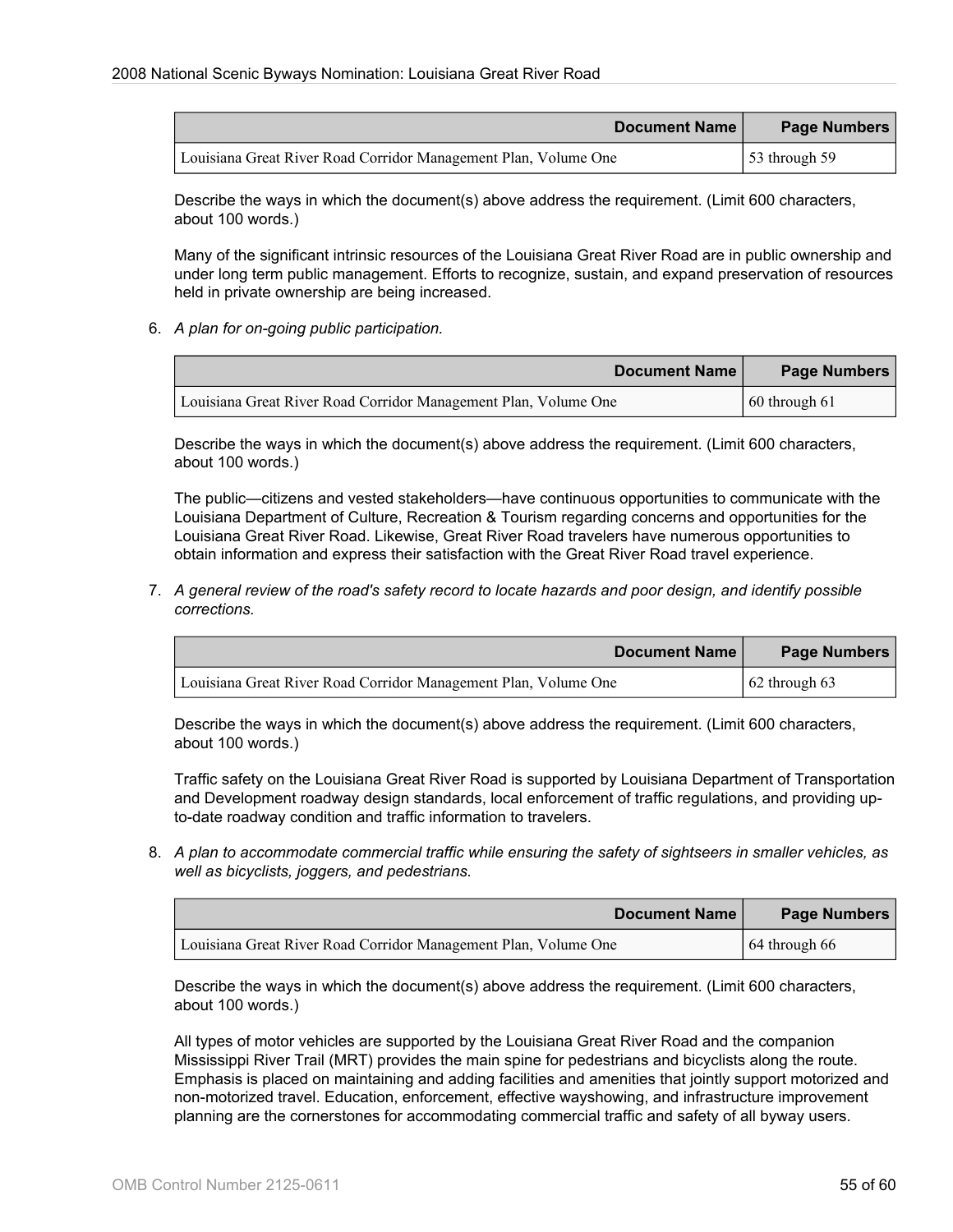| Document Name                                                   | Page Numbers                       |
|-----------------------------------------------------------------|------------------------------------|
| Louisiana Great River Road Corridor Management Plan, Volume One | $\frac{153 \text{ through } 59}{}$ |

Describe the ways in which the document(s) above address the requirement. (Limit 600 characters, about 100 words.)

Many of the significant intrinsic resources of the Louisiana Great River Road are in public ownership and under long term public management. Efforts to recognize, sustain, and expand preservation of resources held in private ownership are being increased.

6. *A plan for on-going public participation.*

| Document Name                                                   | Page Numbers          |
|-----------------------------------------------------------------|-----------------------|
| Louisiana Great River Road Corridor Management Plan, Volume One | $\vert$ 60 through 61 |

Describe the ways in which the document(s) above address the requirement. (Limit 600 characters, about 100 words.)

The public—citizens and vested stakeholders—have continuous opportunities to communicate with the Louisiana Department of Culture, Recreation & Tourism regarding concerns and opportunities for the Louisiana Great River Road. Likewise, Great River Road travelers have numerous opportunities to obtain information and express their satisfaction with the Great River Road travel experience.

7. *A general review of the road's safety record to locate hazards and poor design, and identify possible corrections.*

| Document Name                                                   | Page Numbers          |
|-----------------------------------------------------------------|-----------------------|
| Louisiana Great River Road Corridor Management Plan, Volume One | $\vert$ 62 through 63 |

Describe the ways in which the document(s) above address the requirement. (Limit 600 characters, about 100 words.)

Traffic safety on the Louisiana Great River Road is supported by Louisiana Department of Transportation and Development roadway design standards, local enforcement of traffic regulations, and providing upto-date roadway condition and traffic information to travelers.

8. *A plan to accommodate commercial traffic while ensuring the safety of sightseers in smaller vehicles, as well as bicyclists, joggers, and pedestrians.*

| <b>Document Name</b>                                            | Page Numbers    |
|-----------------------------------------------------------------|-----------------|
| Louisiana Great River Road Corridor Management Plan, Volume One | 64 through $66$ |

Describe the ways in which the document(s) above address the requirement. (Limit 600 characters, about 100 words.)

All types of motor vehicles are supported by the Louisiana Great River Road and the companion Mississippi River Trail (MRT) provides the main spine for pedestrians and bicyclists along the route. Emphasis is placed on maintaining and adding facilities and amenities that jointly support motorized and non-motorized travel. Education, enforcement, effective wayshowing, and infrastructure improvement planning are the cornerstones for accommodating commercial traffic and safety of all byway users.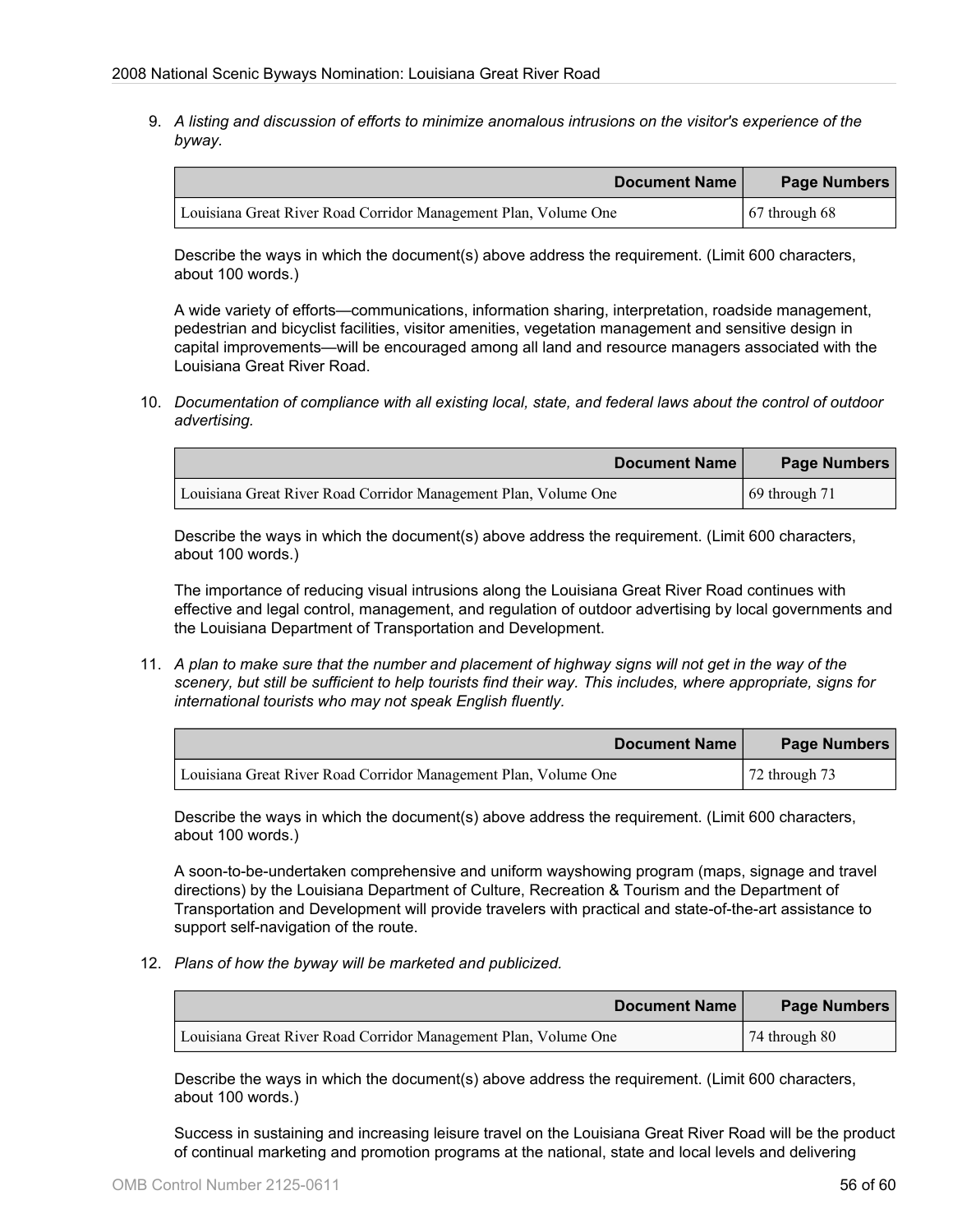9. *A listing and discussion of efforts to minimize anomalous intrusions on the visitor's experience of the byway.*

| Document Name                                                   | <b>Page Numbers</b>   |
|-----------------------------------------------------------------|-----------------------|
| Louisiana Great River Road Corridor Management Plan, Volume One | $\vert$ 67 through 68 |

Describe the ways in which the document(s) above address the requirement. (Limit 600 characters, about 100 words.)

A wide variety of efforts—communications, information sharing, interpretation, roadside management, pedestrian and bicyclist facilities, visitor amenities, vegetation management and sensitive design in capital improvements—will be encouraged among all land and resource managers associated with the Louisiana Great River Road.

10. *Documentation of compliance with all existing local, state, and federal laws about the control of outdoor advertising.*

| <b>Document Name</b>                                            | Page Numbers          |
|-----------------------------------------------------------------|-----------------------|
| Louisiana Great River Road Corridor Management Plan, Volume One | $\vert$ 69 through 71 |

Describe the ways in which the document(s) above address the requirement. (Limit 600 characters, about 100 words.)

The importance of reducing visual intrusions along the Louisiana Great River Road continues with effective and legal control, management, and regulation of outdoor advertising by local governments and the Louisiana Department of Transportation and Development.

11. *A plan to make sure that the number and placement of highway signs will not get in the way of the scenery, but still be sufficient to help tourists find their way. This includes, where appropriate, signs for international tourists who may not speak English fluently.*

| <b>Document Name</b>                                            | <b>Page Numbers</b>    |
|-----------------------------------------------------------------|------------------------|
| Louisiana Great River Road Corridor Management Plan, Volume One | $\sqrt{72}$ through 73 |

Describe the ways in which the document(s) above address the requirement. (Limit 600 characters, about 100 words.)

A soon-to-be-undertaken comprehensive and uniform wayshowing program (maps, signage and travel directions) by the Louisiana Department of Culture, Recreation & Tourism and the Department of Transportation and Development will provide travelers with practical and state-of-the-art assistance to support self-navigation of the route.

12. *Plans of how the byway will be marketed and publicized.*

| Document Name                                                   | Page Numbers           |
|-----------------------------------------------------------------|------------------------|
| Louisiana Great River Road Corridor Management Plan, Volume One | $\sqrt{74}$ through 80 |

Describe the ways in which the document(s) above address the requirement. (Limit 600 characters, about 100 words.)

Success in sustaining and increasing leisure travel on the Louisiana Great River Road will be the product of continual marketing and promotion programs at the national, state and local levels and delivering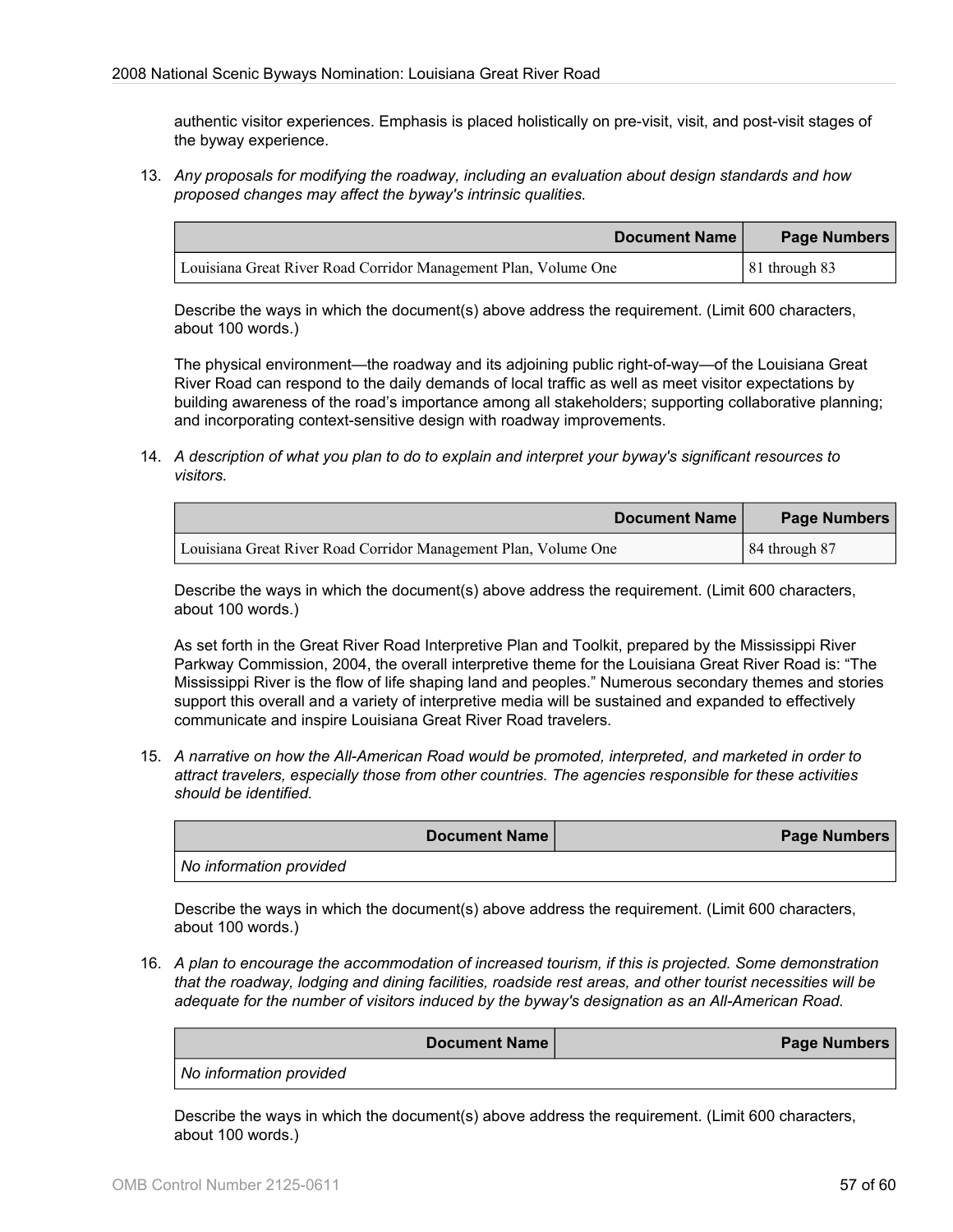authentic visitor experiences. Emphasis is placed holistically on pre-visit, visit, and post-visit stages of the byway experience.

13. *Any proposals for modifying the roadway, including an evaluation about design standards and how proposed changes may affect the byway's intrinsic qualities.*

| Document Name                                                   | Page Numbers          |
|-----------------------------------------------------------------|-----------------------|
| Louisiana Great River Road Corridor Management Plan, Volume One | $\vert$ 81 through 83 |

Describe the ways in which the document(s) above address the requirement. (Limit 600 characters, about 100 words.)

The physical environment—the roadway and its adjoining public right-of-way—of the Louisiana Great River Road can respond to the daily demands of local traffic as well as meet visitor expectations by building awareness of the road's importance among all stakeholders; supporting collaborative planning; and incorporating context-sensitive design with roadway improvements.

14. *A description of what you plan to do to explain and interpret your byway's significant resources to visitors.*

| Document Name                                                   | Page Numbers    |
|-----------------------------------------------------------------|-----------------|
| Louisiana Great River Road Corridor Management Plan, Volume One | $84$ through 87 |

Describe the ways in which the document(s) above address the requirement. (Limit 600 characters, about 100 words.)

As set forth in the Great River Road Interpretive Plan and Toolkit, prepared by the Mississippi River Parkway Commission, 2004, the overall interpretive theme for the Louisiana Great River Road is: "The Mississippi River is the flow of life shaping land and peoples." Numerous secondary themes and stories support this overall and a variety of interpretive media will be sustained and expanded to effectively communicate and inspire Louisiana Great River Road travelers.

15. *A narrative on how the All-American Road would be promoted, interpreted, and marketed in order to attract travelers, especially those from other countries. The agencies responsible for these activities should be identified.*

**Document Name Page Numbers** *No information provided*

Describe the ways in which the document(s) above address the requirement. (Limit 600 characters, about 100 words.)

16. *A plan to encourage the accommodation of increased tourism, if this is projected. Some demonstration that the roadway, lodging and dining facilities, roadside rest areas, and other tourist necessities will be adequate for the number of visitors induced by the byway's designation as an All-American Road.*

|                         | <b>Document Name</b> | Page Numbers |
|-------------------------|----------------------|--------------|
| No information provided |                      |              |

Describe the ways in which the document(s) above address the requirement. (Limit 600 characters, about 100 words.)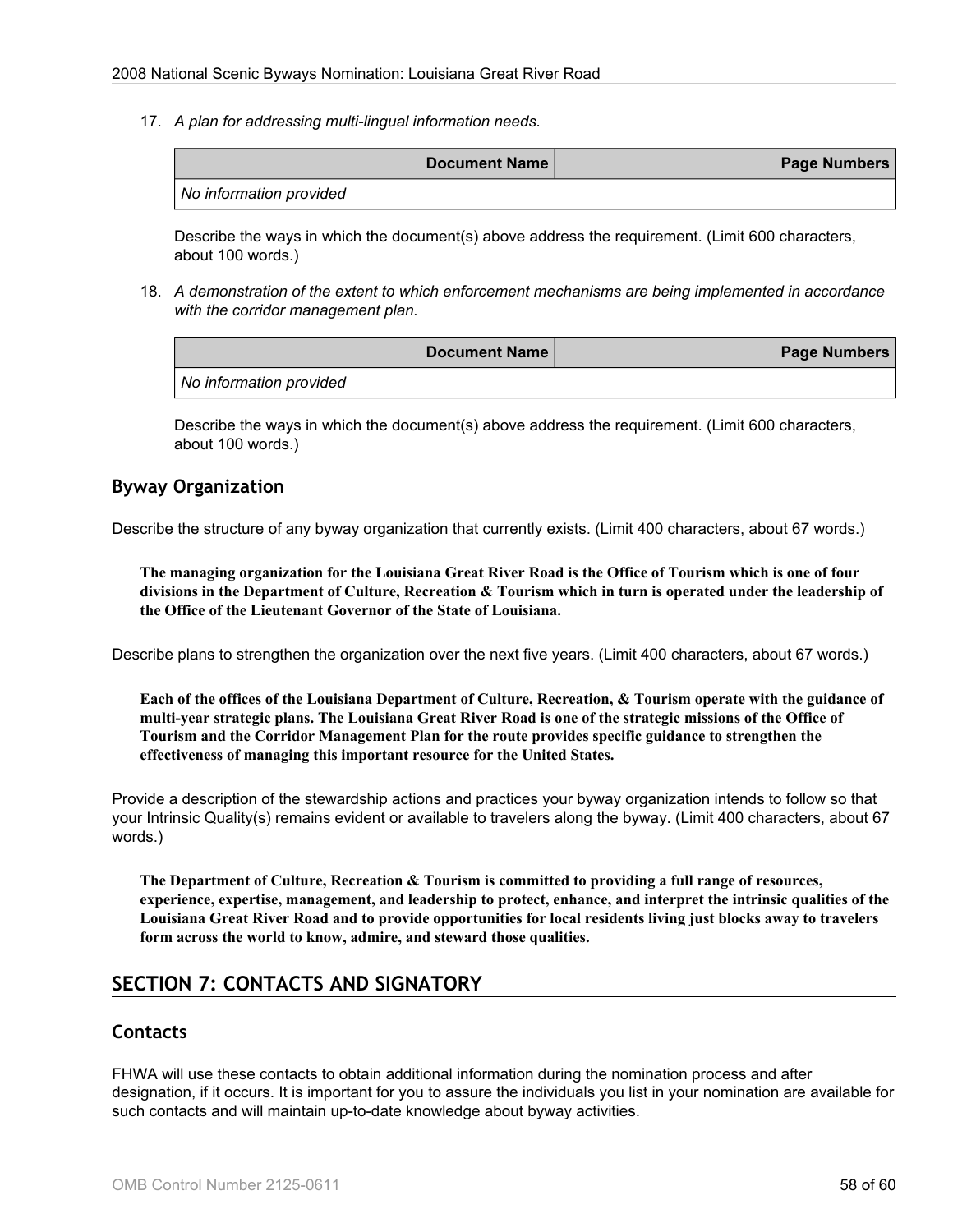17. *A plan for addressing multi-lingual information needs.*

| <b>Document Name</b>    | Page Numbers |
|-------------------------|--------------|
| No information provided |              |

Describe the ways in which the document(s) above address the requirement. (Limit 600 characters, about 100 words.)

18. *A demonstration of the extent to which enforcement mechanisms are being implemented in accordance with the corridor management plan.*

|                         | Document Name | Page Numbers |
|-------------------------|---------------|--------------|
| No information provided |               |              |

Describe the ways in which the document(s) above address the requirement. (Limit 600 characters, about 100 words.)

## **Byway Organization**

Describe the structure of any byway organization that currently exists. (Limit 400 characters, about 67 words.)

**The managing organization for the Louisiana Great River Road is the Office of Tourism which is one of four divisions in the Department of Culture, Recreation & Tourism which in turn is operated under the leadership of the Office of the Lieutenant Governor of the State of Louisiana.**

Describe plans to strengthen the organization over the next five years. (Limit 400 characters, about 67 words.)

**Each of the offices of the Louisiana Department of Culture, Recreation, & Tourism operate with the guidance of multi-year strategic plans. The Louisiana Great River Road is one of the strategic missions of the Office of Tourism and the Corridor Management Plan for the route provides specific guidance to strengthen the effectiveness of managing this important resource for the United States.**

Provide a description of the stewardship actions and practices your byway organization intends to follow so that your Intrinsic Quality(s) remains evident or available to travelers along the byway. (Limit 400 characters, about 67 words.)

**The Department of Culture, Recreation & Tourism is committed to providing a full range of resources, experience, expertise, management, and leadership to protect, enhance, and interpret the intrinsic qualities of the Louisiana Great River Road and to provide opportunities for local residents living just blocks away to travelers form across the world to know, admire, and steward those qualities.**

# **SECTION 7: CONTACTS AND SIGNATORY**

## **Contacts**

FHWA will use these contacts to obtain additional information during the nomination process and after designation, if it occurs. It is important for you to assure the individuals you list in your nomination are available for such contacts and will maintain up-to-date knowledge about byway activities.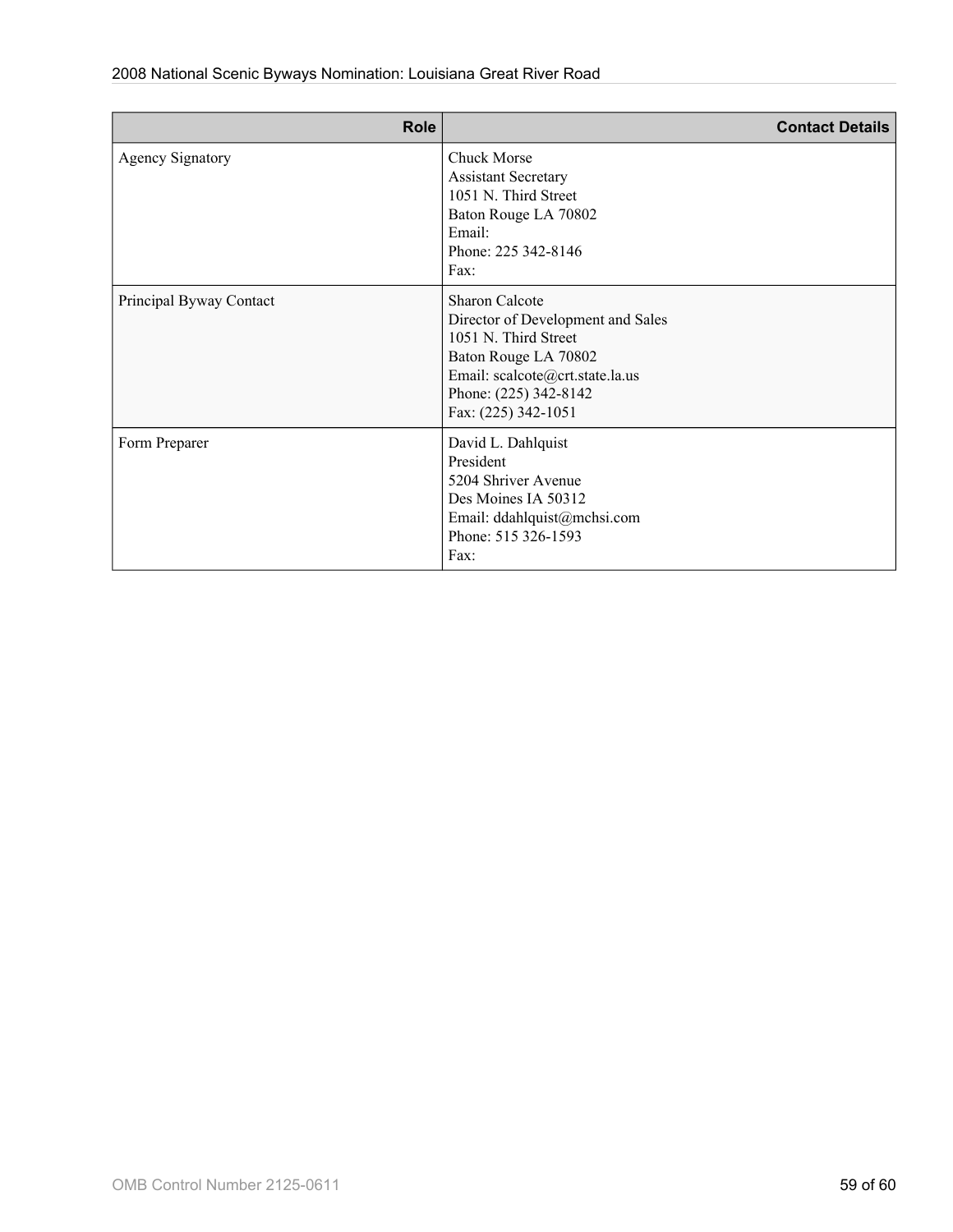| <b>Role</b>             | <b>Contact Details</b>                                                                                                                                                                        |
|-------------------------|-----------------------------------------------------------------------------------------------------------------------------------------------------------------------------------------------|
| <b>Agency Signatory</b> | <b>Chuck Morse</b><br><b>Assistant Secretary</b><br>1051 N. Third Street<br>Baton Rouge LA 70802<br>Email:<br>Phone: 225 342-8146<br>Fax:                                                     |
| Principal Byway Contact | <b>Sharon Calcote</b><br>Director of Development and Sales<br>1051 N. Third Street<br>Baton Rouge LA 70802<br>Email: scalcote@crt.state.la.us<br>Phone: (225) 342-8142<br>Fax: (225) 342-1051 |
| Form Preparer           | David L. Dahlquist<br>President<br>5204 Shriver Avenue<br>Des Moines IA 50312<br>Email: ddahlquist@mchsi.com<br>Phone: 515 326-1593<br>Fax:                                                   |